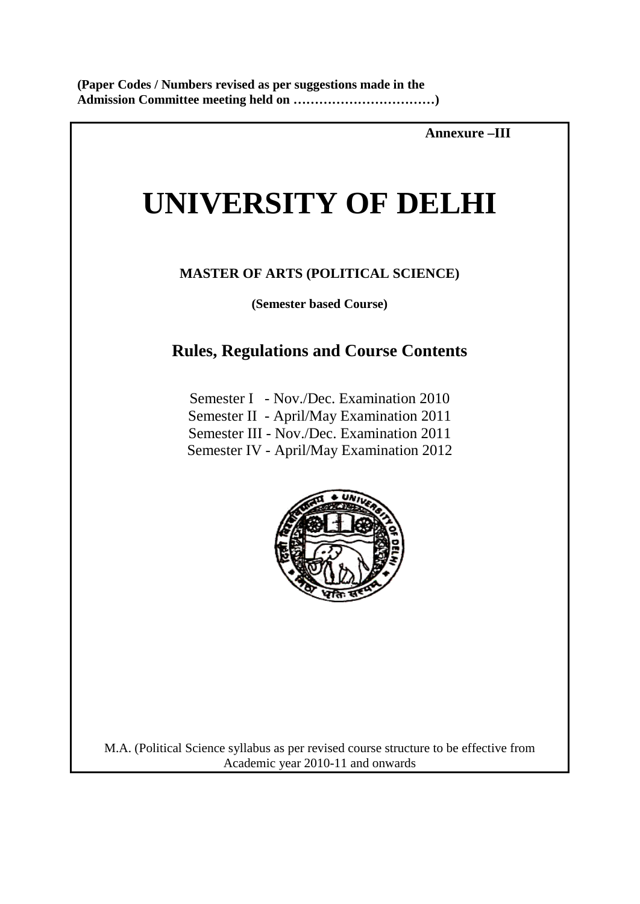**Annexure –III**

# **UNIVERSITY OF DELHI**

# **MASTER OF ARTS (POLITICAL SCIENCE)**

**(Semester based Course)**

# **Rules, Regulations and Course Contents**

Semester I - Nov./Dec. Examination 2010 Semester II - April/May Examination 2011 Semester III - Nov./Dec. Examination 2011 Semester IV - April/May Examination 2012



M.A. (Political Science syllabus as per revised course structure to be effective from Academic year 2010-11 and onwards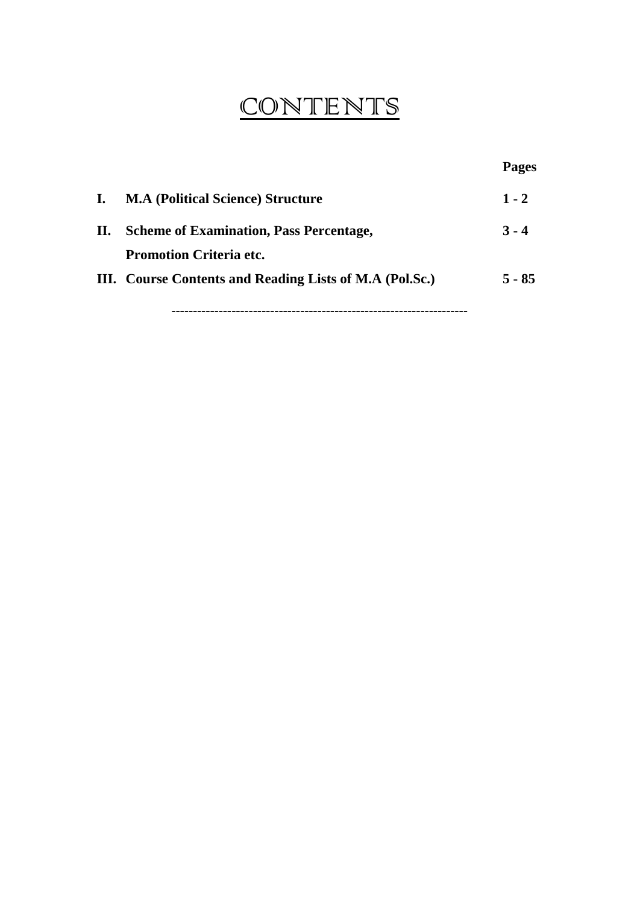# **CONTENTS**

|    |                                                         | <b>Pages</b> |
|----|---------------------------------------------------------|--------------|
| L. | <b>M.A (Political Science) Structure</b>                | $1 - 2$      |
| П. | <b>Scheme of Examination, Pass Percentage,</b>          | $3 - 4$      |
|    | <b>Promotion Criteria etc.</b>                          |              |
|    | III. Course Contents and Reading Lists of M.A (Pol.Sc.) | $5 - 85$     |
|    |                                                         |              |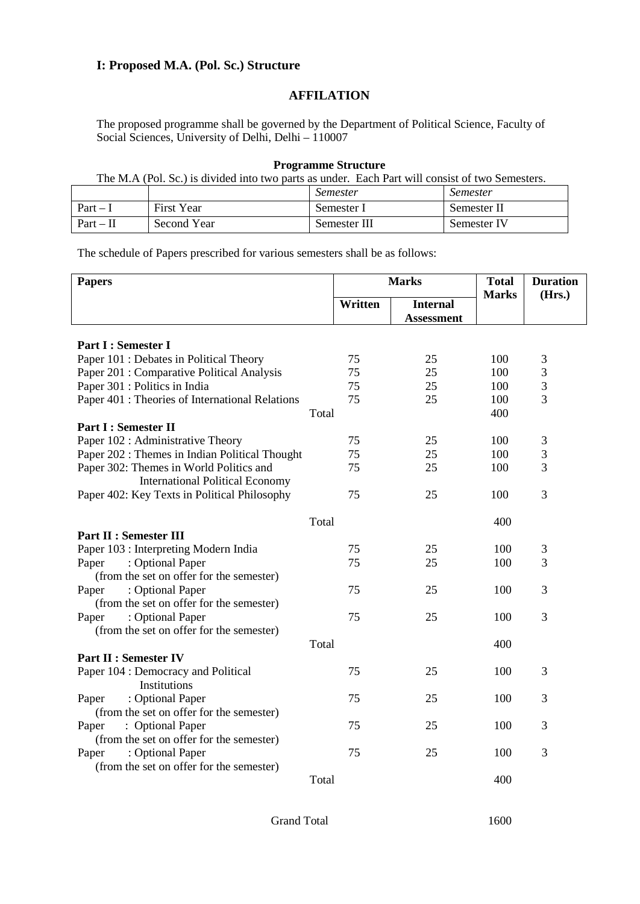#### **I: Proposed M.A. (Pol. Sc.) Structure**

# **AFFILATION**

The proposed programme shall be governed by the Department of Political Science, Faculty of Social Sciences, University of Delhi, Delhi – 110007

#### **Programme Structure**

The M.A (Pol. Sc.) is divided into two parts as under. Each Part will consist of two Semesters.

|             |                   | <i>Semester</i> | <i>Semester</i> |
|-------------|-------------------|-----------------|-----------------|
| $Part - 1$  | <b>First Year</b> | Semester 1      | Semester II     |
| $Part - II$ | Second Year       | Semester III    | Semester IV     |

The schedule of Papers prescribed for various semesters shall be as follows:

| <b>Papers</b>                                   | <b>Marks</b> |                                      | <b>Total</b><br><b>Marks</b> | <b>Duration</b><br>(Hrs.) |
|-------------------------------------------------|--------------|--------------------------------------|------------------------------|---------------------------|
|                                                 | Written      | <b>Internal</b><br><b>Assessment</b> |                              |                           |
| Part I : Semester I                             |              |                                      |                              |                           |
| Paper 101 : Debates in Political Theory         | 75           | 25                                   | 100                          | 3                         |
| Paper 201 : Comparative Political Analysis      | 75           | 25                                   | 100                          | 3                         |
| Paper 301 : Politics in India                   | 75           | 25                                   | 100                          | 3                         |
| Paper 401 : Theories of International Relations | 75           | 25                                   | 100                          | 3                         |
|                                                 | Total        |                                      | 400                          |                           |
| <b>Part I: Semester II</b>                      |              |                                      |                              |                           |
| Paper 102 : Administrative Theory               | 75           | 25                                   | 100                          | 3                         |
| Paper 202 : Themes in Indian Political Thought  | 75           | 25                                   | 100                          | 3                         |
| Paper 302: Themes in World Politics and         | 75           | 25                                   | 100                          | 3                         |
| <b>International Political Economy</b>          |              |                                      |                              |                           |
| Paper 402: Key Texts in Political Philosophy    | 75           | 25                                   | 100                          | 3                         |
|                                                 | Total        |                                      | 400                          |                           |
| <b>Part II : Semester III</b>                   |              |                                      |                              |                           |
| Paper 103 : Interpreting Modern India           | 75           | 25                                   | 100                          | 3                         |
| : Optional Paper<br>Paper                       | 75           | 25                                   | 100                          | 3                         |
| (from the set on offer for the semester)        |              |                                      |                              |                           |
| : Optional Paper<br>Paper                       | 75           | 25                                   | 100                          | 3                         |
| (from the set on offer for the semester)        |              |                                      |                              |                           |
| : Optional Paper<br>Paper                       | 75           | 25                                   | 100                          | 3                         |
| (from the set on offer for the semester)        |              |                                      |                              |                           |
|                                                 | Total        |                                      | 400                          |                           |
| <b>Part II : Semester IV</b>                    |              |                                      |                              |                           |
| Paper 104 : Democracy and Political             | 75           | 25                                   | 100                          | 3                         |
| Institutions                                    |              |                                      |                              |                           |
| : Optional Paper<br>Paper                       | 75           | 25                                   | 100                          | 3                         |
| (from the set on offer for the semester)        |              |                                      |                              |                           |
| : Optional Paper<br>Paper                       | 75           | 25                                   | 100                          | 3                         |
| (from the set on offer for the semester)        |              |                                      |                              |                           |
| : Optional Paper<br>Paper                       | 75           | 25                                   | 100                          | 3                         |
| (from the set on offer for the semester)        |              |                                      |                              |                           |
|                                                 | Total        |                                      | 400                          |                           |

Grand Total 1600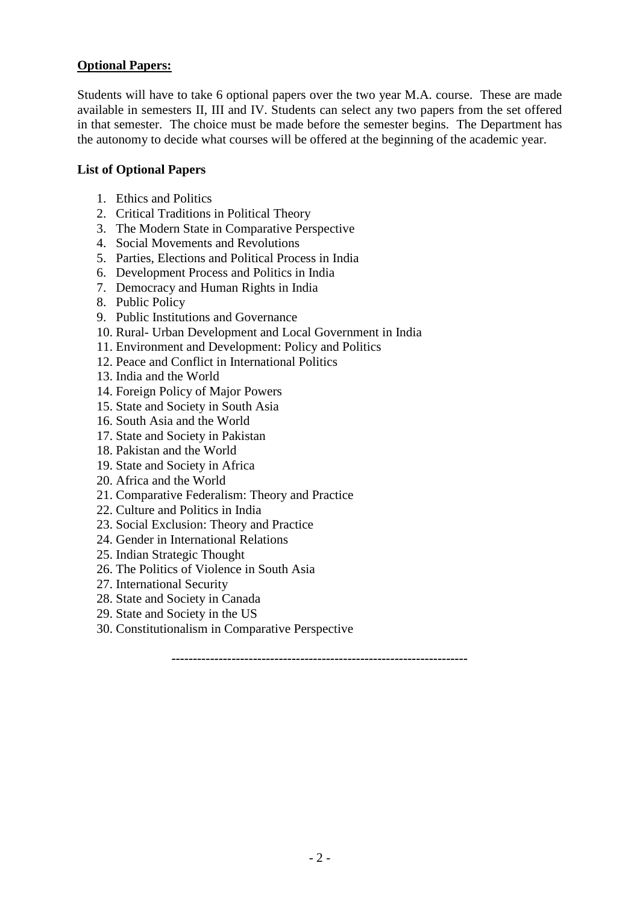# **Optional Papers:**

Students will have to take 6 optional papers over the two year M.A. course. These are made available in semesters II, III and IV. Students can select any two papers from the set offered in that semester. The choice must be made before the semester begins. The Department has the autonomy to decide what courses will be offered at the beginning of the academic year.

#### **List of Optional Papers**

- 1. Ethics and Politics
- 2. Critical Traditions in Political Theory
- 3. The Modern State in Comparative Perspective
- 4. Social Movements and Revolutions
- 5. Parties, Elections and Political Process in India
- 6. Development Process and Politics in India
- 7. Democracy and Human Rights in India
- 8. Public Policy
- 9. Public Institutions and Governance
- 10. Rural- Urban Development and Local Government in India
- 11. Environment and Development: Policy and Politics
- 12. Peace and Conflict in International Politics
- 13. India and the World
- 14. Foreign Policy of Major Powers
- 15. State and Society in South Asia
- 16. South Asia and the World
- 17. State and Society in Pakistan
- 18. Pakistan and the World
- 19. State and Society in Africa
- 20. Africa and the World
- 21. Comparative Federalism: Theory and Practice
- 22. Culture and Politics in India
- 23. Social Exclusion: Theory and Practice
- 24. Gender in International Relations
- 25. Indian Strategic Thought
- 26. The Politics of Violence in South Asia
- 27. International Security
- 28. State and Society in Canada
- 29. State and Society in the US
- 30. Constitutionalism in Comparative Perspective

*---------------------------------------------------------------------*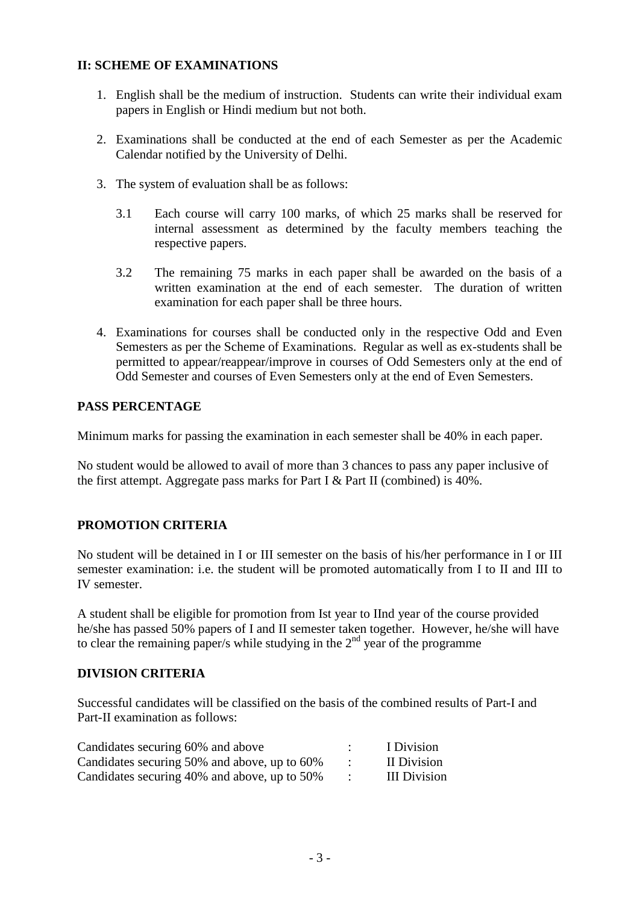# **II: SCHEME OF EXAMINATIONS**

- 1. English shall be the medium of instruction. Students can write their individual exam papers in English or Hindi medium but not both.
- 2. Examinations shall be conducted at the end of each Semester as per the Academic Calendar notified by the University of Delhi.
- 3. The system of evaluation shall be as follows:
	- 3.1 Each course will carry 100 marks, of which 25 marks shall be reserved for internal assessment as determined by the faculty members teaching the respective papers.
	- 3.2 The remaining 75 marks in each paper shall be awarded on the basis of a written examination at the end of each semester. The duration of written examination for each paper shall be three hours.
- 4. Examinations for courses shall be conducted only in the respective Odd and Even Semesters as per the Scheme of Examinations. Regular as well as ex-students shall be permitted to appear/reappear/improve in courses of Odd Semesters only at the end of Odd Semester and courses of Even Semesters only at the end of Even Semesters.

# **PASS PERCENTAGE**

Minimum marks for passing the examination in each semester shall be 40% in each paper.

No student would be allowed to avail of more than 3 chances to pass any paper inclusive of the first attempt. Aggregate pass marks for Part I & Part II (combined) is 40%.

# **PROMOTION CRITERIA**

No student will be detained in I or III semester on the basis of his/her performance in I or III semester examination: i.e. the student will be promoted automatically from I to II and III to IV semester.

A student shall be eligible for promotion from Ist year to IInd year of the course provided he/she has passed 50% papers of I and II semester taken together. However, he/she will have to clear the remaining paper/s while studying in the  $2<sup>nd</sup>$  year of the programme

# **DIVISION CRITERIA**

Successful candidates will be classified on the basis of the combined results of Part-I and Part-II examination as follows:

| Candidates securing 60% and above            | I Division   |
|----------------------------------------------|--------------|
| Candidates securing 50% and above, up to 60% | II Division  |
| Candidates securing 40% and above, up to 50% | III Division |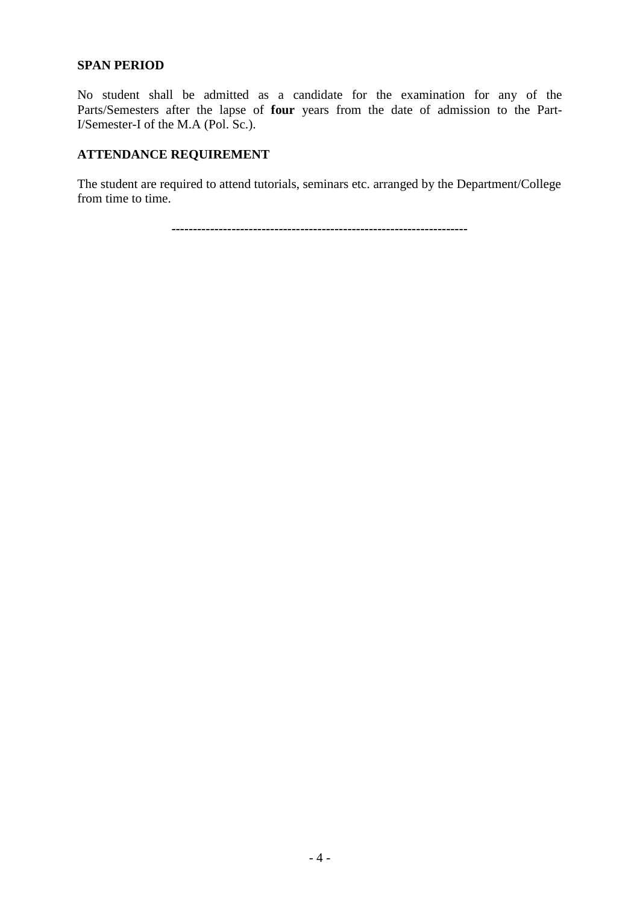#### **SPAN PERIOD**

No student shall be admitted as a candidate for the examination for any of the Parts/Semesters after the lapse of **four** years from the date of admission to the Part-I/Semester-I of the M.A (Pol. Sc.).

# **ATTENDANCE REQUIREMENT**

The student are required to attend tutorials, seminars etc. arranged by the Department/College from time to time.

*---------------------------------------------------------------------*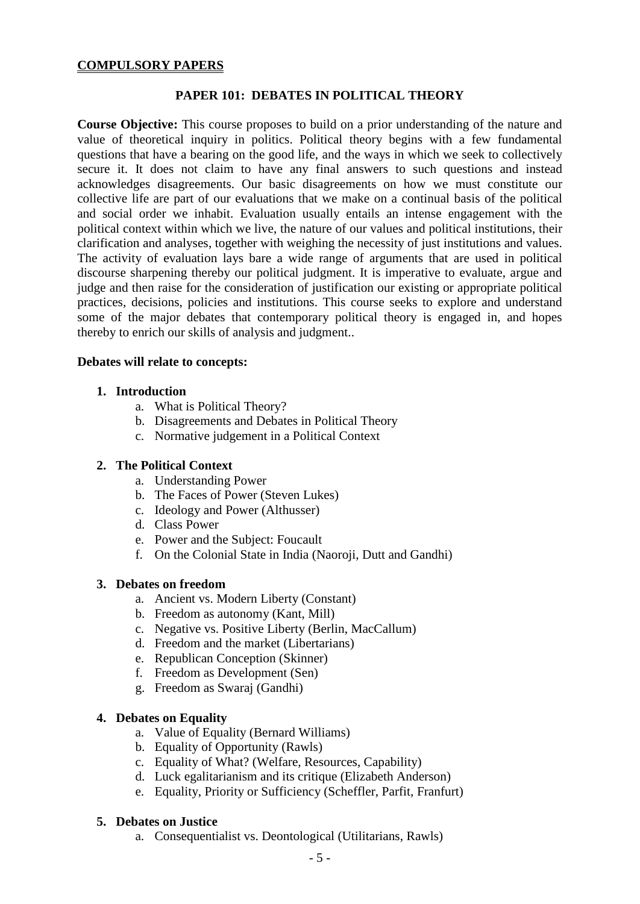#### **COMPULSORY PAPERS**

#### **PAPER 101: DEBATES IN POLITICAL THEORY**

**Course Objective:** This course proposes to build on a prior understanding of the nature and value of theoretical inquiry in politics. Political theory begins with a few fundamental questions that have a bearing on the good life, and the ways in which we seek to collectively secure it. It does not claim to have any final answers to such questions and instead acknowledges disagreements. Our basic disagreements on how we must constitute our collective life are part of our evaluations that we make on a continual basis of the political and social order we inhabit. Evaluation usually entails an intense engagement with the political context within which we live, the nature of our values and political institutions, their clarification and analyses, together with weighing the necessity of just institutions and values. The activity of evaluation lays bare a wide range of arguments that are used in political discourse sharpening thereby our political judgment. It is imperative to evaluate, argue and judge and then raise for the consideration of justification our existing or appropriate political practices, decisions, policies and institutions. This course seeks to explore and understand some of the major debates that contemporary political theory is engaged in, and hopes thereby to enrich our skills of analysis and judgment..

#### **Debates will relate to concepts:**

#### **1. Introduction**

- a. What is Political Theory?
- b. Disagreements and Debates in Political Theory
- c. Normative judgement in a Political Context

#### **2. The Political Context**

- a. Understanding Power
- b. The Faces of Power (Steven Lukes)
- c. Ideology and Power (Althusser)
- d. Class Power
- e. Power and the Subject: Foucault
- f. On the Colonial State in India (Naoroji, Dutt and Gandhi)

#### **3. Debates on freedom**

- a. Ancient vs. Modern Liberty (Constant)
- b. Freedom as autonomy (Kant, Mill)
- c. Negative vs. Positive Liberty (Berlin, MacCallum)
- d. Freedom and the market (Libertarians)
- e. Republican Conception (Skinner)
- f. Freedom as Development (Sen)
- g. Freedom as Swaraj (Gandhi)

#### **4. Debates on Equality**

- a. Value of Equality (Bernard Williams)
- b. Equality of Opportunity (Rawls)
- c. Equality of What? (Welfare, Resources, Capability)
- d. Luck egalitarianism and its critique (Elizabeth Anderson)
- e. Equality, Priority or Sufficiency (Scheffler, Parfit, Franfurt)

#### **5. Debates on Justice**

a. Consequentialist vs. Deontological (Utilitarians, Rawls)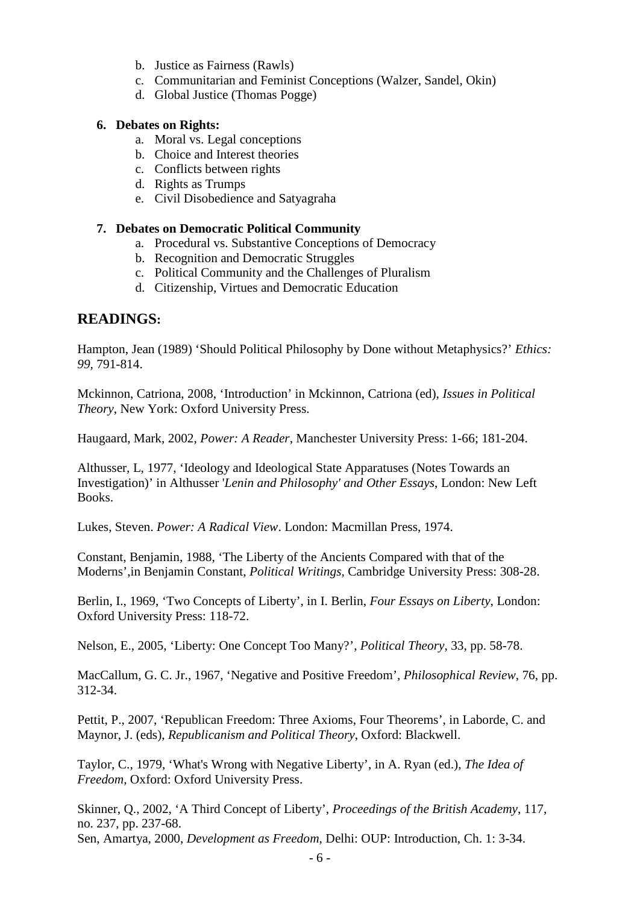- b. Justice as Fairness (Rawls)
- c. Communitarian and Feminist Conceptions (Walzer, Sandel, Okin)
- d. Global Justice (Thomas Pogge)

#### **6. Debates on Rights:**

- a. Moral vs. Legal conceptions
- b. Choice and Interest theories
- c. Conflicts between rights
- d. Rights as Trumps
- e. Civil Disobedience and Satyagraha

#### **7. Debates on Democratic Political Community**

- a. Procedural vs. Substantive Conceptions of Democracy
- b. Recognition and Democratic Struggles
- c. Political Community and the Challenges of Pluralism
- d. Citizenship, Virtues and Democratic Education

# **READINGS:**

Hampton, Jean (1989) 'Should Political Philosophy by Done without Metaphysics?' *Ethics: 99*, 791-814.

Mckinnon, Catriona, 2008, 'Introduction' in Mckinnon, Catriona (ed), *Issues in Political Theory*, New York: Oxford University Press.

Haugaard, Mark, 2002, *Power: A Reader*, Manchester University Press: 1-66; 181-204.

Althusser, L, 1977, 'Ideology and Ideological State Apparatuses (Notes Towards an Investigation)' in Althusser '*Lenin and Philosophy' and Other Essays*, London: New Left Books.

Lukes, Steven. *Power: A Radical View*. London: Macmillan Press, 1974.

Constant, Benjamin, 1988, 'The Liberty of the Ancients Compared with that of the Moderns',in Benjamin Constant, *Political Writings*, Cambridge University Press: 308-28.

Berlin, I., 1969, 'Two Concepts of Liberty', in I. Berlin, *Four Essays on Liberty*, London: Oxford University Press: 118-72.

Nelson, E., 2005, 'Liberty: One Concept Too Many?', *Political Theory*, 33, pp. 58-78.

MacCallum, G. C. Jr., 1967, 'Negative and Positive Freedom', *Philosophical Review*, 76, pp. 312-34.

Pettit, P., 2007, 'Republican Freedom: Three Axioms, Four Theorems', in Laborde, C. and Maynor, J. (eds), *Republicanism and Political Theory*, Oxford: Blackwell.

Taylor, C., 1979, 'What's Wrong with Negative Liberty', in A. Ryan (ed.), *The Idea of Freedom*, Oxford: Oxford University Press.

Skinner, Q., 2002, 'A Third Concept of Liberty', *Proceedings of the British Academy*, 117, no. 237, pp. 237-68. Sen, Amartya, 2000, *Development as Freedom*, Delhi: OUP: Introduction, Ch. 1: 3-34.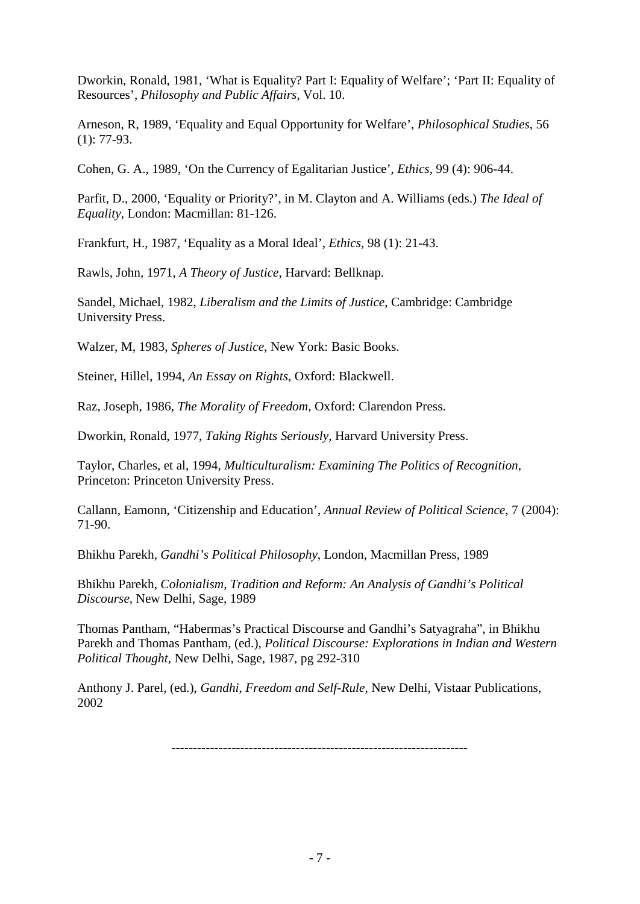Dworkin, Ronald, 1981, 'What is Equality? Part I: Equality of Welfare'; 'Part II: Equality of Resources', *Philosophy and Public Affairs,* Vol. 10.

Arneson, R, 1989, 'Equality and Equal Opportunity for Welfare', *Philosophical Studies*, 56 (1): 77-93.

Cohen, G. A., 1989, 'On the Currency of Egalitarian Justice', *Ethics*, 99 (4): 906-44.

Parfit, D., 2000, 'Equality or Priority?', in M. Clayton and A. Williams (eds.) *The Ideal of Equality,* London: Macmillan: 81-126.

Frankfurt, H., 1987, 'Equality as a Moral Ideal', *Ethics,* 98 (1): 21-43.

Rawls, John, 1971, *A Theory of Justice*, Harvard: Bellknap.

Sandel, Michael, 1982, *Liberalism and the Limits of Justice*, Cambridge: Cambridge University Press.

Walzer, M, 1983, *Spheres of Justice*, New York: Basic Books.

Steiner, Hillel, 1994, *An Essay on Rights*, Oxford: Blackwell.

Raz, Joseph, 1986, *The Morality of Freedom*, Oxford: Clarendon Press.

Dworkin, Ronald, 1977, *Taking Rights Seriously*, Harvard University Press.

Taylor, Charles, et al, 1994, *Multiculturalism: Examining The Politics of Recognition*, Princeton: Princeton University Press.

Callann, Eamonn, 'Citizenship and Education', *Annual Review of Political Science*, 7 (2004): 71-90.

Bhikhu Parekh, *Gandhi's Political Philosophy*, London, Macmillan Press, 1989

Bhikhu Parekh, *Colonialism, Tradition and Reform: An Analysis of Gandhi's Political Discourse,* New Delhi, Sage, 1989

Thomas Pantham, "Habermas's Practical Discourse and Gandhi's Satyagraha", in Bhikhu Parekh and Thomas Pantham, (ed.), *Political Discourse: Explorations in Indian and Western Political Thought,* New Delhi, Sage, 1987, pg 292-310

Anthony J. Parel, (ed.), *Gandhi, Freedom and Self-Rule,* New Delhi, Vistaar Publications, 2002

*---------------------------------------------------------------------*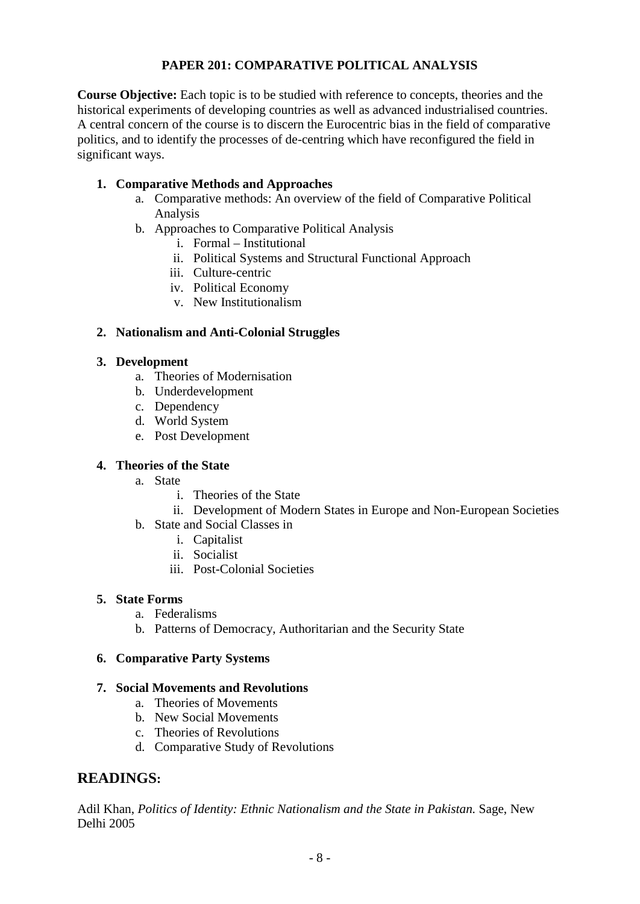# **PAPER 201: COMPARATIVE POLITICAL ANALYSIS**

**Course Objective:** Each topic is to be studied with reference to concepts, theories and the historical experiments of developing countries as well as advanced industrialised countries. A central concern of the course is to discern the Eurocentric bias in the field of comparative politics, and to identify the processes of de-centring which have reconfigured the field in significant ways.

# **1. Comparative Methods and Approaches**

- a. Comparative methods: An overview of the field of Comparative Political Analysis
- b. Approaches to Comparative Political Analysis
	- i. Formal Institutional
	- ii. Political Systems and Structural Functional Approach
	- iii. Culture-centric
	- iv. Political Economy
	- v. New Institutionalism

# **2. Nationalism and Anti-Colonial Struggles**

# **3. Development**

- a. Theories of Modernisation
- b. Underdevelopment
- c. Dependency
- d. World System
- e. Post Development

# **4. Theories of the State**

- a. State
	- i. Theories of the State
	- ii. Development of Modern States in Europe and Non-European Societies
- b. State and Social Classes in
	- i. Capitalist
	- ii. Socialist
	- iii. Post-Colonial Societies

# **5. State Forms**

- a. Federalisms
- b. Patterns of Democracy, Authoritarian and the Security State

# **6. Comparative Party Systems**

# **7. Social Movements and Revolutions**

- a. Theories of Movements
- b. New Social Movements
- c. Theories of Revolutions
- d. Comparative Study of Revolutions

# **READINGS:**

Adil Khan, *Politics of Identity: Ethnic Nationalism and the State in Pakistan.* Sage, New Delhi 2005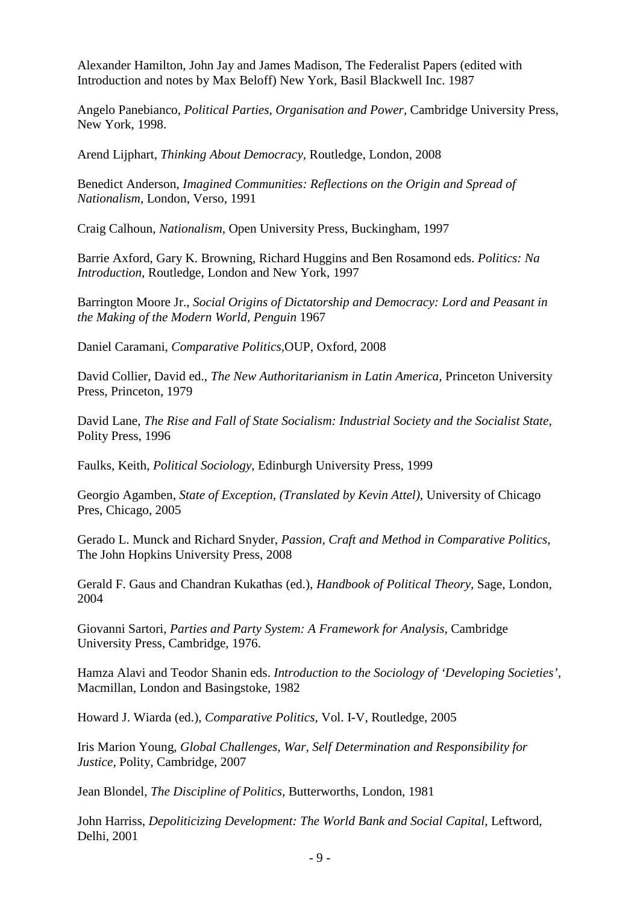Alexander Hamilton, John Jay and James Madison, The Federalist Papers (edited with Introduction and notes by Max Beloff) New York, Basil Blackwell Inc. 1987

Angelo Panebianco, *Political Parties, Organisation and Power,* Cambridge University Press, New York, 1998.

Arend Lijphart, *Thinking About Democracy,* Routledge, London, 2008

Benedict Anderson, *Imagined Communities: Reflections on the Origin and Spread of Nationalism,* London, Verso, 1991

Craig Calhoun, *Nationalism,* Open University Press, Buckingham, 1997

Barrie Axford, Gary K. Browning, Richard Huggins and Ben Rosamond eds. *Politics: Na Introduction,* Routledge, London and New York, 1997

Barrington Moore Jr., *Social Origins of Dictatorship and Democracy: Lord and Peasant in the Making of the Modern World, Penguin* 1967

Daniel Caramani, *Comparative Politics,*OUP, Oxford, 2008

David Collier, David ed., *The New Authoritarianism in Latin America,* Princeton University Press, Princeton, 1979

David Lane, *The Rise and Fall of State Socialism: Industrial Society and the Socialist State,*  Polity Press, 1996

Faulks, Keith, *Political Sociology,* Edinburgh University Press, 1999

Georgio Agamben, *State of Exception, (Translated by Kevin Attel),* University of Chicago Pres, Chicago, 2005

Gerado L. Munck and Richard Snyder, *Passion, Craft and Method in Comparative Politics,* The John Hopkins University Press, 2008

Gerald F. Gaus and Chandran Kukathas (ed.), *Handbook of Political Theory,* Sage, London, 2004

Giovanni Sartori, *Parties and Party System: A Framework for Analysis,* Cambridge University Press, Cambridge, 1976.

Hamza Alavi and Teodor Shanin eds. *Introduction to the Sociology of 'Developing Societies',*  Macmillan, London and Basingstoke, 1982

Howard J. Wiarda (ed.), *Comparative Politics,* Vol. I-V, Routledge, 2005

Iris Marion Young, *Global Challenges, War, Self Determination and Responsibility for Justice,* Polity, Cambridge, 2007

Jean Blondel, *The Discipline of Politics,* Butterworths, London, 1981

John Harriss, *Depoliticizing Development: The World Bank and Social Capital, Leftword,* Delhi, 2001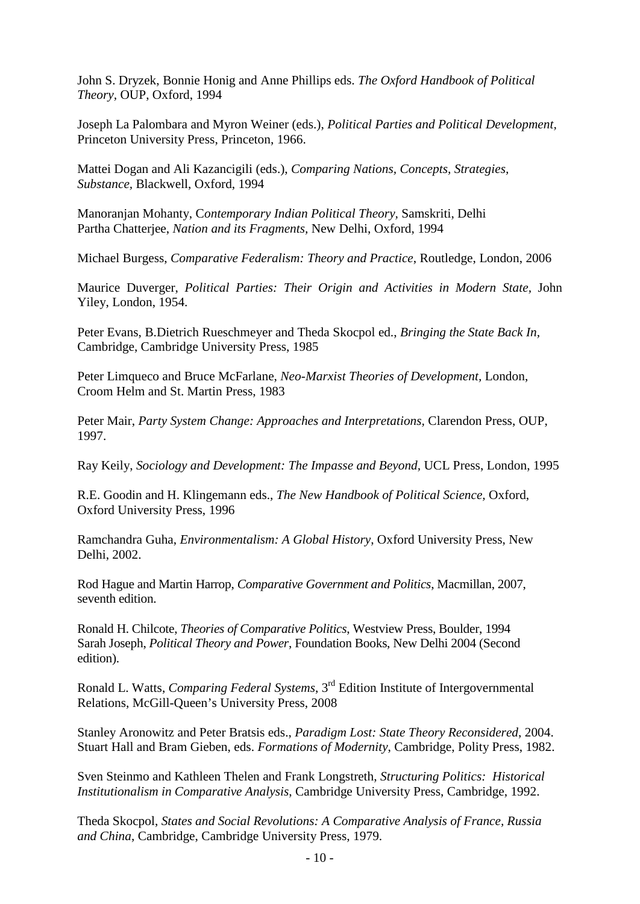John S. Dryzek, Bonnie Honig and Anne Phillips eds. *The Oxford Handbook of Political Theory,* OUP, Oxford, 1994

Joseph La Palombara and Myron Weiner (eds.), *Political Parties and Political Development,*  Princeton University Press, Princeton, 1966.

Mattei Dogan and Ali Kazancigili (eds.), *Comparing Nations, Concepts, Strategies, Substance,* Blackwell, Oxford, 1994

Manoranjan Mohanty, C*ontemporary Indian Political Theory,* Samskriti, Delhi Partha Chatterjee, *Nation and its Fragments,* New Delhi, Oxford, 1994

Michael Burgess, *Comparative Federalism: Theory and Practice*, Routledge, London, 2006

Maurice Duverger, *Political Parties: Their Origin and Activities in Modern State,* John Yiley, London, 1954.

Peter Evans, B.Dietrich Rueschmeyer and Theda Skocpol ed., *Bringing the State Back In,*  Cambridge, Cambridge University Press, 1985

Peter Limqueco and Bruce McFarlane, *Neo-Marxist Theories of Development,* London, Croom Helm and St. Martin Press, 1983

Peter Mair, *Party System Change: Approaches and Interpretations,* Clarendon Press, OUP, 1997.

Ray Keily, *Sociology and Development: The Impasse and Beyond,* UCL Press, London, 1995

R.E. Goodin and H. Klingemann eds., *The New Handbook of Political Science,* Oxford, Oxford University Press, 1996

Ramchandra Guha, *Environmentalism: A Global History*, Oxford University Press, New Delhi, 2002.

Rod Hague and Martin Harrop, *Comparative Government and Politics*, Macmillan, 2007, seventh edition.

Ronald H. Chilcote, *Theories of Comparative Politics*, Westview Press, Boulder, 1994 Sarah Joseph, *Political Theory and Power*, Foundation Books, New Delhi 2004 (Second edition).

Ronald L. Watts, *Comparing Federal Systems*, 3rd Edition Institute of Intergovernmental Relations, McGill-Queen's University Press, 2008

Stanley Aronowitz and Peter Bratsis eds., *Paradigm Lost: State Theory Reconsidered*, 2004. Stuart Hall and Bram Gieben, eds. *Formations of Modernity*, Cambridge, Polity Press, 1982.

Sven Steinmo and Kathleen Thelen and Frank Longstreth, *Structuring Politics: Historical Institutionalism in Comparative Analysis*, Cambridge University Press, Cambridge, 1992.

Theda Skocpol, *States and Social Revolutions: A Comparative Analysis of France, Russia and China*, Cambridge, Cambridge University Press, 1979.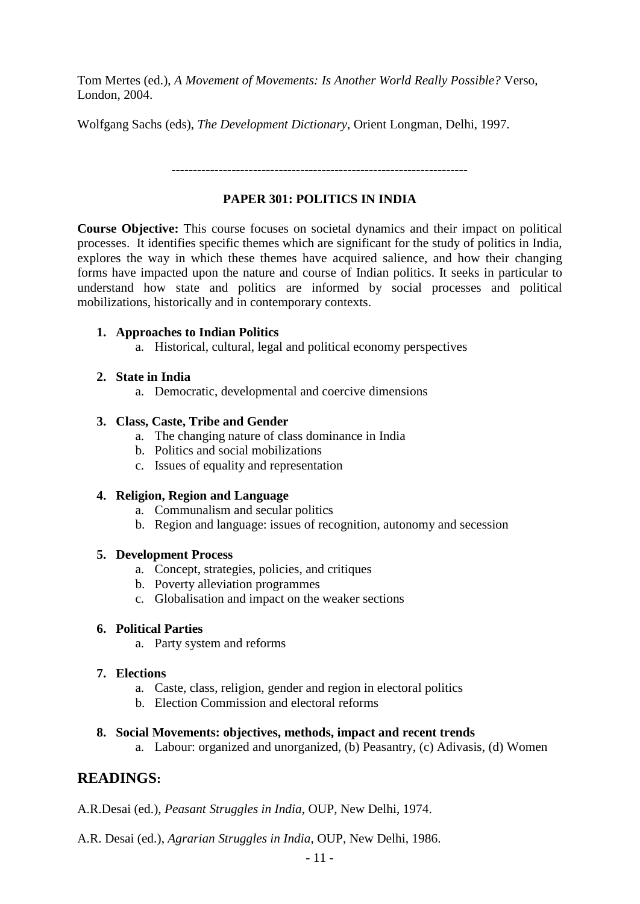Tom Mertes (ed.), *A Movement of Movements: Is Another World Really Possible?* Verso, London, 2004.

Wolfgang Sachs (eds), *The Development Dictionary*, Orient Longman, Delhi, 1997.

*---------------------------------------------------------------------*

# **PAPER 301: POLITICS IN INDIA**

**Course Objective:** This course focuses on societal dynamics and their impact on political processes.It identifies specific themes which are significant for the study of politics in India, explores the way in which these themes have acquired salience, and how their changing forms have impacted upon the nature and course of Indian politics. It seeks in particular to understand how state and politics are informed by social processes and political mobilizations, historically and in contemporary contexts.

#### **1. Approaches to Indian Politics**

a. Historical, cultural, legal and political economy perspectives

# **2. State in India**

a. Democratic, developmental and coercive dimensions

# **3. Class, Caste, Tribe and Gender**

- a. The changing nature of class dominance in India
- b. Politics and social mobilizations
- c. Issues of equality and representation

# **4. Religion, Region and Language**

- a. Communalism and secular politics
- b. Region and language: issues of recognition, autonomy and secession

#### **5. Development Process**

- a. Concept, strategies, policies, and critiques
- b. Poverty alleviation programmes
- c. Globalisation and impact on the weaker sections

#### **6. Political Parties**

a. Party system and reforms

# **7. Elections**

- a. Caste, class, religion, gender and region in electoral politics
- b. Election Commission and electoral reforms

#### **8. Social Movements: objectives, methods, impact and recent trends**

a. Labour: organized and unorganized, (b) Peasantry, (c) Adivasis, (d) Women

# **READINGS:**

A.R.Desai (ed.), *Peasant Struggles in India*, OUP, New Delhi, 1974.

A.R. Desai (ed.), *Agrarian Struggles in India*, OUP, New Delhi, 1986.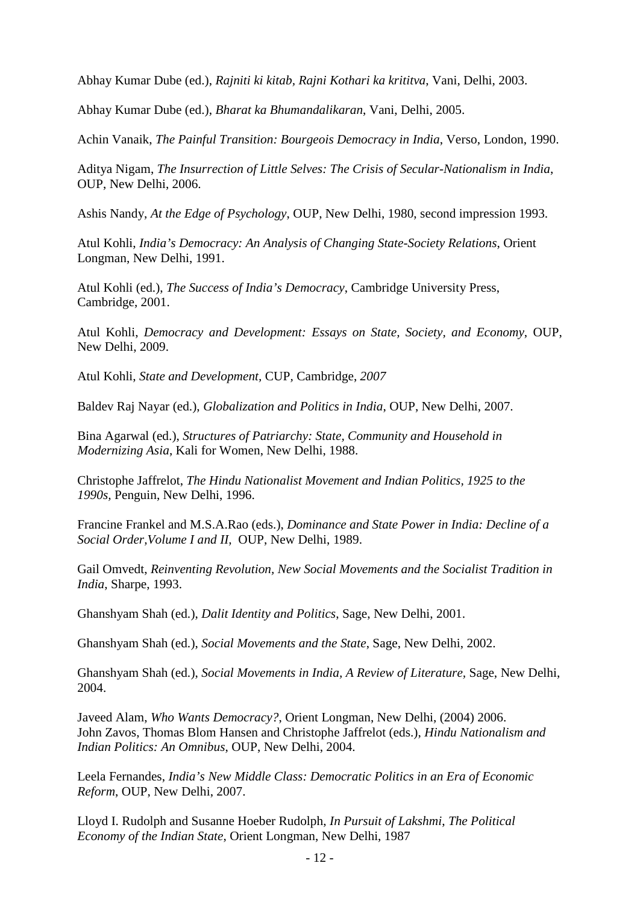Abhay Kumar Dube (ed.), *Rajniti ki kitab, Rajni Kothari ka krititva*, Vani, Delhi, 2003.

Abhay Kumar Dube (ed.), *Bharat ka Bhumandalikaran*, Vani, Delhi, 2005.

Achin Vanaik, *The Painful Transition: Bourgeois Democracy in India*, Verso, London, 1990.

Aditya Nigam, *The Insurrection of Little Selves: The Crisis of Secular-Nationalism in India*, OUP, New Delhi, 2006.

Ashis Nandy, *At the Edge of Psychology*, OUP, New Delhi, 1980, second impression 1993.

Atul Kohli, *India's Democracy: An Analysis of Changing State-Society Relations*, Orient Longman, New Delhi, 1991.

Atul Kohli (ed.), *The Success of India's Democracy*, Cambridge University Press, Cambridge, 2001.

Atul Kohli, *Democracy and Development: Essays on State, Society, and Economy*, OUP, New Delhi, 2009.

Atul Kohli, *State and Development,* CUP*,* Cambridge, *2007*

Baldev Raj Nayar (ed.), *Globalization and Politics in India*, OUP, New Delhi, 2007.

Bina Agarwal (ed.), *Structures of Patriarchy: State, Community and Household in Modernizing Asia*, Kali for Women, New Delhi, 1988.

Christophe Jaffrelot, *The Hindu Nationalist Movement and Indian Politics, 1925 to the 1990s,* Penguin, New Delhi, 1996.

Francine Frankel and M.S.A.Rao (eds.), *Dominance and State Power in India: Decline of a Social Order,Volume I and II,* OUP, New Delhi, 1989.

Gail Omvedt, *Reinventing Revolution, New Social Movements and the Socialist Tradition in India*, Sharpe, 1993.

Ghanshyam Shah (ed.), *Dalit Identity and Politics*, Sage, New Delhi, 2001.

Ghanshyam Shah (ed.), *Social Movements and the State*, Sage, New Delhi, 2002.

Ghanshyam Shah (ed.), *Social Movements in India, A Review of Literature,* Sage, New Delhi, 2004.

Javeed Alam, *Who Wants Democracy?*, Orient Longman, New Delhi, (2004) 2006. John Zavos, Thomas Blom Hansen and Christophe Jaffrelot (eds.), *Hindu Nationalism and Indian Politics: An Omnibus*, OUP, New Delhi, 2004.

Leela Fernandes, *India's New Middle Class: Democratic Politics in an Era of Economic Reform*, OUP, New Delhi, 2007.

Lloyd I. Rudolph and Susanne Hoeber Rudolph, *In Pursuit of Lakshmi*, *The Political Economy of the Indian State*, Orient Longman, New Delhi, 1987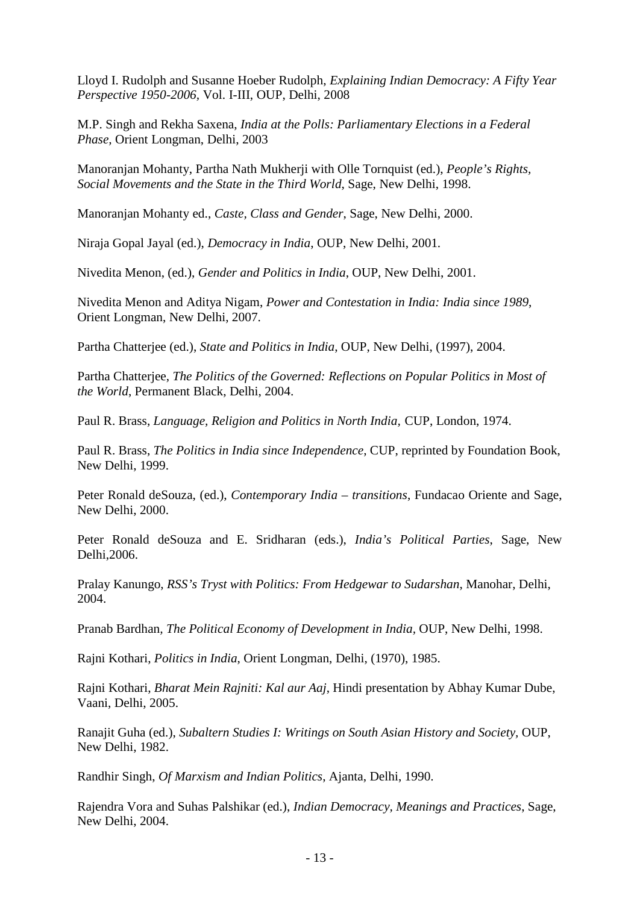Lloyd I. Rudolph and Susanne Hoeber Rudolph, *Explaining Indian Democracy: A Fifty Year Perspective 1950-2006,* Vol. I-III, OUP, Delhi, 2008

M.P. Singh and Rekha Saxena, *India at the Polls: Parliamentary Elections in a Federal Phase,* Orient Longman, Delhi, 2003

Manoranjan Mohanty, Partha Nath Mukherji with Olle Tornquist (ed.), *People's Rights, Social Movements and the State in the Third World*, Sage, New Delhi, 1998.

Manoranjan Mohanty ed., *Caste, Class and Gender*, Sage, New Delhi, 2000.

Niraja Gopal Jayal (ed.), *Democracy in India*, OUP, New Delhi, 2001*.*

Nivedita Menon, (ed.), *Gender and Politics in India*, OUP, New Delhi, 2001.

Nivedita Menon and Aditya Nigam, *Power and Contestation in India: India since 1989*, Orient Longman, New Delhi, 2007.

Partha Chatterjee (ed.), *State and Politics in India*, OUP, New Delhi, (1997), 2004.

Partha Chatterjee, *The Politics of the Governed: Reflections on Popular Politics in Most of the World*, Permanent Black, Delhi, 2004.

Paul R. Brass, *Language, Religion and Politics in North India,* CUP, London, 1974.

Paul R. Brass, *The Politics in India since Independence*, CUP, reprinted by Foundation Book, New Delhi, 1999.

Peter Ronald deSouza, (ed.), *Contemporary India – transitions*, Fundacao Oriente and Sage, New Delhi, 2000.

Peter Ronald deSouza and E. Sridharan (eds.), *India's Political Parties*, Sage, New Delhi,2006.

Pralay Kanungo, *RSS's Tryst with Politics: From Hedgewar to Sudarshan*, Manohar, Delhi, 2004.

Pranab Bardhan*, The Political Economy of Development in India,* OUP, New Delhi, 1998.

Rajni Kothari, *Politics in India*, Orient Longman, Delhi, (1970), 1985.

Rajni Kothari, *Bharat Mein Rajniti: Kal aur Aaj*, Hindi presentation by Abhay Kumar Dube, Vaani, Delhi, 2005.

Ranajit Guha (ed.), *Subaltern Studies I: Writings on South Asian History and Society,* OUP, New Delhi, 1982.

Randhir Singh, *Of Marxism and Indian Politics*, Ajanta, Delhi, 1990.

Rajendra Vora and Suhas Palshikar (ed.), *Indian Democracy, Meanings and Practices*, Sage, New Delhi, 2004.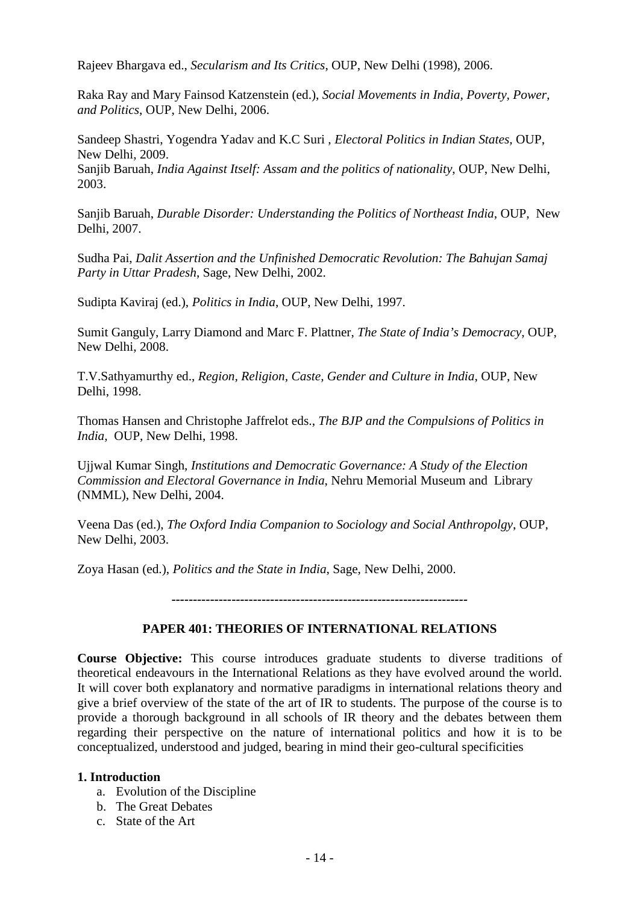Rajeev Bhargava ed., *Secularism and Its Critics*, OUP, New Delhi (1998), 2006.

Raka Ray and Mary Fainsod Katzenstein (ed.), *Social Movements in India, Poverty, Power, and Politics*, OUP, New Delhi, 2006.

Sandeep Shastri, Yogendra Yadav and K.C Suri , *Electoral Politics in Indian States*, OUP, New Delhi, 2009.

Sanjib Baruah, *India Against Itself: Assam and the politics of nationality*, OUP, New Delhi, 2003.

Sanjib Baruah, *Durable Disorder: Understanding the Politics of Northeast India*, OUP, New Delhi, 2007.

Sudha Pai, *Dalit Assertion and the Unfinished Democratic Revolution: The Bahujan Samaj Party in Uttar Pradesh*, Sage, New Delhi, 2002.

Sudipta Kaviraj (ed.), *Politics in India*, OUP, New Delhi, 1997.

Sumit Ganguly, Larry Diamond and Marc F. Plattner, *The State of India's Democracy*, OUP, New Delhi, 2008.

T.V.Sathyamurthy ed., *Region, Religion, Caste, Gender and Culture in India*, OUP, New Delhi, 1998.

Thomas Hansen and Christophe Jaffrelot eds., *The BJP and the Compulsions of Politics in India,* OUP, New Delhi, 1998.

Ujjwal Kumar Singh, *Institutions and Democratic Governance: A Study of the Election Commission and Electoral Governance in India*, Nehru Memorial Museum and Library (NMML), New Delhi, 2004.

Veena Das (ed.), *The Oxford India Companion to Sociology and Social Anthropolgy*, OUP, New Delhi, 2003.

Zoya Hasan (ed.), *Politics and the State in India*, Sage, New Delhi, 2000.

*---------------------------------------------------------------------*

#### **PAPER 401: THEORIES OF INTERNATIONAL RELATIONS**

**Course Objective:** This course introduces graduate students to diverse traditions of theoretical endeavours in the International Relations as they have evolved around the world. It will cover both explanatory and normative paradigms in international relations theory and give a brief overview of the state of the art of IR to students. The purpose of the course is to provide a thorough background in all schools of IR theory and the debates between them regarding their perspective on the nature of international politics and how it is to be conceptualized, understood and judged, bearing in mind their geo-cultural specificities

#### **1. Introduction**

- a. Evolution of the Discipline
- b. The Great Debates
- c. State of the Art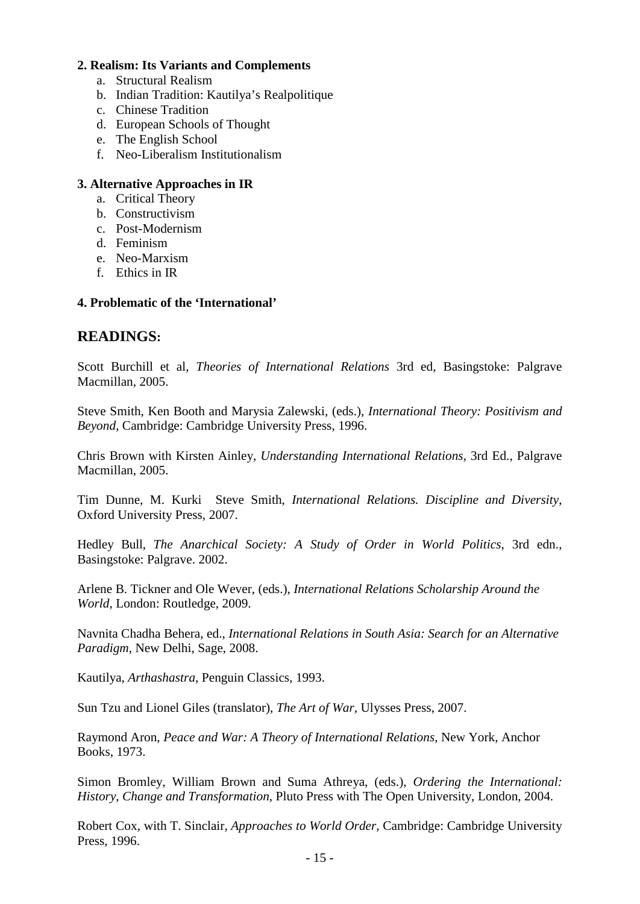## **2. Realism: Its Variants and Complements**

- a. Structural Realism
- b. Indian Tradition: Kautilya's Realpolitique
- c. Chinese Tradition
- d. European Schools of Thought
- e. The English School
- f. Neo-Liberalism Institutionalism

#### **3. Alternative Approaches in IR**

- a. Critical Theory
- b. Constructivism
- c. Post-Modernism
- d. Feminism
- e. Neo-Marxism
- f. Ethics in IR

#### **4. Problematic of the 'International'**

# **READINGS:**

Scott Burchill et al, *Theories of International Relations* 3rd ed, Basingstoke: Palgrave Macmillan, 2005.

Steve Smith, Ken Booth and Marysia Zalewski, (eds.), *International Theory: Positivism and Beyond*, Cambridge: Cambridge University Press, 1996.

Chris Brown with Kirsten Ainley, *Understanding International Relations*, 3rd Ed., Palgrave Macmillan, 2005.

Tim Dunne, M. Kurki Steve Smith, *International Relations. Discipline and Diversity*, Oxford University Press, 2007.

Hedley Bull, *The Anarchical Society: A Study of Order in World Politics*, 3rd edn., Basingstoke: Palgrave. 2002.

Arlene B. Tickner and Ole Wever, (eds.), *International Relations Scholarship Around the World*, London: Routledge, 2009.

Navnita Chadha Behera, ed., *International Relations in South Asia: Search for an Alternative Paradigm*, New Delhi, Sage, 2008.

Kautilya, *Arthashastra*, Penguin Classics, 1993.

Sun Tzu and Lionel Giles (translator), *The Art of War,* Ulysses Press, 2007.

Raymond Aron, *Peace and War: A Theory of International Relations*, New York, Anchor Books, 1973.

Simon Bromley, William Brown and Suma Athreya, (eds.), *Ordering the International: History, Change and Transformation*, Pluto Press with The Open University, London, 2004.

Robert Cox, with T. Sinclair, *Approaches to World Order*, Cambridge: Cambridge University Press, 1996.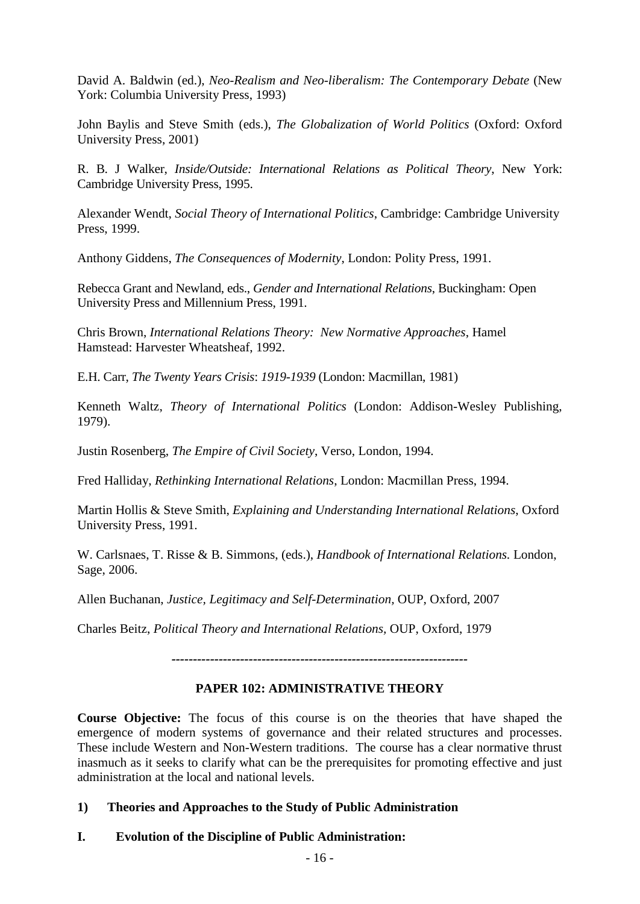David A. Baldwin (ed.), *Neo-Realism and Neo-liberalism: The Contemporary Debate* (New York: Columbia University Press, 1993)

John Baylis and Steve Smith (eds.), *The Globalization of World Politics* (Oxford: Oxford University Press, 2001)

R. B. J Walker, *Inside/Outside: International Relations as Political Theory*, New York: Cambridge University Press, 1995.

Alexander Wendt, *Social Theory of International Politics*, Cambridge: Cambridge University Press, 1999.

Anthony Giddens, *The Consequences of Modernity*, London: Polity Press, 1991.

Rebecca Grant and Newland, eds., *Gender and International Relations*, Buckingham: Open University Press and Millennium Press, 1991.

Chris Brown, *International Relations Theory: New Normative Approaches*, Hamel Hamstead: Harvester Wheatsheaf, 1992.

E.H. Carr, *The Twenty Years Crisis*: *1919-1939* (London: Macmillan, 1981)

Kenneth Waltz, *Theory of International Politics* (London: Addison-Wesley Publishing, 1979).

Justin Rosenberg, *The Empire of Civil Society*, Verso, London, 1994.

Fred Halliday, *Rethinking International Relations*, London: Macmillan Press, 1994.

Martin Hollis & Steve Smith, *Explaining and Understanding International Relations*, Oxford University Press, 1991.

W. Carlsnaes, T. Risse & B. Simmons, (eds.), *Handbook of International Relations.* London, Sage, 2006.

Allen Buchanan, *Justice, Legitimacy and Self-Determination,* OUP, Oxford, 2007

Charles Beitz, *Political Theory and International Relations,* OUP, Oxford, 1979

*---------------------------------------------------------------------*

# **PAPER 102: ADMINISTRATIVE THEORY**

**Course Objective:** The focus of this course is on the theories that have shaped the emergence of modern systems of governance and their related structures and processes. These include Western and Non-Western traditions. The course has a clear normative thrust inasmuch as it seeks to clarify what can be the prerequisites for promoting effective and just administration at the local and national levels.

# **1) Theories and Approaches to the Study of Public Administration**

# **I. Evolution of the Discipline of Public Administration:**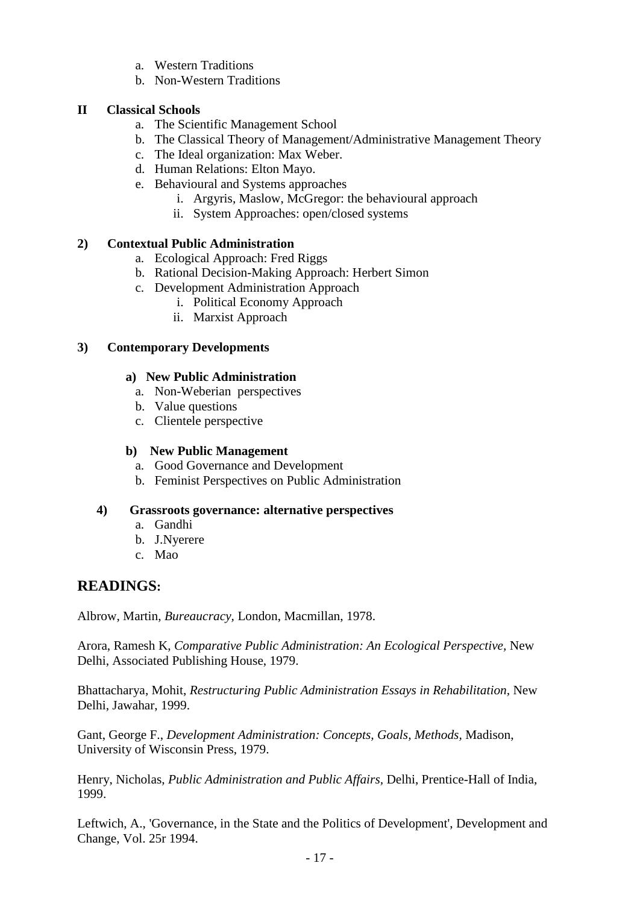- a. Western Traditions
- b. Non-Western Traditions

## **II Classical Schools**

- a. The Scientific Management School
- b. The Classical Theory of Management/Administrative Management Theory
- c. The Ideal organization: Max Weber.
- d. Human Relations: Elton Mayo.
- e. Behavioural and Systems approaches
	- i. Argyris, Maslow, McGregor: the behavioural approach
	- ii. System Approaches: open/closed systems

# **2) Contextual Public Administration**

- a. Ecological Approach: Fred Riggs
- b. Rational Decision-Making Approach: Herbert Simon
- c. Development Administration Approach
	- i. Political Economy Approach
	- ii. Marxist Approach

#### **3) Contemporary Developments**

#### **a) New Public Administration**

- a. Non-Weberian perspectives
- b. Value questions
- c. Clientele perspective

#### **b) New Public Management**

- a. Good Governance and Development
- b. Feminist Perspectives on Public Administration

#### **4) Grassroots governance: alternative perspectives**

- a. Gandhi
- b. J.Nyerere
- c. Mao

# **READINGS:**

Albrow, Martin, *Bureaucracy,* London, Macmillan, 1978.

Arora, Ramesh K, *Comparative Public Administration: An Ecological Perspective,* New Delhi, Associated Publishing House, 1979.

Bhattacharya, Mohit, *Restructuring Public Administration Essays in Rehabilitation,* New Delhi, Jawahar, 1999.

Gant, George F., *Development Administration: Concepts, Goals, Methods,* Madison, University of Wisconsin Press, 1979.

Henry, Nicholas, *Public Administration and Public Affairs,* Delhi, Prentice-Hall of India, 1999.

Leftwich, A., 'Governance, in the State and the Politics of Development', Development and Change, Vol. 25r 1994.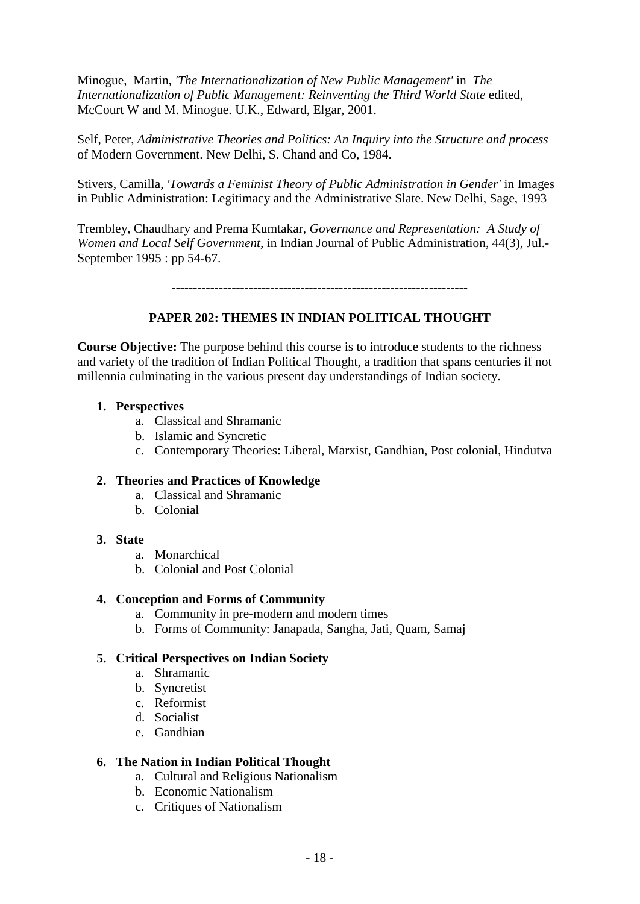Minogue, Martin, *'The Internationalization of New Public Management'* in *The Internationalization of Public Management: Reinventing the Third World State* edited, McCourt W and M. Minogue. U.K., Edward, Elgar, 2001.

Self, Peter, *Administrative Theories and Politics: An Inquiry into the Structure and process* of Modern Government. New Delhi, S. Chand and Co, 1984.

Stivers, Camilla, *'Towards a Feminist Theory of Public Administration in Gender'* in Images in Public Administration: Legitimacy and the Administrative Slate. New Delhi, Sage, 1993

Trembley, Chaudhary and Prema Kumtakar, *Governance and Representation: A Study of Women and Local Self Government,* in Indian Journal of Public Administration, 44(3), Jul.- September 1995 : pp 54-67.

*---------------------------------------------------------------------*

#### **PAPER 202: THEMES IN INDIAN POLITICAL THOUGHT**

**Course Objective:** The purpose behind this course is to introduce students to the richness and variety of the tradition of Indian Political Thought, a tradition that spans centuries if not millennia culminating in the various present day understandings of Indian society.

#### **1. Perspectives**

- a. Classical and Shramanic
- b. Islamic and Syncretic
- c. Contemporary Theories: Liberal, Marxist, Gandhian, Post colonial, Hindutva

#### **2. Theories and Practices of Knowledge**

- a. Classical and Shramanic
- b. Colonial

#### **3. State**

- a. Monarchical
- b. Colonial and Post Colonial

#### **4. Conception and Forms of Community**

- a. Community in pre-modern and modern times
- b. Forms of Community: Janapada, Sangha, Jati, Quam, Samaj

#### **5. Critical Perspectives on Indian Society**

- a. Shramanic
- b. Syncretist
- c. Reformist
- d. Socialist
- e. Gandhian

#### **6. The Nation in Indian Political Thought**

- a. Cultural and Religious Nationalism
- b. Economic Nationalism
- c. Critiques of Nationalism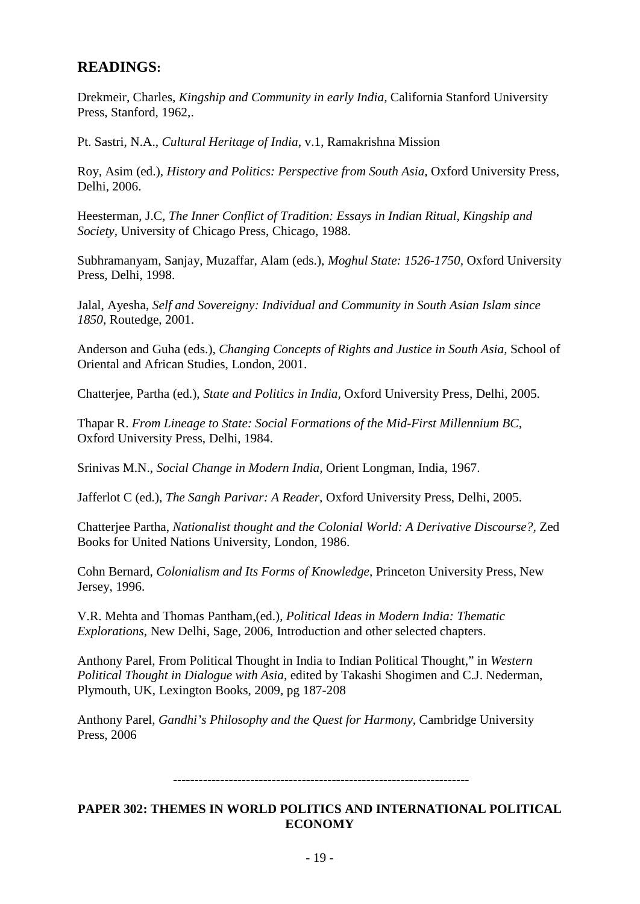# **READINGS:**

Drekmeir, Charles, *Kingship and Community in early India,* California Stanford University Press, Stanford, 1962,.

Pt. Sastri, N.A., *Cultural Heritage of India*, v.1, Ramakrishna Mission

Roy, Asim (ed.), *History and Politics: Perspective from South Asia,* Oxford University Press, Delhi, 2006.

Heesterman, J.C, *The Inner Conflict of Tradition: Essays in Indian Ritual, Kingship and Society,* University of Chicago Press, Chicago, 1988.

Subhramanyam, Sanjay, Muzaffar, Alam (eds.), *Moghul State: 1526-1750,* Oxford University Press, Delhi, 1998.

Jalal, Ayesha, *Self and Sovereigny: Individual and Community in South Asian Islam since 1850,* Routedge, 2001.

Anderson and Guha (eds.), *Changing Concepts of Rights and Justice in South Asia,* School of Oriental and African Studies, London, 2001.

Chatterjee, Partha (ed.), *State and Politics in India,* Oxford University Press, Delhi, 2005.

Thapar R. *From Lineage to State: Social Formations of the Mid-First Millennium BC,*  Oxford University Press, Delhi, 1984.

Srinivas M.N., *Social Change in Modern India,* Orient Longman, India, 1967.

Jafferlot C (ed.), *The Sangh Parivar: A Reader,* Oxford University Press, Delhi, 2005.

Chatterjee Partha, *Nationalist thought and the Colonial World: A Derivative Discourse?,* Zed Books for United Nations University, London, 1986.

Cohn Bernard, *Colonialism and Its Forms of Knowledge,* Princeton University Press, New Jersey, 1996.

V.R. Mehta and Thomas Pantham,(ed.), *Political Ideas in Modern India: Thematic Explorations,* New Delhi, Sage, 2006, Introduction and other selected chapters.

Anthony Parel, From Political Thought in India to Indian Political Thought," in *Western Political Thought in Dialogue with Asia,* edited by Takashi Shogimen and C.J. Nederman, Plymouth, UK, Lexington Books, 2009, pg 187-208

Anthony Parel, *Gandhi's Philosophy and the Quest for Harmony,* Cambridge University Press, 2006

#### *---------------------------------------------------------------------*

# **PAPER 302: THEMES IN WORLD POLITICS AND INTERNATIONAL POLITICAL ECONOMY**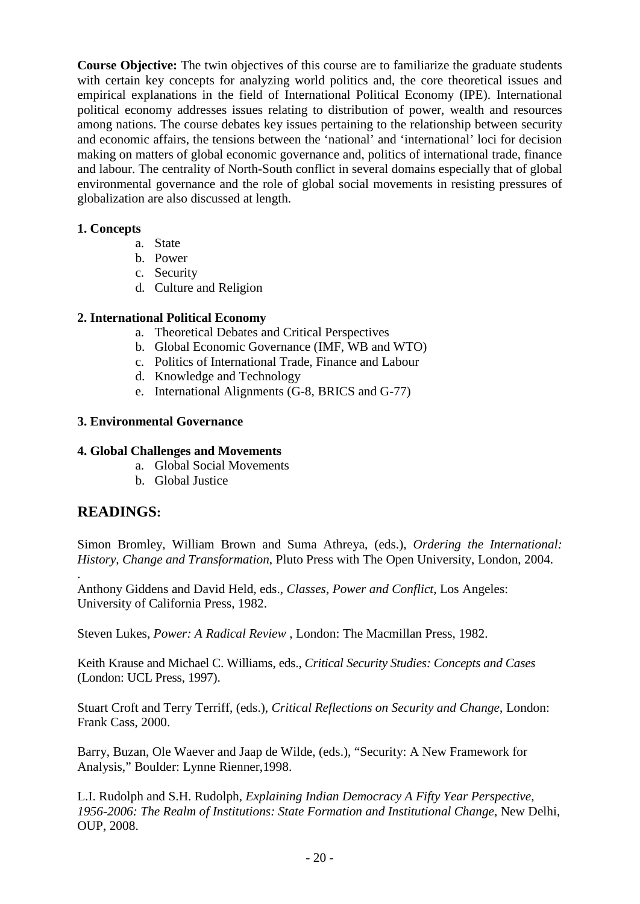**Course Objective:** The twin objectives of this course are to familiarize the graduate students with certain key concepts for analyzing world politics and, the core theoretical issues and empirical explanations in the field of International Political Economy (IPE). International political economy addresses issues relating to distribution of power, wealth and resources among nations. The course debates key issues pertaining to the relationship between security and economic affairs, the tensions between the 'national' and 'international' loci for decision making on matters of global economic governance and, politics of international trade, finance and labour. The centrality of North-South conflict in several domains especially that of global environmental governance and the role of global social movements in resisting pressures of globalization are also discussed at length.

# **1. Concepts**

- a. State
- b. Power
- c. Security
- d. Culture and Religion

# **2. International Political Economy**

- a. Theoretical Debates and Critical Perspectives
- b. Global Economic Governance (IMF, WB and WTO)
- c. Politics of International Trade, Finance and Labour
- d. Knowledge and Technology
- e. International Alignments (G-8, BRICS and G-77)

# **3. Environmental Governance**

# **4. Global Challenges and Movements**

- a. Global Social Movements
- b. Global Justice

# **READINGS:**

Simon Bromley, William Brown and Suma Athreya, (eds.), *Ordering the International: History, Change and Transformation*, Pluto Press with The Open University, London, 2004.

. Anthony Giddens and David Held, eds., *Classes, Power and Conflict*, Los Angeles: University of California Press, 1982.

Steven Lukes, *Power: A Radical Review* , London: The Macmillan Press, 1982.

Keith Krause and Michael C. Williams, eds., *Critical Security Studies: Concepts and Cases* (London: UCL Press, 1997).

Stuart Croft and Terry Terriff, (eds.), *Critical Reflections on Security and Change*, London: Frank Cass, 2000.

Barry, Buzan, Ole Waever and Jaap de Wilde, (eds.), "Security: A New Framework for Analysis," Boulder: Lynne Rienner,1998.

L.I. Rudolph and S.H. Rudolph, *Explaining Indian Democracy A Fifty Year Perspective, 1956-2006: The Realm of Institutions: State Formation and Institutional Change*, New Delhi, OUP, 2008.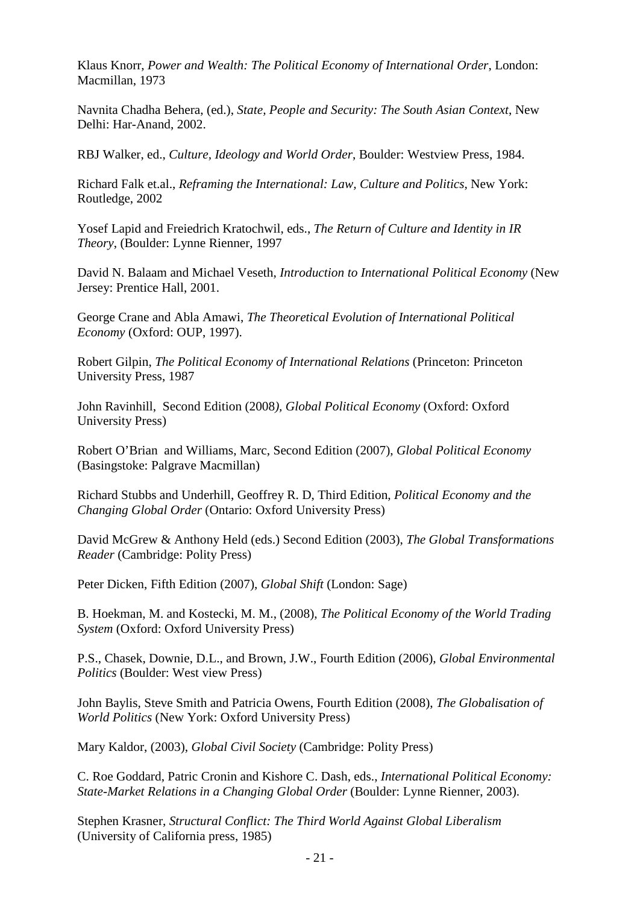Klaus Knorr, *Power and Wealth: The Political Economy of International Order*, London: Macmillan, 1973

Navnita Chadha Behera, (ed.), *State, People and Security: The South Asian Context*, New Delhi: Har-Anand, 2002.

RBJ Walker, ed., *Culture, Ideology and World Order*, Boulder: Westview Press, 1984.

Richard Falk et.al., *Reframing the International: Law, Culture and Politics*, New York: Routledge, 2002

Yosef Lapid and Freiedrich Kratochwil, eds., *The Return of Culture and Identity in IR Theory*, (Boulder: Lynne Rienner, 1997

David N. Balaam and Michael Veseth, *Introduction to International Political Economy* (New Jersey: Prentice Hall, 2001.

George Crane and Abla Amawi, *The Theoretical Evolution of International Political Economy* (Oxford: OUP, 1997).

Robert Gilpin, *The Political Economy of International Relations* (Princeton: Princeton University Press, 1987

John Ravinhill, Second Edition (2008*), Global Political Economy* (Oxford: Oxford University Press)

Robert O'Brian and Williams, Marc, Second Edition (2007), *Global Political Economy* (Basingstoke: Palgrave Macmillan)

Richard Stubbs and Underhill, Geoffrey R. D, Third Edition, *Political Economy and the Changing Global Order* (Ontario: Oxford University Press)

David McGrew & Anthony Held (eds.) Second Edition (2003), *The Global Transformations Reader* (Cambridge: Polity Press)

Peter Dicken, Fifth Edition (2007), *Global Shift* (London: Sage)

B. Hoekman, M. and Kostecki, M. M., (2008), *The Political Economy of the World Trading System* (Oxford: Oxford University Press)

P.S., Chasek, Downie, D.L., and Brown, J.W., Fourth Edition (2006), *Global Environmental Politics* (Boulder: West view Press)

John Baylis, Steve Smith and Patricia Owens, Fourth Edition (2008), *The Globalisation of World Politics* (New York: Oxford University Press)

Mary Kaldor, (2003), *Global Civil Society* (Cambridge: Polity Press)

C. Roe Goddard, Patric Cronin and Kishore C. Dash, eds., *International Political Economy: State-Market Relations in a Changing Global Order* (Boulder: Lynne Rienner, 2003).

Stephen Krasner, *Structural Conflict: The Third World Against Global Liberalism*  (University of California press, 1985)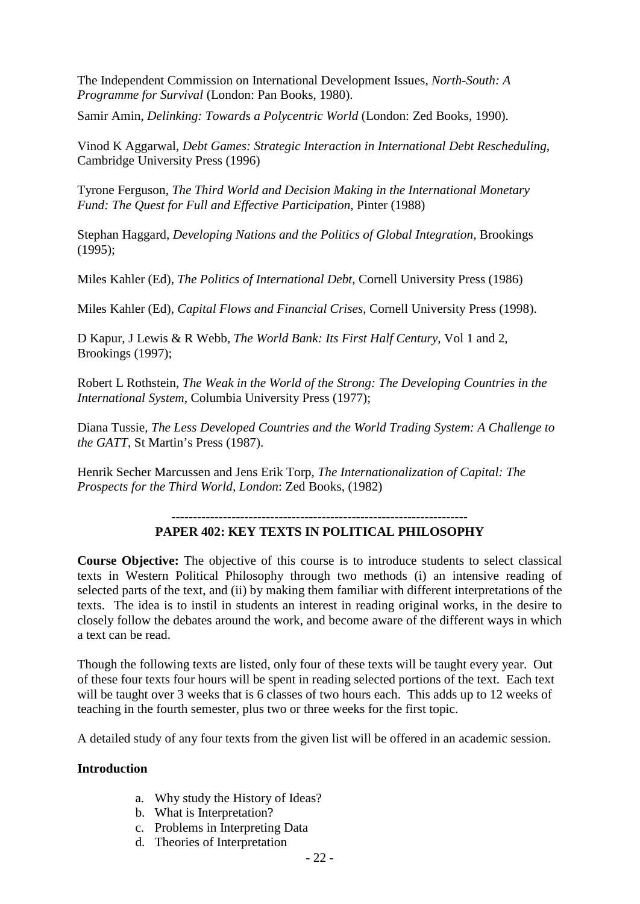The Independent Commission on International Development Issues, *North-South: A Programme for Survival* (London: Pan Books, 1980).

Samir Amin, *Delinking: Towards a Polycentric World* (London: Zed Books, 1990).

Vinod K Aggarwal, *Debt Games: Strategic Interaction in International Debt Rescheduling*, Cambridge University Press (1996)

Tyrone Ferguson, *The Third World and Decision Making in the International Monetary Fund: The Quest for Full and Effective Participation*, Pinter (1988)

Stephan Haggard, *Developing Nations and the Politics of Global Integration*, Brookings (1995);

Miles Kahler (Ed), *The Politics of International Debt*, Cornell University Press (1986)

Miles Kahler (Ed), *Capital Flows and Financial Crises*, Cornell University Press (1998).

D Kapur, J Lewis & R Webb, *The World Bank: Its First Half Century*, Vol 1 and 2, Brookings (1997);

Robert L Rothstein, *The Weak in the World of the Strong: The Developing Countries in the International System*, Columbia University Press (1977);

Diana Tussie, *The Less Developed Countries and the World Trading System: A Challenge to the GATT*, St Martin's Press (1987).

Henrik Secher Marcussen and Jens Erik Torp, *The Internationalization of Capital: The Prospects for the Third World, London*: Zed Books, (1982)

#### *---------------------------------------------------------------------* **PAPER 402: KEY TEXTS IN POLITICAL PHILOSOPHY**

**Course Objective:** The objective of this course is to introduce students to select classical texts in Western Political Philosophy through two methods (i) an intensive reading of selected parts of the text, and (ii) by making them familiar with different interpretations of the texts. The idea is to instil in students an interest in reading original works, in the desire to closely follow the debates around the work, and become aware of the different ways in which a text can be read.

Though the following texts are listed, only four of these texts will be taught every year. Out of these four texts four hours will be spent in reading selected portions of the text. Each text will be taught over 3 weeks that is 6 classes of two hours each. This adds up to 12 weeks of teaching in the fourth semester, plus two or three weeks for the first topic.

A detailed study of any four texts from the given list will be offered in an academic session.

# **Introduction**

- a. Why study the History of Ideas?
- b. What is Interpretation?
- c. Problems in Interpreting Data
- d. Theories of Interpretation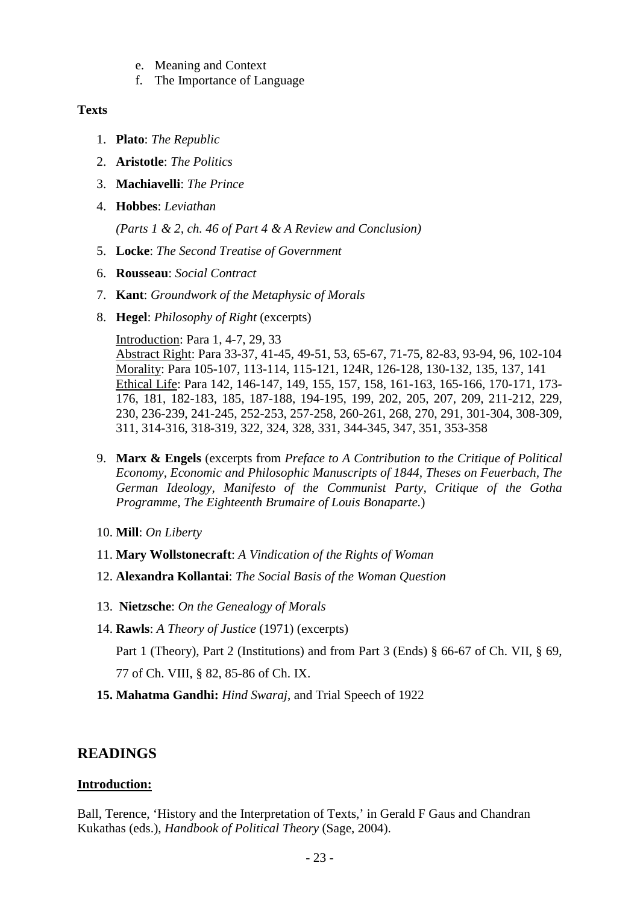- e. Meaning and Context
- f. The Importance of Language

### **Texts**

- 1. **Plato**: *The Republic*
- 2. **Aristotle**: *The Politics*
- 3. **Machiavelli**: *The Prince*
- 4. **Hobbes**: *Leviathan*

*(Parts 1 & 2, ch. 46 of Part 4 & A Review and Conclusion)*

- 5. **Locke**: *The Second Treatise of Government*
- 6. **Rousseau**: *Social Contract*
- 7. **Kant**: *Groundwork of the Metaphysic of Morals*
- 8. **Hegel**: *Philosophy of Right* (excerpts)

Introduction: Para 1, 4-7, 29, 33

Abstract Right: Para 33-37, 41-45, 49-51, 53, 65-67, 71-75, 82-83, 93-94, 96, 102-104 Morality: Para 105-107, 113-114, 115-121, 124R, 126-128, 130-132, 135, 137, 141 Ethical Life: Para 142, 146-147, 149, 155, 157, 158, 161-163, 165-166, 170-171, 173- 176, 181, 182-183, 185, 187-188, 194-195, 199, 202, 205, 207, 209, 211-212, 229, 230, 236-239, 241-245, 252-253, 257-258, 260-261, 268, 270, 291, 301-304, 308-309, 311, 314-316, 318-319, 322, 324, 328, 331, 344-345, 347, 351, 353-358

- 9. **Marx & Engels** (excerpts from *Preface to A Contribution to the Critique of Political Economy, Economic and Philosophic Manuscripts of 1844, Theses on Feuerbach, The German Ideology, Manifesto of the Communist Party, Critique of the Gotha Programme, The Eighteenth Brumaire of Louis Bonaparte.*)
- 10. **Mill**: *On Liberty*
- 11. **Mary Wollstonecraft**: *A Vindication of the Rights of Woman*
- 12. **Alexandra Kollantai**: *The Social Basis of the Woman Question*
- 13. **Nietzsche**: *On the Genealogy of Morals*
- 14. **Rawls**: *A Theory of Justice* (1971) (excerpts)

Part 1 (Theory), Part 2 (Institutions) and from Part 3 (Ends) § 66-67 of Ch. VII, § 69, 77 of Ch. VIII, § 82, 85-86 of Ch. IX.

**15. Mahatma Gandhi:** *Hind Swaraj*, and Trial Speech of 1922

# **READINGS**

# **Introduction:**

Ball, Terence, 'History and the Interpretation of Texts,' in Gerald F Gaus and Chandran Kukathas (eds.), *Handbook of Political Theory* (Sage, 2004).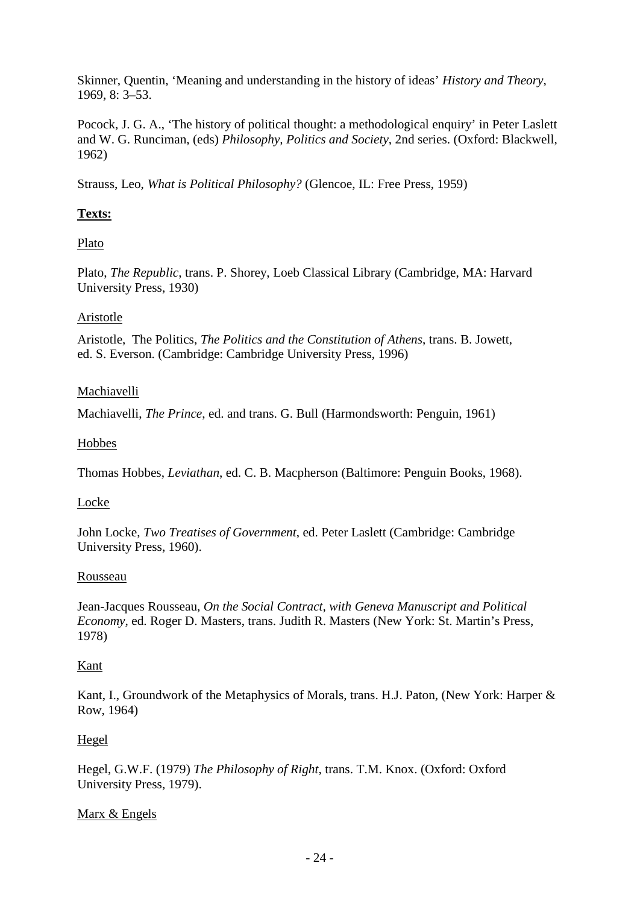Skinner, Quentin, 'Meaning and understanding in the history of ideas' *History and Theory*, 1969, 8: 3–53.

Pocock, J. G. A., 'The history of political thought: a methodological enquiry' in Peter Laslett and W. G. Runciman, (eds) *Philosophy, Politics and Society*, 2nd series. (Oxford: Blackwell, 1962)

Strauss, Leo, *What is Political Philosophy?* (Glencoe, IL: Free Press, 1959)

# **Texts:**

# Plato

Plato, *The Republic*, trans. P. Shorey, Loeb Classical Library (Cambridge, MA: Harvard University Press, 1930)

# Aristotle

Aristotle, The Politics, *The Politics and the Constitution of Athens*, trans. B. Jowett, ed. S. Everson. (Cambridge: Cambridge University Press, 1996)

# Machiavelli

Machiavelli, *The Prince*, ed. and trans. G. Bull (Harmondsworth: Penguin, 1961)

# Hobbes

Thomas Hobbes, *Leviathan*, ed. C. B. Macpherson (Baltimore: Penguin Books, 1968).

# Locke

John Locke, *Two Treatises of Government*, ed. Peter Laslett (Cambridge: Cambridge University Press, 1960).

# Rousseau

Jean-Jacques Rousseau, *On the Social Contract, with Geneva Manuscript and Political Economy*, ed. Roger D. Masters, trans. Judith R. Masters (New York: St. Martin's Press, 1978)

# Kant

Kant, I., Groundwork of the Metaphysics of Morals, trans. H.J. Paton, (New York: Harper & Row, 1964)

# Hegel

Hegel, G.W.F. (1979) *The Philosophy of Right*, trans. T.M. Knox. (Oxford: Oxford University Press, 1979).

# Marx & Engels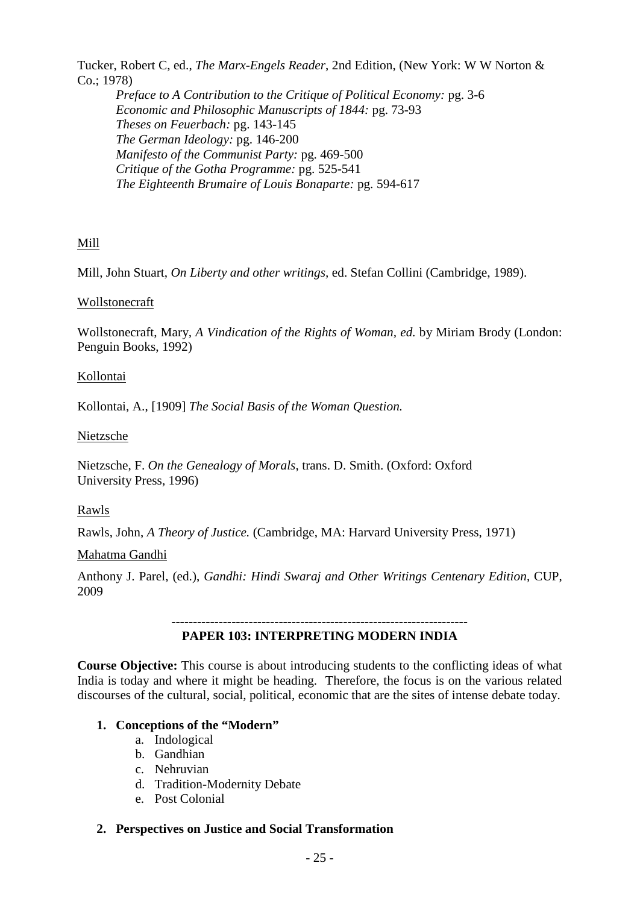Tucker, Robert C, ed., *The Marx-Engels Reader*, 2nd Edition, (New York: W W Norton & Co.; 1978)

*Preface to A Contribution to the Critique of Political Economy:* pg. 3-6 *Economic and Philosophic Manuscripts of 1844:* pg. 73-93 *Theses on Feuerbach:* pg. 143-145 *The German Ideology:* pg. 146-200 *Manifesto of the Communist Party:* pg. 469-500 *Critique of the Gotha Programme:* pg. 525-541 *The Eighteenth Brumaire of Louis Bonaparte:* pg. 594-617

# Mill

Mill, John Stuart, *On Liberty and other writings,* ed. Stefan Collini (Cambridge, 1989).

# Wollstonecraft

Wollstonecraft, Mary*, A Vindication of the Rights of Woman, ed.* by Miriam Brody (London: Penguin Books, 1992)

#### Kollontai

Kollontai, A., [1909] *The Social Basis of the Woman Question.*

Nietzsche

Nietzsche, F. *On the Genealogy of Morals*, trans. D. Smith. (Oxford: Oxford University Press, 1996)

Rawls

Rawls, John, *A Theory of Justice.* (Cambridge, MA: Harvard University Press, 1971)

#### Mahatma Gandhi

Anthony J. Parel, (ed.), *Gandhi: Hindi Swaraj and Other Writings Centenary Edition*, CUP, 2009

#### *---------------------------------------------------------------------* **PAPER 103: INTERPRETING MODERN INDIA**

**Course Objective:** This course is about introducing students to the conflicting ideas of what India is today and where it might be heading. Therefore, the focus is on the various related discourses of the cultural, social, political, economic that are the sites of intense debate today.

# **1. Conceptions of the "Modern"**

- a. Indological
- b. Gandhian
- c. Nehruvian
- d. Tradition-Modernity Debate
- e. Post Colonial

# **2. Perspectives on Justice and Social Transformation**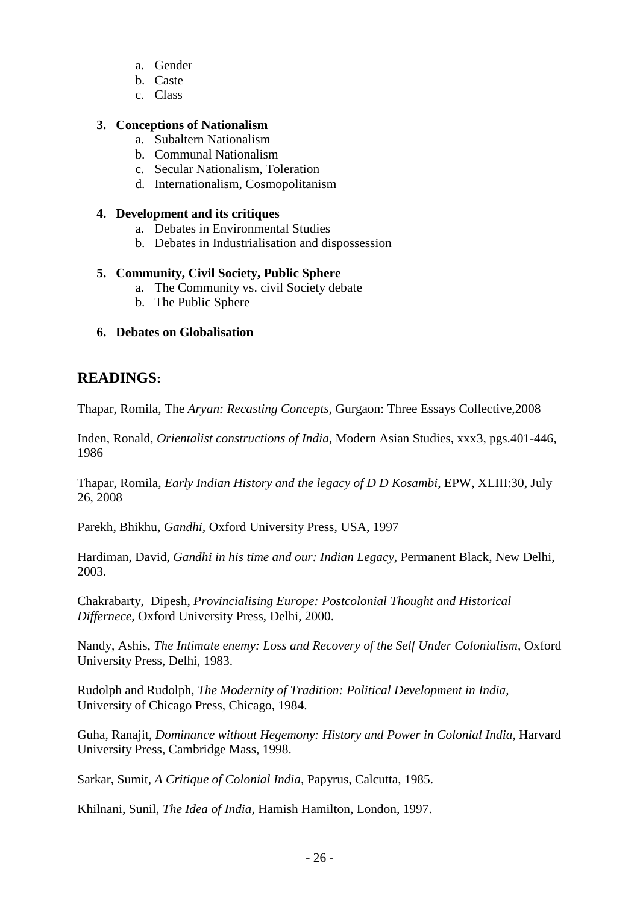- a. Gender
- b. Caste
- c. Class

### **3. Conceptions of Nationalism**

- a. Subaltern Nationalism
- b. Communal Nationalism
- c. Secular Nationalism, Toleration
- d. Internationalism, Cosmopolitanism

#### **4. Development and its critiques**

- a. Debates in Environmental Studies
- b. Debates in Industrialisation and dispossession

#### **5. Community, Civil Society, Public Sphere**

- a. The Community vs. civil Society debate
- b. The Public Sphere

#### **6. Debates on Globalisation**

# **READINGS:**

Thapar, Romila, The *Aryan: Recasting Concepts,* Gurgaon: Three Essays Collective,2008

Inden, Ronald, *Orientalist constructions of India*, Modern Asian Studies, xxx3, pgs.401-446, 1986

Thapar, Romila, *Early Indian History and the legacy of D D Kosambi*, EPW, XLIII:30, July 26, 2008

Parekh, Bhikhu, *Gandhi,* Oxford University Press, USA, 1997

Hardiman, David, *Gandhi in his time and our: Indian Legacy,* Permanent Black, New Delhi, 2003.

Chakrabarty, Dipesh, *Provincialising Europe: Postcolonial Thought and Historical Differnece,* Oxford University Press, Delhi, 2000.

Nandy, Ashis, *The Intimate enemy: Loss and Recovery of the Self Under Colonialism*, Oxford University Press, Delhi, 1983.

Rudolph and Rudolph, *The Modernity of Tradition: Political Development in India,*  University of Chicago Press, Chicago, 1984.

Guha, Ranajit, *Dominance without Hegemony: History and Power in Colonial India,* Harvard University Press, Cambridge Mass, 1998.

Sarkar, Sumit, *A Critique of Colonial India,* Papyrus, Calcutta, 1985.

Khilnani, Sunil, *The Idea of India,* Hamish Hamilton, London, 1997.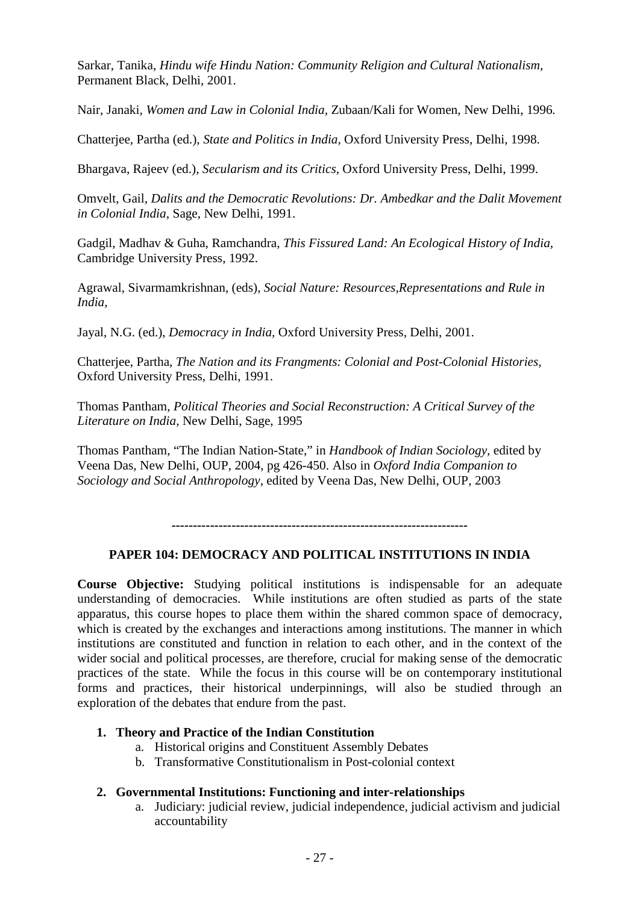Sarkar, Tanika, *Hindu wife Hindu Nation: Community Religion and Cultural Nationalism,*  Permanent Black, Delhi, 2001.

Nair, Janaki, *Women and Law in Colonial India,* Zubaan/Kali for Women, New Delhi, 1996*.*

Chatterjee, Partha (ed.), *State and Politics in India,* Oxford University Press, Delhi, 1998.

Bhargava, Rajeev (ed.), *Secularism and its Critics,* Oxford University Press, Delhi, 1999.

Omvelt, Gail, *Dalits and the Democratic Revolutions: Dr. Ambedkar and the Dalit Movement in Colonial India,* Sage, New Delhi, 1991.

Gadgil, Madhav & Guha, Ramchandra, *This Fissured Land: An Ecological History of India,* Cambridge University Press, 1992.

Agrawal, Sivarmamkrishnan, (eds), *Social Nature: Resources,Representations and Rule in India,* 

Jayal, N.G. (ed.), *Democracy in India,* Oxford University Press, Delhi, 2001.

Chatterjee, Partha, *The Nation and its Frangments: Colonial and Post-Colonial Histories,* Oxford University Press, Delhi, 1991.

Thomas Pantham, *Political Theories and Social Reconstruction: A Critical Survey of the Literature on India,* New Delhi, Sage, 1995

Thomas Pantham, "The Indian Nation-State," in *Handbook of Indian Sociology,* edited by Veena Das, New Delhi, OUP, 2004, pg 426-450. Also in *Oxford India Companion to Sociology and Social Anthropology,* edited by Veena Das, New Delhi, OUP, 2003

*---------------------------------------------------------------------*

# **PAPER 104: DEMOCRACY AND POLITICAL INSTITUTIONS IN INDIA**

**Course Objective:** Studying political institutions is indispensable for an adequate understanding of democracies. While institutions are often studied as parts of the state apparatus, this course hopes to place them within the shared common space of democracy, which is created by the exchanges and interactions among institutions. The manner in which institutions are constituted and function in relation to each other, and in the context of the wider social and political processes, are therefore, crucial for making sense of the democratic practices of the state. While the focus in this course will be on contemporary institutional forms and practices, their historical underpinnings, will also be studied through an exploration of the debates that endure from the past.

# **1. Theory and Practice of the Indian Constitution**

- a. Historical origins and Constituent Assembly Debates
- b. Transformative Constitutionalism in Post-colonial context

#### **2. Governmental Institutions: Functioning and inter-relationships**

a. Judiciary: judicial review, judicial independence, judicial activism and judicial accountability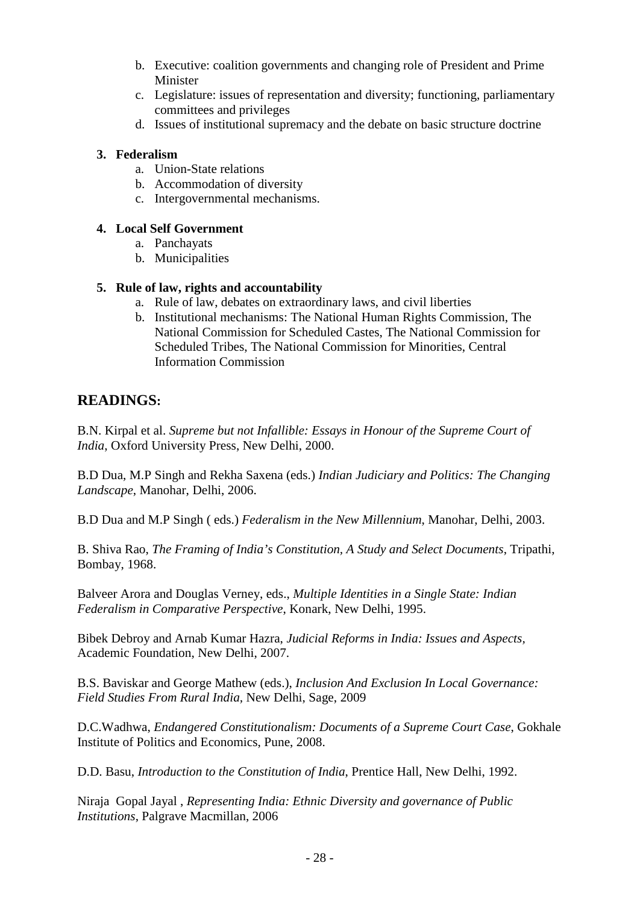- b. Executive: coalition governments and changing role of President and Prime Minister
- c. Legislature: issues of representation and diversity; functioning, parliamentary committees and privileges
- d. Issues of institutional supremacy and the debate on basic structure doctrine

## **3. Federalism**

- a. Union-State relations
- b. Accommodation of diversity
- c. Intergovernmental mechanisms.

## **4. Local Self Government**

- a. Panchayats
- b. Municipalities

#### **5. Rule of law, rights and accountability**

- a. Rule of law, debates on extraordinary laws, and civil liberties
- b. Institutional mechanisms: The National Human Rights Commission, The National Commission for Scheduled Castes, The National Commission for Scheduled Tribes, The National Commission for Minorities, Central Information Commission

# **READINGS:**

B.N. Kirpal et al. *Supreme but not Infallible: Essays in Honour of the Supreme Court of India*, Oxford University Press, New Delhi, 2000.

B.D Dua, M.P Singh and Rekha Saxena (eds.) *Indian Judiciary and Politics: The Changing Landscape*, Manohar, Delhi, 2006.

B.D Dua and M.P Singh ( eds.) *Federalism in the New Millennium*, Manohar, Delhi, 2003.

B. Shiva Rao, *The Framing of India's Constitution, A Study and Select Documents*, Tripathi, Bombay, 1968.

Balveer Arora and Douglas Verney, eds., *Multiple Identities in a Single State: Indian Federalism in Comparative Perspective*, Konark, New Delhi, 1995.

Bibek Debroy and Arnab Kumar Hazra, *Judicial Reforms in India: Issues and Aspects,* Academic Foundation, New Delhi, 2007.

B.S. Baviskar and George Mathew (eds.), *Inclusion And Exclusion In Local Governance: Field Studies From Rural India,* New Delhi, Sage, 2009

D.C.Wadhwa, *Endangered Constitutionalism: Documents of a Supreme Court Case*, Gokhale Institute of Politics and Economics, Pune, 2008.

D.D. Basu, *Introduction to the Constitution of India*, Prentice Hall, New Delhi, 1992.

Niraja Gopal Jayal , *Representing India: Ethnic Diversity and governance of Public Institutions*, Palgrave Macmillan, 2006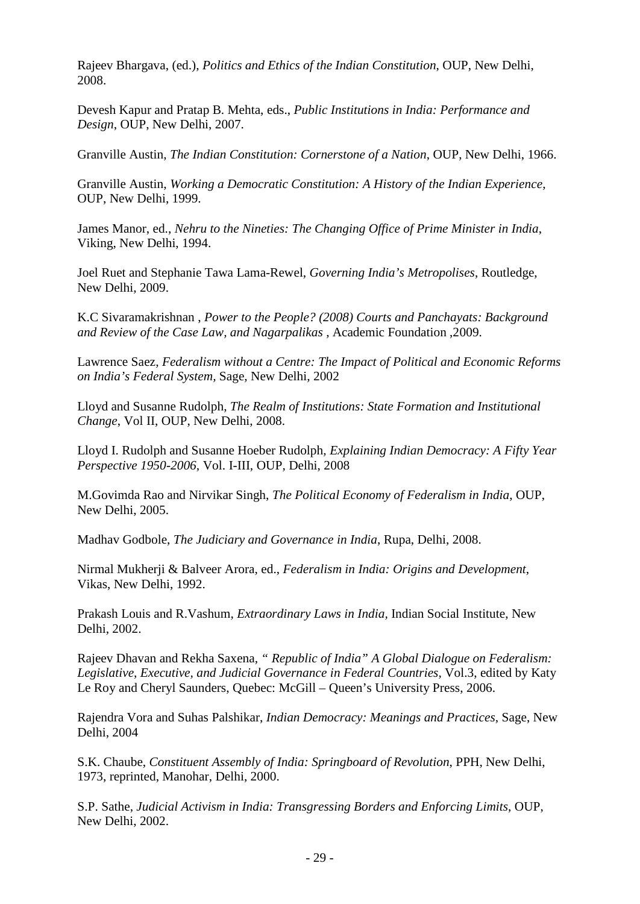Rajeev Bhargava, (ed.), *Politics and Ethics of the Indian Constitution*, OUP, New Delhi, 2008.

Devesh Kapur and Pratap B. Mehta, eds., *Public Institutions in India: Performance and Design*, OUP, New Delhi, 2007.

Granville Austin, *The Indian Constitution: Cornerstone of a Nation*, OUP, New Delhi, 1966.

Granville Austin, *Working a Democratic Constitution: A History of the Indian Experience*, OUP, New Delhi, 1999.

James Manor, ed., *Nehru to the Nineties: The Changing Office of Prime Minister in India*, Viking, New Delhi, 1994.

Joel Ruet and Stephanie Tawa Lama-Rewel, *Governing India's Metropolises*, Routledge, New Delhi, 2009.

K.C Sivaramakrishnan , *Power to the People? (2008) Courts and Panchayats: Background and Review of the Case Law, and Nagarpalikas* , Academic Foundation ,2009.

Lawrence Saez, *Federalism without a Centre: The Impact of Political and Economic Reforms on India's Federal System,* Sage, New Delhi, 2002

Lloyd and Susanne Rudolph, *The Realm of Institutions: State Formation and Institutional Change*, Vol II, OUP, New Delhi, 2008.

Lloyd I. Rudolph and Susanne Hoeber Rudolph, *Explaining Indian Democracy: A Fifty Year Perspective 1950-2006,* Vol. I-III, OUP, Delhi, 2008

M.Govimda Rao and Nirvikar Singh, *The Political Economy of Federalism in India*, OUP, New Delhi, 2005.

Madhav Godbole, *The Judiciary and Governance in India*, Rupa, Delhi, 2008.

Nirmal Mukherji & Balveer Arora, ed., *Federalism in India: Origins and Development*, Vikas, New Delhi, 1992.

Prakash Louis and R.Vashum, *Extraordinary Laws in India,* Indian Social Institute, New Delhi, 2002.

Rajeev Dhavan and Rekha Saxena, *" Republic of India" A Global Dialogue on Federalism: Legislative, Executive, and Judicial Governance in Federal Countries,* Vol.3, edited by Katy Le Roy and Cheryl Saunders, Quebec: McGill – Queen's University Press, 2006.

Rajendra Vora and Suhas Palshikar, *Indian Democracy: Meanings and Practices,* Sage, New Delhi, 2004

S.K. Chaube, *Constituent Assembly of India: Springboard of Revolution*, PPH, New Delhi, 1973, reprinted, Manohar, Delhi, 2000.

S.P. Sathe, *Judicial Activism in India: Transgressing Borders and Enforcing Limits*, OUP, New Delhi, 2002.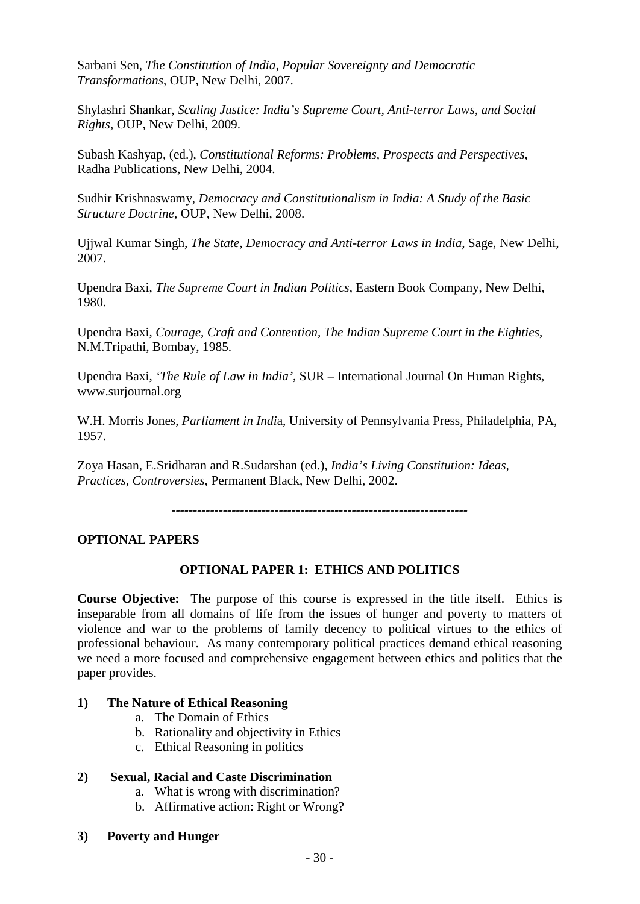Sarbani Sen, *The Constitution of India, Popular Sovereignty and Democratic Transformations*, OUP, New Delhi, 2007.

Shylashri Shankar, *Scaling Justice: India's Supreme Court, Anti-terror Laws, and Social Rights*, OUP, New Delhi, 2009.

Subash Kashyap, (ed.), *Constitutional Reforms: Problems, Prospects and Perspectives*, Radha Publications, New Delhi, 2004.

Sudhir Krishnaswamy, *Democracy and Constitutionalism in India: A Study of the Basic Structure Doctrine,* OUP, New Delhi, 2008.

Ujjwal Kumar Singh, *The State, Democracy and Anti-terror Laws in India*, Sage, New Delhi, 2007.

Upendra Baxi, *The Supreme Court in Indian Politics*, Eastern Book Company, New Delhi, 1980.

Upendra Baxi, *Courage, Craft and Contention, The Indian Supreme Court in the Eighties*, N.M.Tripathi, Bombay, 1985.

Upendra Baxi, *'The Rule of Law in India'*, SUR – International Journal On Human Rights, [www.surjournal.org](http://www.surjournal.org/)

W.H. Morris Jones, *Parliament in Indi*a, University of Pennsylvania Press, Philadelphia, PA, 1957.

Zoya Hasan, E.Sridharan and R.Sudarshan (ed.), *India's Living Constitution: Ideas, Practices, Controversies*, Permanent Black, New Delhi, 2002.

*---------------------------------------------------------------------*

#### **OPTIONAL PAPERS**

# **OPTIONAL PAPER 1: ETHICS AND POLITICS**

**Course Objective:** The purpose of this course is expressed in the title itself. Ethics is inseparable from all domains of life from the issues of hunger and poverty to matters of violence and war to the problems of family decency to political virtues to the ethics of professional behaviour. As many contemporary political practices demand ethical reasoning we need a more focused and comprehensive engagement between ethics and politics that the paper provides.

#### **1) The Nature of Ethical Reasoning**

- a. The Domain of Ethics
- b. Rationality and objectivity in Ethics
- c. Ethical Reasoning in politics

#### **2) Sexual, Racial and Caste Discrimination**

- a. What is wrong with discrimination?
- b. Affirmative action: Right or Wrong?
- **3) Poverty and Hunger**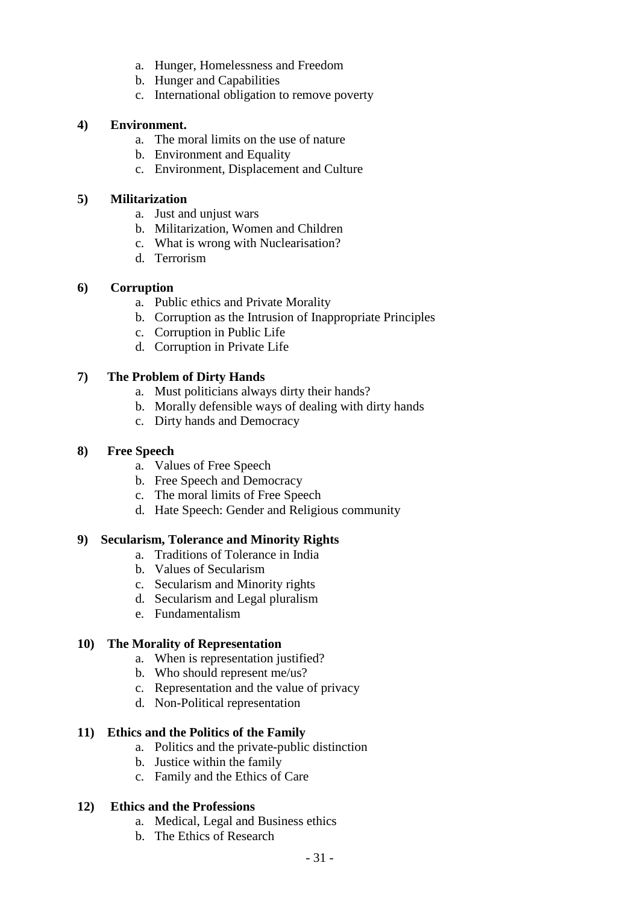- a. Hunger, Homelessness and Freedom
- b. Hunger and Capabilities
- c. International obligation to remove poverty

#### **4) Environment.**

- a. The moral limits on the use of nature
- b. Environment and Equality
- c. Environment, Displacement and Culture

#### **5) Militarization**

- a. Just and unjust wars
- b. Militarization, Women and Children
- c. What is wrong with Nuclearisation?
- d. Terrorism

#### **6) Corruption**

- a. Public ethics and Private Morality
- b. Corruption as the Intrusion of Inappropriate Principles
- c. Corruption in Public Life
- d. Corruption in Private Life

#### **7) The Problem of Dirty Hands**

- a. Must politicians always dirty their hands?
- b. Morally defensible ways of dealing with dirty hands
- c. Dirty hands and Democracy

## **8) Free Speech**

- a. Values of Free Speech
- b. Free Speech and Democracy
- c. The moral limits of Free Speech
- d. Hate Speech: Gender and Religious community

# **9) Secularism, Tolerance and Minority Rights**

- a. Traditions of Tolerance in India
- b. Values of Secularism
- c. Secularism and Minority rights
- d. Secularism and Legal pluralism
- e. Fundamentalism

#### **10) The Morality of Representation**

- a. When is representation justified?
- b. Who should represent me/us?
- c. Representation and the value of privacy
- d. Non-Political representation

# **11) Ethics and the Politics of the Family**

- a. Politics and the private-public distinction
- b. Justice within the family
- c. Family and the Ethics of Care

# **12) Ethics and the Professions**

- a. Medical, Legal and Business ethics
- b. The Ethics of Research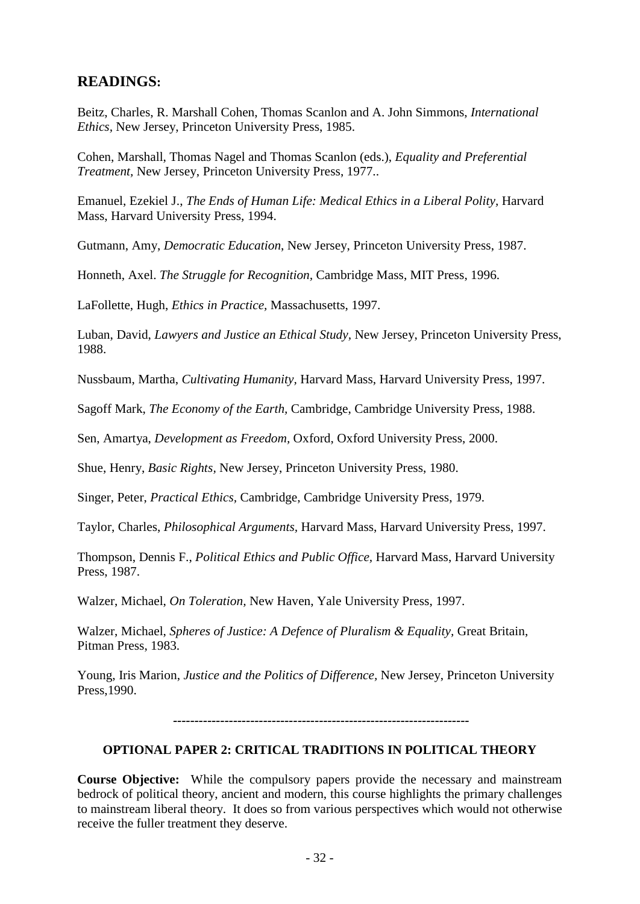# **READINGS:**

Beitz, Charles, R. Marshall Cohen, Thomas Scanlon and A. John Simmons, *International Ethics,* New Jersey, Princeton University Press, 1985.

Cohen, Marshall, Thomas Nagel and Thomas Scanlon (eds.), *Equality and Preferential Treatment,* New Jersey, Princeton University Press, 1977..

Emanuel, Ezekiel J., *The Ends of Human Life: Medical Ethics in a Liberal Polity,* Harvard Mass, Harvard University Press, 1994.

Gutmann, Amy, *Democratic Education*, New Jersey, Princeton University Press, 1987.

Honneth, Axel. *The Struggle for Recognition,* Cambridge Mass, MIT Press, 1996.

LaFollette, Hugh, *Ethics in Practice,* Massachusetts, 1997.

Luban, David, *Lawyers and Justice an Ethical Study,* New Jersey, Princeton University Press, 1988.

Nussbaum, Martha, *Cultivating Humanity,* Harvard Mass, Harvard University Press, 1997.

Sagoff Mark, *The Economy of the Earth,* Cambridge, Cambridge University Press, 1988.

Sen, Amartya, *Development as Freedom,* Oxford, Oxford University Press, 2000.

Shue, Henry, *Basic Rights,* New Jersey, Princeton University Press, 1980.

Singer, Peter, *Practical Ethics,* Cambridge, Cambridge University Press, 1979.

Taylor, Charles, *Philosophical Arguments,* Harvard Mass, Harvard University Press, 1997.

Thompson, Dennis F., *Political Ethics and Public Office,* Harvard Mass, Harvard University Press, 1987.

Walzer, Michael, *On Toleration,* New Haven, Yale University Press, 1997.

Walzer, Michael, *Spheres of Justice: A Defence of Pluralism & Equality,* Great Britain, Pitman Press, 1983.

Young, Iris Marion, *Justice and the Politics of Difference,* New Jersey, Princeton University Press,1990.

*---------------------------------------------------------------------*

#### **OPTIONAL PAPER 2: CRITICAL TRADITIONS IN POLITICAL THEORY**

**Course Objective:** While the compulsory papers provide the necessary and mainstream bedrock of political theory, ancient and modern, this course highlights the primary challenges to mainstream liberal theory. It does so from various perspectives which would not otherwise receive the fuller treatment they deserve.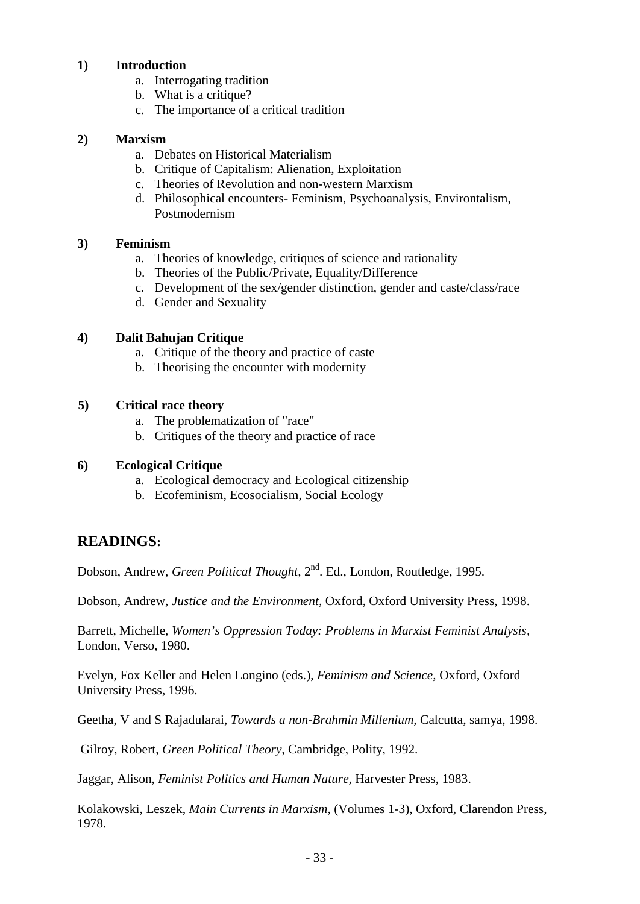#### **1) Introduction**

- a. Interrogating tradition
- b. What is a critique?
- c. The importance of a critical tradition

#### **2) Marxism**

- a. Debates on Historical Materialism
- b. Critique of Capitalism: Alienation, Exploitation
- c. Theories of Revolution and non-western Marxism
- d. Philosophical encounters- Feminism, Psychoanalysis, Environtalism, Postmodernism

#### **3) Feminism**

- a. Theories of knowledge, critiques of science and rationality
- b. Theories of the Public/Private, Equality/Difference
- c. Development of the sex/gender distinction, gender and caste/class/race
- d. Gender and Sexuality

#### **4) Dalit Bahujan Critique**

- a. Critique of the theory and practice of caste
- b. Theorising the encounter with modernity

#### **5) Critical race theory**

- a. The problematization of "race"
- b. Critiques of the theory and practice of race

# **6) Ecological Critique**

- a. Ecological democracy and Ecological citizenship
- b. Ecofeminism, Ecosocialism, Social Ecology

# **READINGS:**

Dobson, Andrew, *Green Political Thought*, 2<sup>nd</sup>, Ed., London, Routledge, 1995.

Dobson, Andrew, *Justice and the Environment,* Oxford, Oxford University Press, 1998.

Barrett, Michelle, *Women's Oppression Today: Problems in Marxist Feminist Analysis,* London, Verso, 1980.

Evelyn, Fox Keller and Helen Longino (eds.), *Feminism and Science,* Oxford, Oxford University Press, 1996.

Geetha, V and S Rajadularai, *Towards a non-Brahmin Millenium,* Calcutta, samya, 1998.

Gilroy, Robert, *Green Political Theory,* Cambridge, Polity, 1992.

Jaggar, Alison, *Feminist Politics and Human Nature,* Harvester Press, 1983.

Kolakowski, Leszek, *Main Currents in Marxism,* (Volumes 1-3), Oxford, Clarendon Press, 1978.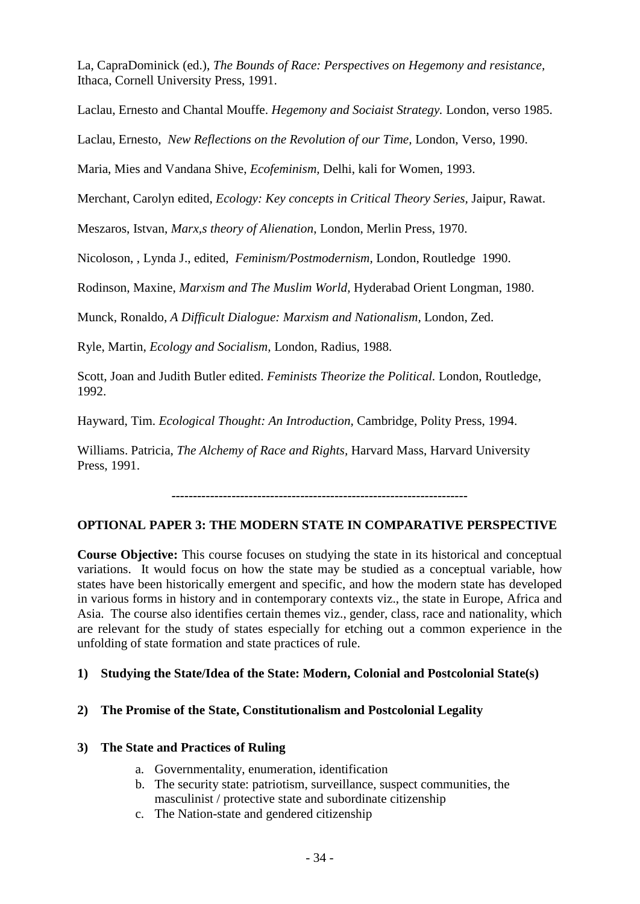La, CapraDominick (ed.), *The Bounds of Race: Perspectives on Hegemony and resistance,* Ithaca, Cornell University Press, 1991.

Laclau, Ernesto and Chantal Mouffe. *Hegemony and Sociaist Strategy.* London, verso 1985.

Laclau, Ernesto, *New Reflections on the Revolution of our Time,* London, Verso, 1990.

Maria, Mies and Vandana Shive, *Ecofeminism,* Delhi, kali for Women, 1993.

Merchant, Carolyn edited, *Ecology: Key concepts in Critical Theory Series,* Jaipur, Rawat.

Meszaros, Istvan, *Marx,s theory of Alienation*, London, Merlin Press, 1970.

Nicoloson, , Lynda J., edited, *Feminism/Postmodernism,* London, Routledge 1990.

Rodinson, Maxine, *Marxism and The Muslim World,* Hyderabad Orient Longman, 1980.

Munck, Ronaldo, *A Difficult Dialogue: Marxism and Nationalism,* London, Zed.

Ryle, Martin, *Ecology and Socialism,* London, Radius, 1988.

Scott, Joan and Judith Butler edited. *Feminists Theorize the Political.* London, Routledge, 1992.

Hayward, Tim. *Ecological Thought: An Introduction,* Cambridge, Polity Press, 1994.

Williams. Patricia, *The Alchemy of Race and Rights,* Harvard Mass, Harvard University Press, 1991.

*---------------------------------------------------------------------*

# **OPTIONAL PAPER 3: THE MODERN STATE IN COMPARATIVE PERSPECTIVE**

**Course Objective:** This course focuses on studying the state in its historical and conceptual variations. It would focus on how the state may be studied as a conceptual variable, how states have been historically emergent and specific, and how the modern state has developed in various forms in history and in contemporary contexts viz., the state in Europe, Africa and Asia. The course also identifies certain themes viz., gender, class, race and nationality, which are relevant for the study of states especially for etching out a common experience in the unfolding of state formation and state practices of rule.

# **1) Studying the State/Idea of the State: Modern, Colonial and Postcolonial State(s)**

# **2) The Promise of the State, Constitutionalism and Postcolonial Legality**

# **3) The State and Practices of Ruling**

- a. Governmentality, enumeration, identification
- b. The security state: patriotism, surveillance, suspect communities, the masculinist / protective state and subordinate citizenship
- c. The Nation-state and gendered citizenship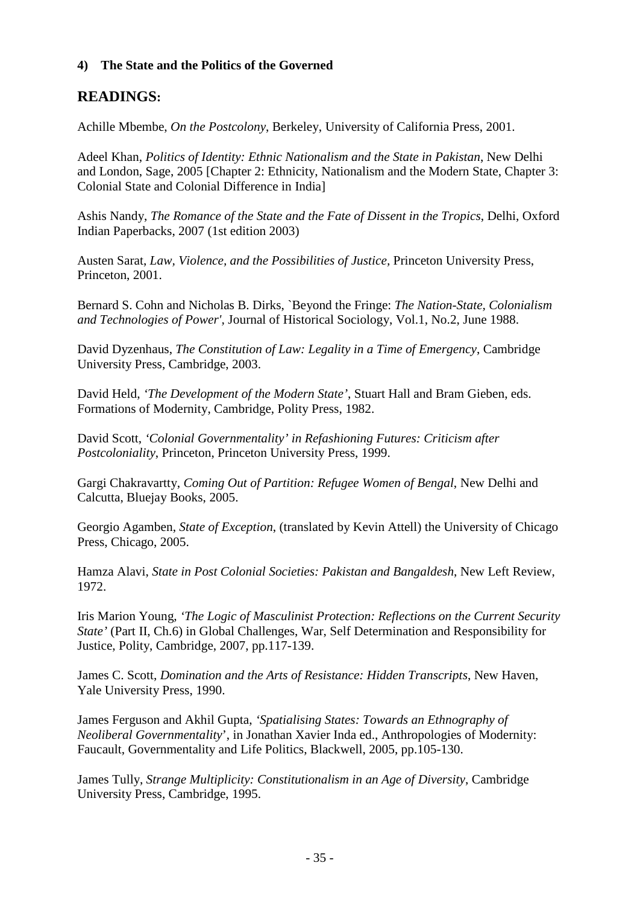# **4) The State and the Politics of the Governed**

# **READINGS:**

Achille Mbembe, *On the Postcolony*, Berkeley, University of California Press, 2001.

Adeel Khan, *Politics of Identity: Ethnic Nationalism and the State in Pakistan*, New Delhi and London, Sage, 2005 [Chapter 2: Ethnicity, Nationalism and the Modern State, Chapter 3: Colonial State and Colonial Difference in India]

Ashis Nandy, *The Romance of the State and the Fate of Dissent in the Tropics*, Delhi, Oxford Indian Paperbacks, 2007 (1st edition 2003)

Austen Sarat, *Law, Violence, and the Possibilities of Justice,* Princeton University Press, Princeton, 2001.

Bernard S. Cohn and Nicholas B. Dirks, `Beyond the Fringe: *The Nation-State, Colonialism and Technologies of Power',* Journal of Historical Sociology, Vol.1, No.2, June 1988.

David Dyzenhaus, *The Constitution of Law: Legality in a Time of Emergency*, Cambridge University Press, Cambridge, 2003.

David Held, *'The Development of the Modern State'*, Stuart Hall and Bram Gieben, eds. Formations of Modernity, Cambridge, Polity Press, 1982.

David Scott, *'Colonial Governmentality' in Refashioning Futures: Criticism after Postcoloniality*, Princeton, Princeton University Press, 1999.

Gargi Chakravartty, *Coming Out of Partition: Refugee Women of Bengal*, New Delhi and Calcutta, Bluejay Books, 2005.

Georgio Agamben, *State of Exception*, (translated by Kevin Attell) the University of Chicago Press, Chicago, 2005.

Hamza Alavi, *State in Post Colonial Societies: Pakistan and Bangaldesh*, New Left Review, 1972.

Iris Marion Young, *'The Logic of Masculinist Protection: Reflections on the Current Security State'* (Part II, Ch.6) in Global Challenges, War, Self Determination and Responsibility for Justice, Polity, Cambridge, 2007, pp.117-139.

James C. Scott, *Domination and the Arts of Resistance: Hidden Transcripts*, New Haven, Yale University Press, 1990.

James Ferguson and Akhil Gupta, *'Spatialising States: Towards an Ethnography of Neoliberal Governmentality*', in Jonathan Xavier Inda ed., Anthropologies of Modernity: Faucault, Governmentality and Life Politics, Blackwell, 2005, pp.105-130.

James Tully, *Strange Multiplicity: Constitutionalism in an Age of Diversity*, Cambridge University Press, Cambridge, 1995.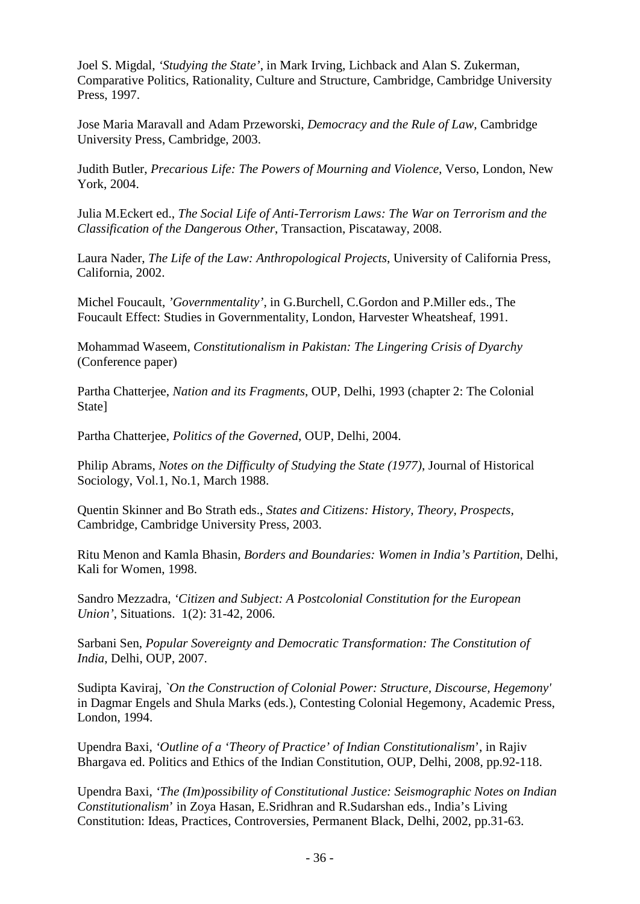Joel S. Migdal, *'Studying the State'*, in Mark Irving, Lichback and Alan S. Zukerman, Comparative Politics, Rationality, Culture and Structure, Cambridge, Cambridge University Press, 1997.

Jose Maria Maravall and Adam Przeworski, *Democracy and the Rule of Law,* Cambridge University Press, Cambridge, 2003.

Judith Butler, *Precarious Life: The Powers of Mourning and Violence,* Verso, London, New York, 2004.

Julia M.Eckert ed., *The Social Life of Anti-Terrorism Laws: The War on Terrorism and the Classification of the Dangerous Other*, Transaction, Piscataway, 2008.

Laura Nader, *The Life of the Law: Anthropological Projects*, University of California Press, California, 2002.

Michel Foucault, *'Governmentality'*, in G.Burchell, C.Gordon and P.Miller eds., The Foucault Effect: Studies in Governmentality, London, Harvester Wheatsheaf, 1991.

Mohammad Waseem, *Constitutionalism in Pakistan: The Lingering Crisis of Dyarchy*  (Conference paper)

Partha Chatterjee, *Nation and its Fragments*, OUP, Delhi, 1993 (chapter 2: The Colonial State]

Partha Chatterjee, *Politics of the Governed*, OUP, Delhi, 2004.

Philip Abrams, *Notes on the Difficulty of Studying the State (1977)*, Journal of Historical Sociology, Vol.1, No.1, March 1988.

Quentin Skinner and Bo Strath eds., *States and Citizens: History, Theory, Prospects,* Cambridge, Cambridge University Press, 2003.

Ritu Menon and Kamla Bhasin, *Borders and Boundaries: Women in India's Partition*, Delhi, Kali for Women, 1998.

Sandro Mezzadra, *'Citizen and Subject: A Postcolonial Constitution for the European Union'*, Situations. 1(2): 31-42, 2006.

Sarbani Sen, *Popular Sovereignty and Democratic Transformation: The Constitution of India*, Delhi, OUP, 2007.

Sudipta Kaviraj, *`On the Construction of Colonial Power: Structure, Discourse, Hegemony'* in Dagmar Engels and Shula Marks (eds.), Contesting Colonial Hegemony, Academic Press, London, 1994.

Upendra Baxi, *'Outline of a 'Theory of Practice' of Indian Constitutionalism*', in Rajiv Bhargava ed. Politics and Ethics of the Indian Constitution, OUP, Delhi, 2008, pp.92-118.

Upendra Baxi, *'The (Im)possibility of Constitutional Justice: Seismographic Notes on Indian Constitutionalism*' in Zoya Hasan, E.Sridhran and R.Sudarshan eds., India's Living Constitution: Ideas, Practices, Controversies, Permanent Black, Delhi, 2002, pp.31-63.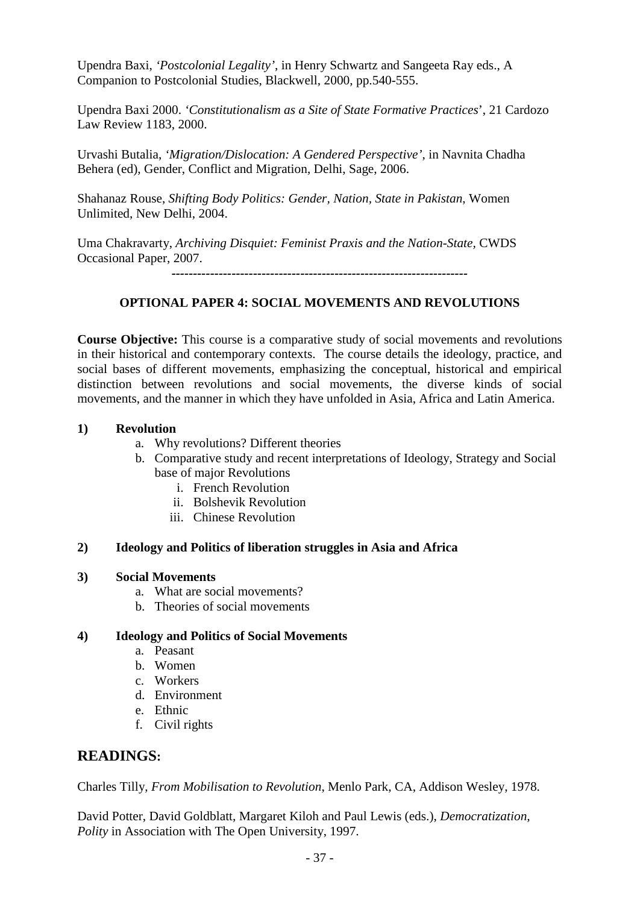Upendra Baxi, *'Postcolonial Legality'*, in Henry Schwartz and Sangeeta Ray eds., A Companion to Postcolonial Studies, Blackwell, 2000, pp.540-555.

Upendra Baxi 2000. *'Constitutionalism as a Site of State Formative Practices*', 21 Cardozo Law Review 1183, 2000.

Urvashi Butalia, *'Migration/Dislocation: A Gendered Perspective'*, in Navnita Chadha Behera (ed), Gender, Conflict and Migration, Delhi, Sage, 2006.

Shahanaz Rouse, *Shifting Body Politics: Gender, Nation, State in Pakistan*, Women Unlimited, New Delhi, 2004.

Uma Chakravarty, *Archiving Disquiet: Feminist Praxis and the Nation-State,* CWDS Occasional Paper, 2007.

*---------------------------------------------------------------------*

# **OPTIONAL PAPER 4: SOCIAL MOVEMENTS AND REVOLUTIONS**

**Course Objective:** This course is a comparative study of social movements and revolutions in their historical and contemporary contexts. The course details the ideology, practice, and social bases of different movements, emphasizing the conceptual, historical and empirical distinction between revolutions and social movements, the diverse kinds of social movements, and the manner in which they have unfolded in Asia, Africa and Latin America.

### **1) Revolution**

- a. Why revolutions? Different theories
- b. Comparative study and recent interpretations of Ideology, Strategy and Social base of major Revolutions
	- i. French Revolution
	- ii. Bolshevik Revolution
	- iii. Chinese Revolution

# **2) Ideology and Politics of liberation struggles in Asia and Africa**

#### **3) Social Movements**

- a. What are social movements?
- b. Theories of social movements

#### **4) Ideology and Politics of Social Movements**

- a. Peasant
- b. Women
- c. Workers
- d. Environment
- e. Ethnic
- f. Civil rights

# **READINGS:**

Charles Tilly, *From Mobilisation to Revolution*, Menlo Park, CA, Addison Wesley, 1978.

David Potter, David Goldblatt, Margaret Kiloh and Paul Lewis (eds.), *Democratization, Polity* in Association with The Open University, 1997.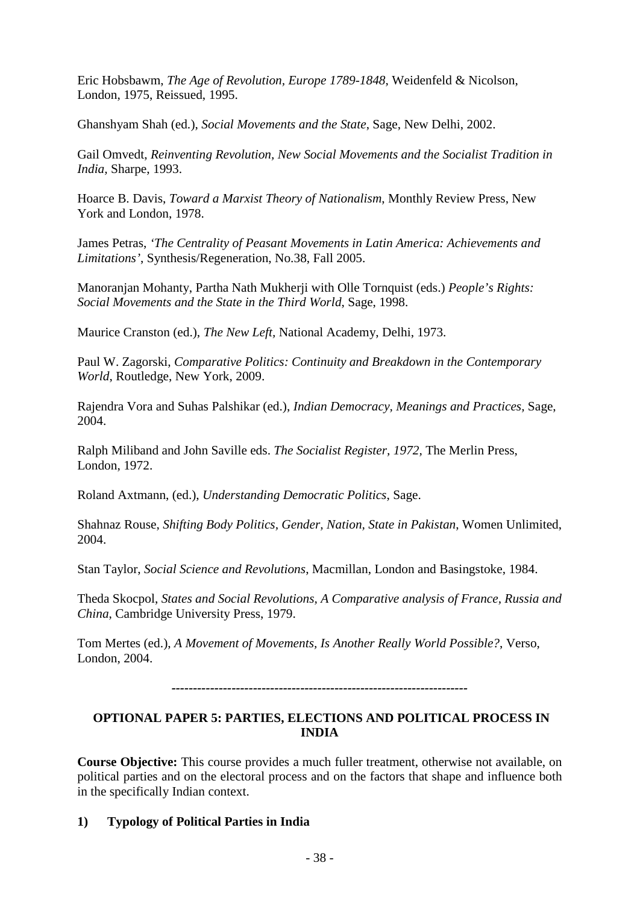Eric Hobsbawm, *The Age of Revolution, Europe 1789-1848*, Weidenfeld & Nicolson, London, 1975, Reissued, 1995.

Ghanshyam Shah (ed.), *Social Movements and the State*, Sage, New Delhi, 2002.

Gail Omvedt, *Reinventing Revolution, New Social Movements and the Socialist Tradition in India,* Sharpe, 1993.

Hoarce B. Davis, *Toward a Marxist Theory of Nationalism*, Monthly Review Press, New York and London, 1978.

James Petras, *'The Centrality of Peasant Movements in Latin America: Achievements and Limitations'*, Synthesis/Regeneration, No.38, Fall 2005.

Manoranjan Mohanty, Partha Nath Mukherji with Olle Tornquist (eds.) *People's Rights: Social Movements and the State in the Third World*, Sage, 1998.

Maurice Cranston (ed.), *The New Left,* National Academy, Delhi, 1973.

Paul W. Zagorski, *Comparative Politics: Continuity and Breakdown in the Contemporary World*, Routledge, New York, 2009.

Rajendra Vora and Suhas Palshikar (ed.), *Indian Democracy, Meanings and Practices,* Sage, 2004.

Ralph Miliband and John Saville eds. *The Socialist Register, 1972,* The Merlin Press, London, 1972.

Roland Axtmann, (ed.), *Understanding Democratic Politics*, Sage.

Shahnaz Rouse, *Shifting Body Politics, Gender, Nation, State in Pakistan*, Women Unlimited, 2004.

Stan Taylor, *Social Science and Revolutions*, Macmillan, London and Basingstoke, 1984.

Theda Skocpol, *States and Social Revolutions, A Comparative analysis of France, Russia and China*, Cambridge University Press, 1979.

Tom Mertes (ed.), *A Movement of Movements, Is Another Really World Possible?*, Verso, London, 2004.

*---------------------------------------------------------------------*

# **OPTIONAL PAPER 5: PARTIES, ELECTIONS AND POLITICAL PROCESS IN INDIA**

**Course Objective:** This course provides a much fuller treatment, otherwise not available, on political parties and on the electoral process and on the factors that shape and influence both in the specifically Indian context.

# **1) Typology of Political Parties in India**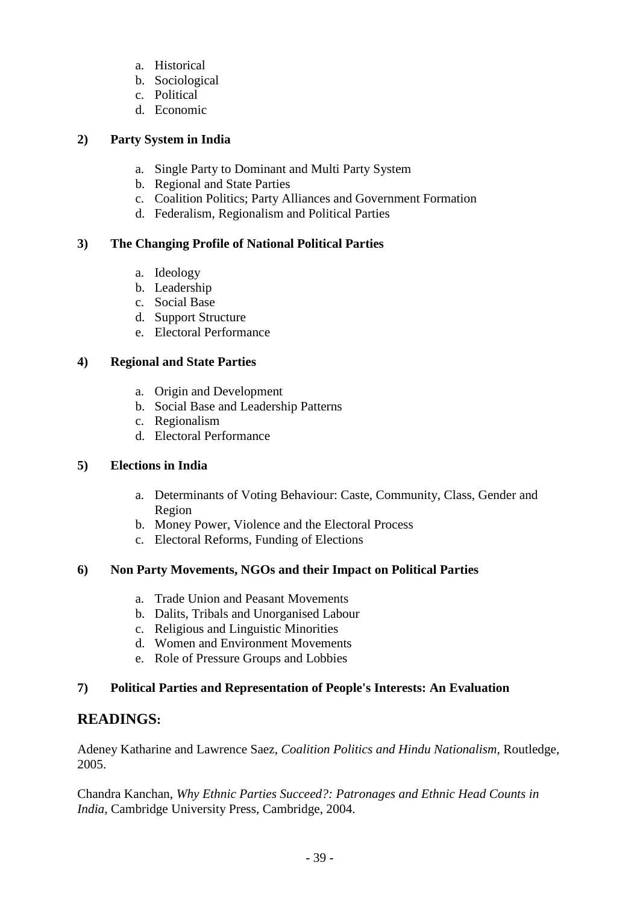- a. Historical
- b. Sociological
- c. Political
- d. Economic

# **2) Party System in India**

- a. Single Party to Dominant and Multi Party System
- b. Regional and State Parties
- c. Coalition Politics; Party Alliances and Government Formation
- d. Federalism, Regionalism and Political Parties

# **3) The Changing Profile of National Political Parties**

- a. Ideology
- b. Leadership
- c. Social Base
- d. Support Structure
- e. Electoral Performance

# **4) Regional and State Parties**

- a. Origin and Development
- b. Social Base and Leadership Patterns
- c. Regionalism
- d. Electoral Performance

# **5) Elections in India**

- a. Determinants of Voting Behaviour: Caste, Community, Class, Gender and Region
- b. Money Power, Violence and the Electoral Process
- c. Electoral Reforms, Funding of Elections

# **6) Non Party Movements, NGOs and their Impact on Political Parties**

- a. Trade Union and Peasant Movements
- b. Dalits, Tribals and Unorganised Labour
- c. Religious and Linguistic Minorities
- d. Women and Environment Movements
- e. Role of Pressure Groups and Lobbies

# **7) Political Parties and Representation of People's Interests: An Evaluation**

# **READINGS:**

Adeney Katharine and Lawrence Saez, *Coalition Politics and Hindu Nationalism,* Routledge, 2005.

Chandra Kanchan, *Why Ethnic Parties Succeed?: Patronages and Ethnic Head Counts in India,* Cambridge University Press, Cambridge, 2004.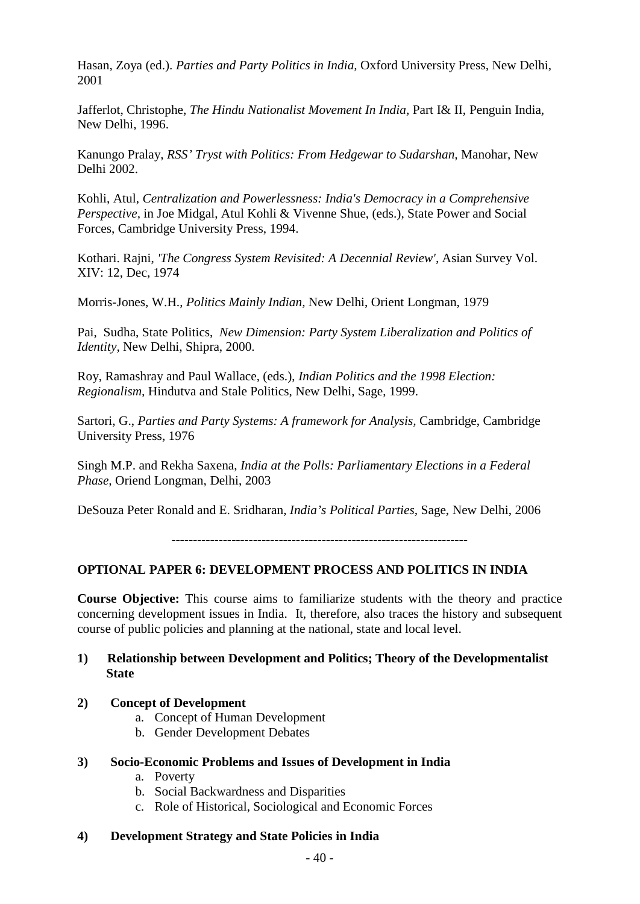Hasan, Zoya (ed.). *Parties and Party Politics in India,* Oxford University Press*,* New Delhi, 2001

Jafferlot, Christophe, *The Hindu Nationalist Movement In India,* Part I& II, Penguin India, New Delhi, 1996.

Kanungo Pralay, *RSS' Tryst with Politics: From Hedgewar to Sudarshan,* Manohar, New Delhi 2002.

Kohli, Atul, *Centralization and Powerlessness: India's Democracy in a Comprehensive Perspective,* in Joe Midgal, Atul Kohli & Vivenne Shue, (eds.), State Power and Social Forces, Cambridge University Press, 1994.

Kothari. Rajni, *'The Congress System Revisited: A Decennial Review',* Asian Survey Vol. XIV: 12, Dec, 1974

Morris-Jones, W.H., *Politics Mainly Indian,* New Delhi, Orient Longman, 1979

Pai, Sudha, State Politics, *New Dimension: Party System Liberalization and Politics of Identity,* New Delhi, Shipra, 2000.

Roy, Ramashray and Paul Wallace, (eds.), *Indian Politics and the 1998 Election: Regionalism,* Hindutva and Stale Politics, New Delhi, Sage, 1999.

Sartori, G., *Parties and Party Systems: A framework for Analysis,* Cambridge, Cambridge University Press, 1976

Singh M.P. and Rekha Saxena, *India at the Polls: Parliamentary Elections in a Federal Phase,* Oriend Longman, Delhi, 2003

DeSouza Peter Ronald and E. Sridharan, *India's Political Parties,* Sage, New Delhi, 2006

*---------------------------------------------------------------------*

# **OPTIONAL PAPER 6: DEVELOPMENT PROCESS AND POLITICS IN INDIA**

**Course Objective:** This course aims to familiarize students with the theory and practice concerning development issues in India. It, therefore, also traces the history and subsequent course of public policies and planning at the national, state and local level.

### **1) Relationship between Development and Politics; Theory of the Developmentalist State**

#### **2) Concept of Development**

- a. Concept of Human Development
- b. Gender Development Debates

#### **3) Socio-Economic Problems and Issues of Development in India**

- a. Poverty
- b. Social Backwardness and Disparities
- c. Role of Historical, Sociological and Economic Forces

#### **4) Development Strategy and State Policies in India**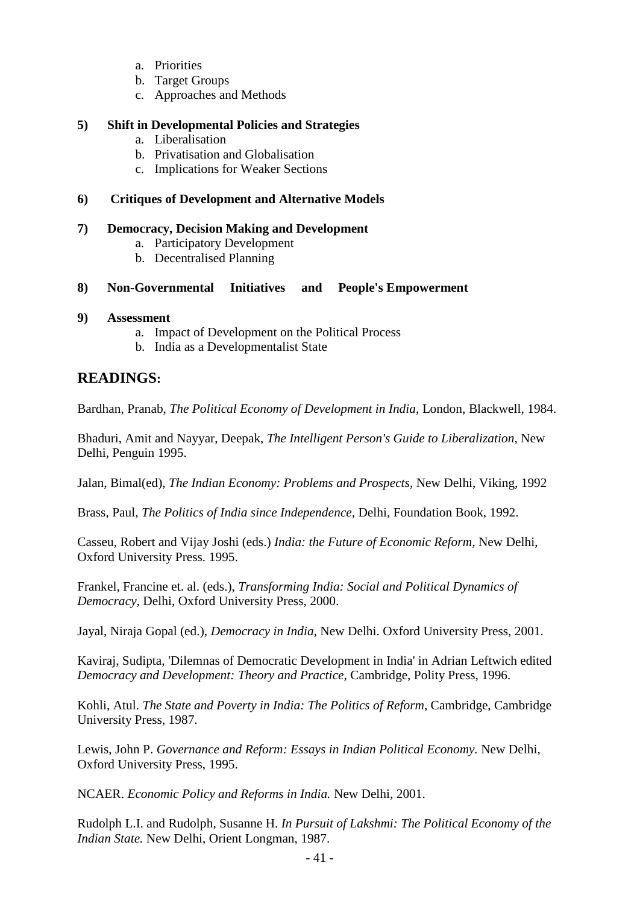- a. Priorities
- b. Target Groups
- c. Approaches and Methods

#### **5) Shift in Developmental Policies and Strategies**

- a. Liberalisation
- b. Privatisation and Globalisation
- c. Implications for Weaker Sections

#### **6) Critiques of Development and Alternative Models**

#### **7) Democracy, Decision Making and Development**

- a. Participatory Development
- b. Decentralised Planning

#### **8) Non-Governmental Initiatives and People's Empowerment**

#### **9) Assessment**

- a. Impact of Development on the Political Process
- b. India as a Developmentalist State

# **READINGS:**

Bardhan, Pranab, *The Political Economy of Development in India*, London, Blackwell, 1984.

Bhaduri, Amit and Nayyar, Deepak, *The Intelligent Person's Guide to Liberalization,* New Delhi, Penguin 1995.

Jalan, Bimal(ed), *The Indian Economy: Problems and Prospects,* New Delhi, Viking, 1992

Brass, Paul, *The Politics of India since Independence,* Delhi, Foundation Book, 1992.

Casseu, Robert and Vijay Joshi (eds.) *India: the Future of Economic Reform,* New Delhi, Oxford University Press. 1995.

Frankel, Francine et. al. (eds.), *Transforming India: Social and Political Dynamics of Democracy,* Delhi, Oxford University Press, 2000.

Jayal, Niraja Gopal (ed.), *Democracy in India,* New Delhi. Oxford University Press, 2001.

Kaviraj, Sudipta, 'Dilemnas of Democratic Development in India' in Adrian Leftwich edited *Democracy and Development: Theory and Practice,* Cambridge, Polity Press, 1996.

Kohli, Atul. *The State and Poverty in India: The Politics of Reform,* Cambridge, Cambridge University Press, 1987.

Lewis, John P. *Governance and Reform: Essays in Indian Political Economy.* New Delhi, Oxford University Press, 1995.

NCAER. *Economic Policy and Reforms in India.* New Delhi, 2001.

Rudolph L.I. and Rudolph, Susanne H. *In Pursuit of Lakshmi: The Political Economy of the Indian State.* New Delhi, Orient Longman, 1987.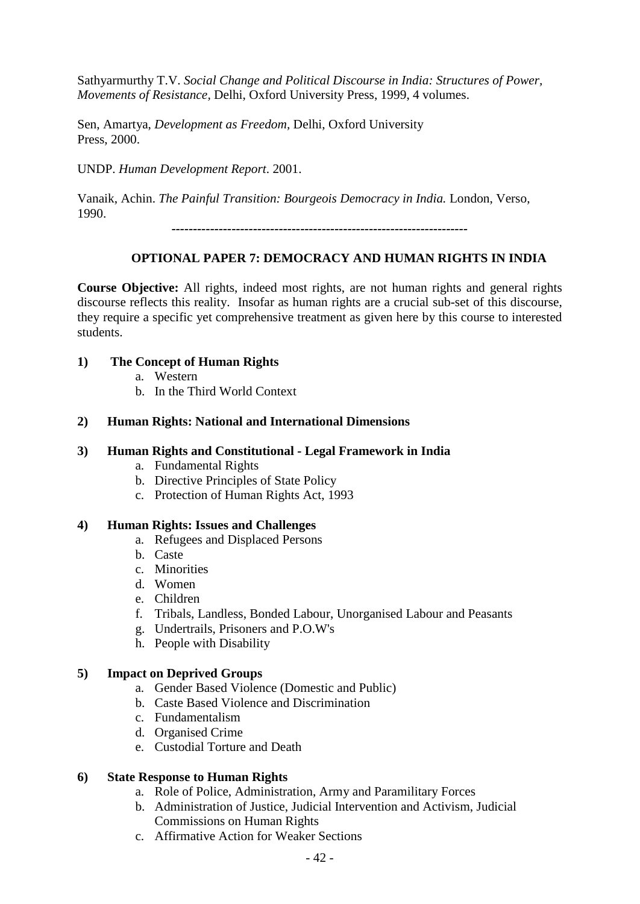Sathyarmurthy T.V. *Social Change and Political Discourse in India: Structures of Power, Movements of Resistance,* Delhi, Oxford University Press, 1999, 4 volumes.

Sen, Amartya, *Development as Freedom,* Delhi, Oxford University Press, 2000.

UNDP. *Human Development Report*. 2001.

Vanaik, Achin. *The Painful Transition: Bourgeois Democracy in India.* London, Verso, 1990.

*---------------------------------------------------------------------*

# **OPTIONAL PAPER 7: DEMOCRACY AND HUMAN RIGHTS IN INDIA**

**Course Objective:** All rights, indeed most rights, are not human rights and general rights discourse reflects this reality. Insofar as human rights are a crucial sub-set of this discourse, they require a specific yet comprehensive treatment as given here by this course to interested students.

# **1) The Concept of Human Rights**

- a. Western
- b. In the Third World Context

### **2) Human Rights: National and International Dimensions**

### **3) Human Rights and Constitutional - Legal Framework in India**

- a. Fundamental Rights
- b. Directive Principles of State Policy
- c. Protection of Human Rights Act, 1993

#### **4) Human Rights: Issues and Challenges**

- a. Refugees and Displaced Persons
- b. Caste
- c. Minorities
- d. Women
- e. Children
- f. Tribals, Landless, Bonded Labour, Unorganised Labour and Peasants
- g. Undertrails, Prisoners and P.O.W's
- h. People with Disability

# **5) Impact on Deprived Groups**

- a. Gender Based Violence (Domestic and Public)
- b. Caste Based Violence and Discrimination
- c. Fundamentalism
- d. Organised Crime
- e. Custodial Torture and Death

#### **6) State Response to Human Rights**

- a. Role of Police, Administration, Army and Paramilitary Forces
- b. Administration of Justice, Judicial Intervention and Activism, Judicial Commissions on Human Rights
- c. Affirmative Action for Weaker Sections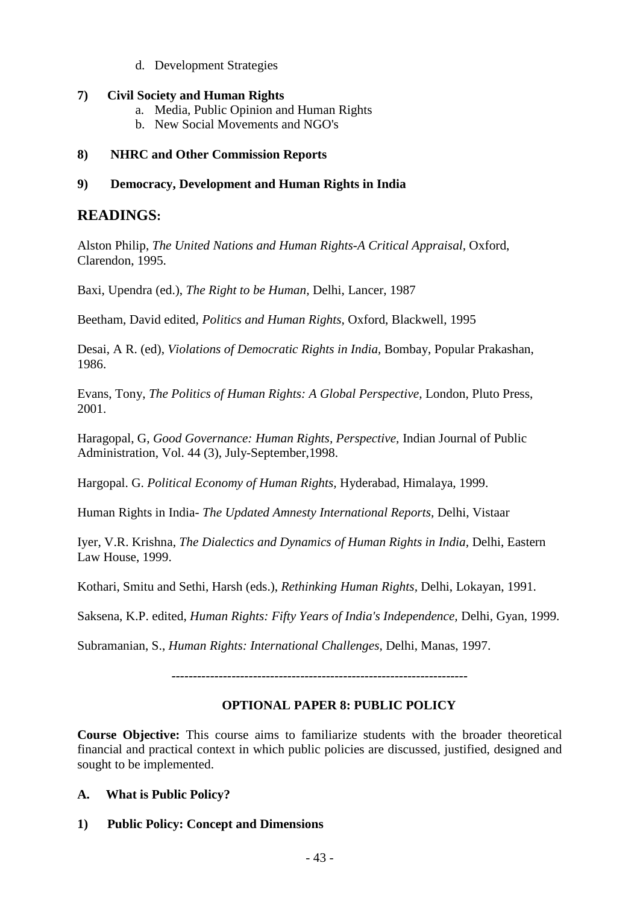d. Development Strategies

### **7) Civil Society and Human Rights**

- a. Media, Public Opinion and Human Rights
- b. New Social Movements and NGO's

### **8) NHRC and Other Commission Reports**

### **9) Democracy, Development and Human Rights in India**

# **READINGS:**

Alston Philip, *The United Nations and Human Rights-A Critical Appraisal,* Oxford, Clarendon, 1995.

Baxi, Upendra (ed.), *The Right to be Human,* Delhi, Lancer, 1987

Beetham, David edited, *Politics and Human Rights,* Oxford, Blackwell, 1995

Desai, A R. (ed), *Violations of Democratic Rights in India,* Bombay, Popular Prakashan, 1986.

Evans, Tony, *The Politics of Human Rights: A Global Perspective,* London, Pluto Press, 2001.

Haragopal, G, *Good Governance: Human Rights, Perspective,* Indian Journal of Public Administration, Vol. 44 (3), July-September,1998.

Hargopal. G. *Political Economy of Human Rights,* Hyderabad, Himalaya, 1999.

Human Rights in India- *The Updated Amnesty International Reports,* Delhi, Vistaar

Iyer, V.R. Krishna, *The Dialectics and Dynamics of Human Rights in India,* Delhi, Eastern Law House, 1999.

Kothari, Smitu and Sethi, Harsh (eds.), *Rethinking Human Rights,* Delhi, Lokayan, 1991.

Saksena, K.P. edited, *Human Rights: Fifty Years of India's Independence,* Delhi, Gyan, 1999.

Subramanian, S., *Human Rights: International Challenges,* Delhi, Manas, 1997.

*---------------------------------------------------------------------*

# **OPTIONAL PAPER 8: PUBLIC POLICY**

**Course Objective:** This course aims to familiarize students with the broader theoretical financial and practical context in which public policies are discussed, justified, designed and sought to be implemented.

- **A. What is Public Policy?**
- **1) Public Policy: Concept and Dimensions**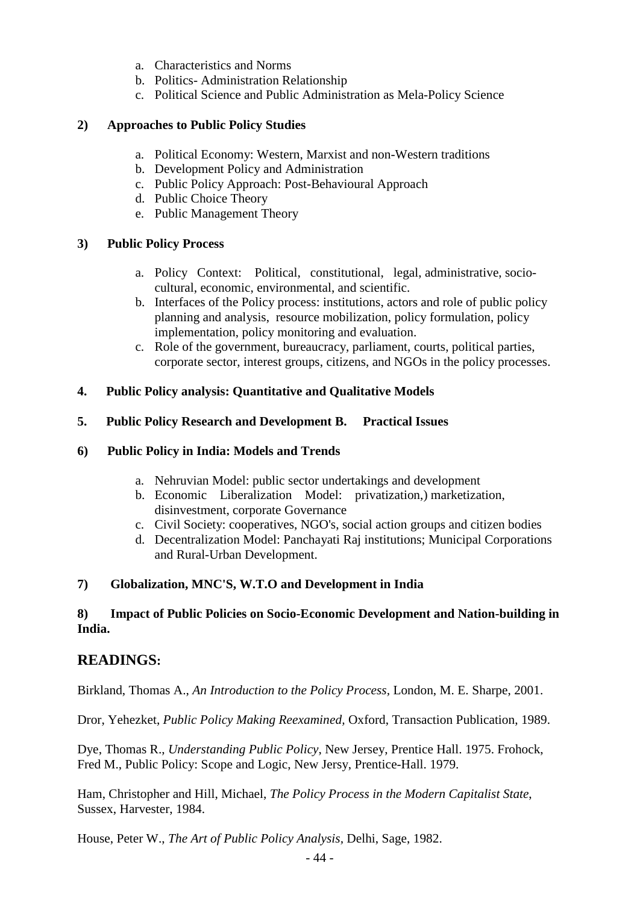- a. Characteristics and Norms
- b. Politics- Administration Relationship
- c. Political Science and Public Administration as Mela-Policy Science

### **2) Approaches to Public Policy Studies**

- a. Political Economy: Western, Marxist and non-Western traditions
- b. Development Policy and Administration
- c. Public Policy Approach: Post-Behavioural Approach
- d. Public Choice Theory
- e. Public Management Theory

### **3) Public Policy Process**

- a. Policy Context: Political, constitutional, legal, administrative, sociocultural, economic, environmental, and scientific.
- b. Interfaces of the Policy process: institutions, actors and role of public policy planning and analysis, resource mobilization, policy formulation, policy implementation, policy monitoring and evaluation.
- c. Role of the government, bureaucracy, parliament, courts, political parties, corporate sector, interest groups, citizens, and NGOs in the policy processes.

### **4. Public Policy analysis: Quantitative and Qualitative Models**

### **5. Public Policy Research and Development B. Practical Issues**

### **6) Public Policy in India: Models and Trends**

- a. Nehruvian Model: public sector undertakings and development
- b. Economic Liberalization Model: privatization,) marketization, disinvestment, corporate Governance
- c. Civil Society: cooperatives, NGO's, social action groups and citizen bodies
- d. Decentralization Model: Panchayati Raj institutions; Municipal Corporations and Rural-Urban Development.

#### **7) Globalization, MNC'S, W.T.O and Development in India**

### **8) Impact of Public Policies on Socio-Economic Development and Nation-building in India.**

# **READINGS:**

Birkland, Thomas A., *An Introduction to the Policy Process,* London, M. E. Sharpe, 2001.

Dror, Yehezket, *Public Policy Making Reexamined,* Oxford, Transaction Publication, 1989.

Dye, Thomas R., *Understanding Public Policy*, New Jersey, Prentice Hall. 1975. Frohock, Fred M., Public Policy: Scope and Logic, New Jersy, Prentice-Hall. 1979.

Ham, Christopher and Hill, Michael, *The Policy Process in the Modern Capitalist State*, Sussex, Harvester, 1984.

House, Peter W., *The Art of Public Policy Analysis,* Delhi, Sage, 1982.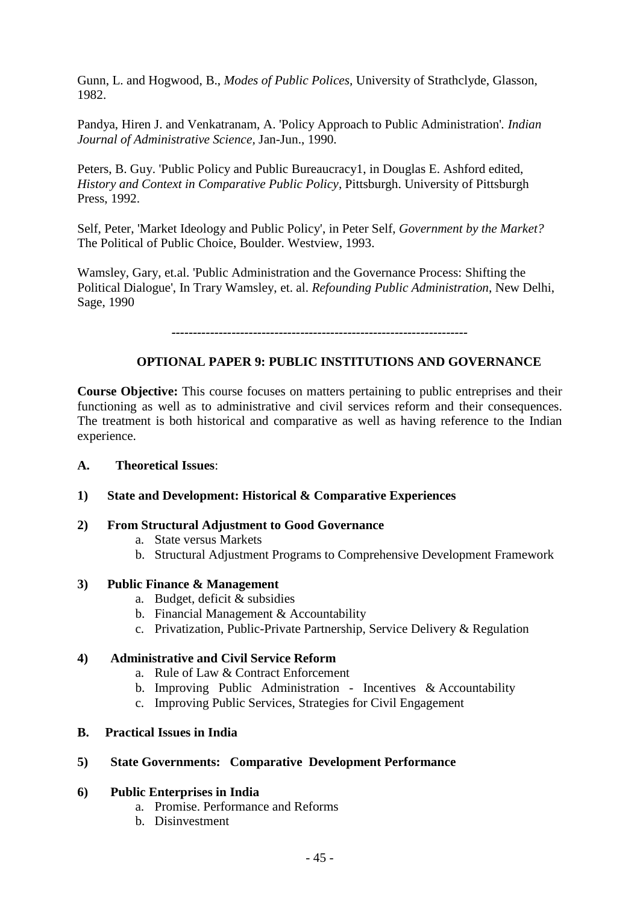Gunn, L. and Hogwood, B., *Modes of Public Polices,* University of Strathclyde, Glasson, 1982.

Pandya, Hiren J. and Venkatranam, A. 'Policy Approach to Public Administration'*. Indian Journal of Administrative Science,* Jan-Jun., 1990.

Peters, B. Guy. 'Public Policy and Public Bureaucracy1, in Douglas E. Ashford edited, *History and Context in Comparative Public Policy,* Pittsburgh. University of Pittsburgh Press, 1992.

Self, Peter, 'Market Ideology and Public Policy', in Peter Self, *Government by the Market?* The Political of Public Choice, Boulder. Westview, 1993.

Wamsley, Gary, et.al. 'Public Administration and the Governance Process: Shifting the Political Dialogue', In Trary Wamsley, et. al. *Refounding Public Administration*, New Delhi, Sage, 1990

*---------------------------------------------------------------------*

### **OPTIONAL PAPER 9: PUBLIC INSTITUTIONS AND GOVERNANCE**

**Course Objective:** This course focuses on matters pertaining to public entreprises and their functioning as well as to administrative and civil services reform and their consequences. The treatment is both historical and comparative as well as having reference to the Indian experience.

#### **A. Theoretical Issues**:

#### **1) State and Development: Historical & Comparative Experiences**

#### **2) From Structural Adjustment to Good Governance**

- a. State versus Markets
- b. Structural Adjustment Programs to Comprehensive Development Framework

#### **3) Public Finance & Management**

- a. Budget, deficit & subsidies
- b. Financial Management & Accountability
- c. Privatization, Public-Private Partnership, Service Delivery & Regulation

#### **4) Administrative and Civil Service Reform**

- a. Rule of Law & Contract Enforcement
- b. Improving Public Administration Incentives  $\&$  Accountability
- c. Improving Public Services, Strategies for Civil Engagement

#### **B. Practical Issues in India**

#### **5) State Governments: Comparative Development Performance**

#### **6) Public Enterprises in India**

- a. Promise. Performance and Reforms
- b. Disinvestment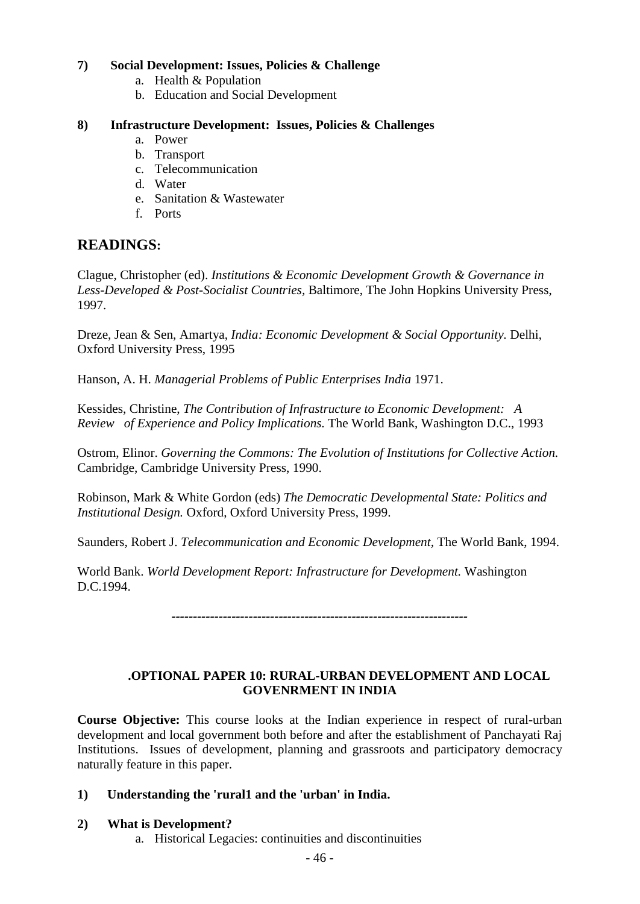# **7) Social Development: Issues, Policies & Challenge**

- a. Health & Population
- b. Education and Social Development

### **8) Infrastructure Development: Issues, Policies & Challenges**

- a. Power
- b. Transport
- c. Telecommunication
- d. Water
- e. Sanitation & Wastewater
- f. Ports

# **READINGS:**

Clague, Christopher (ed). *Institutions & Economic Development Growth & Governance in Less-Developed & Post-Socialist Countries,* Baltimore, The John Hopkins University Press, 1997.

Dreze, Jean & Sen, Amartya, *India: Economic Development & Social Opportunity.* Delhi, Oxford University Press, 1995

Hanson, A. H. *Managerial Problems of Public Enterprises India* 1971.

Kessides, Christine, *The Contribution of Infrastructure to Economic Development: A Review of Experience and Policy Implications.* The World Bank, Washington D.C., 1993

Ostrom, Elinor. *Governing the Commons: The Evolution of Institutions for Collective Action.* Cambridge, Cambridge University Press, 1990.

Robinson, Mark & White Gordon (eds) *The Democratic Developmental State: Politics and Institutional Design.* Oxford, Oxford University Press, 1999.

Saunders, Robert J. *Telecommunication and Economic Development,* The World Bank, 1994.

World Bank. *World Development Report: Infrastructure for Development.* Washington D.C.1994.

*---------------------------------------------------------------------*

# **.OPTIONAL PAPER 10: RURAL-URBAN DEVELOPMENT AND LOCAL GOVENRMENT IN INDIA**

**Course Objective:** This course looks at the Indian experience in respect of rural-urban development and local government both before and after the establishment of Panchayati Raj Institutions. Issues of development, planning and grassroots and participatory democracy naturally feature in this paper.

# **1) Understanding the 'rural1 and the 'urban' in India.**

# **2) What is Development?**

a. Historical Legacies: continuities and discontinuities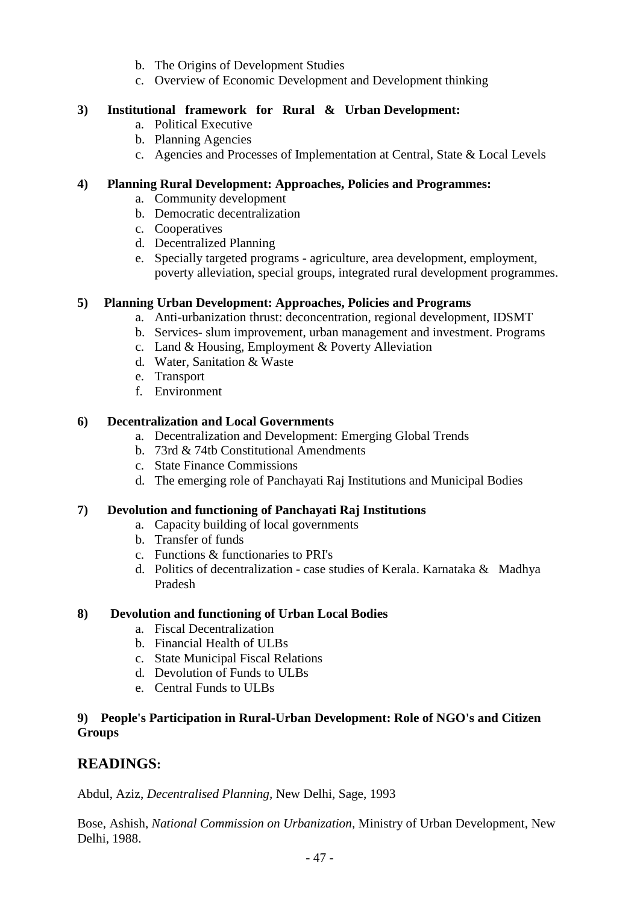- b. The Origins of Development Studies
- c. Overview of Economic Development and Development thinking

# **3) Institutional framework for Rural & Urban Development:**

- a. Political Executive
- b. Planning Agencies
- c. Agencies and Processes of Implementation at Central, State & Local Levels

# **4) Planning Rural Development: Approaches, Policies and Programmes:**

- a. Community development
- b. Democratic decentralization
- c. Cooperatives
- d. Decentralized Planning
- e. Specially targeted programs agriculture, area development, employment, poverty alleviation, special groups, integrated rural development programmes.

# **5) Planning Urban Development: Approaches, Policies and Programs**

- a. Anti-urbanization thrust: deconcentration, regional development, IDSMT
- b. Services- slum improvement, urban management and investment. Programs
- c. Land & Housing, Employment & Poverty Alleviation
- d. Water, Sanitation & Waste
- e. Transport
- f. Environment

# **6) Decentralization and Local Governments**

- a. Decentralization and Development: Emerging Global Trends
- b. 73rd & 74tb Constitutional Amendments
- c. State Finance Commissions
- d. The emerging role of Panchayati Raj Institutions and Municipal Bodies

# **7) Devolution and functioning of Panchayati Raj Institutions**

- a. Capacity building of local governments
- b. Transfer of funds
- c. Functions & functionaries to PRI's
- d. Politics of decentralization case studies of Kerala. Karnataka & Madhya Pradesh

# **8) Devolution and functioning of Urban Local Bodies**

- a. Fiscal Decentralization
- b. Financial Health of ULBs
- c. State Municipal Fiscal Relations
- d. Devolution of Funds to ULBs
- e. Central Funds to ULBs

# **9) People's Participation in Rural-Urban Development: Role of NGO's and Citizen Groups**

# **READINGS:**

Abdul, Aziz, *Decentralised Planning,* New Delhi, Sage, 1993

Bose, Ashish, *National Commission on Urbanization,* Ministry of Urban Development, New Delhi, 1988.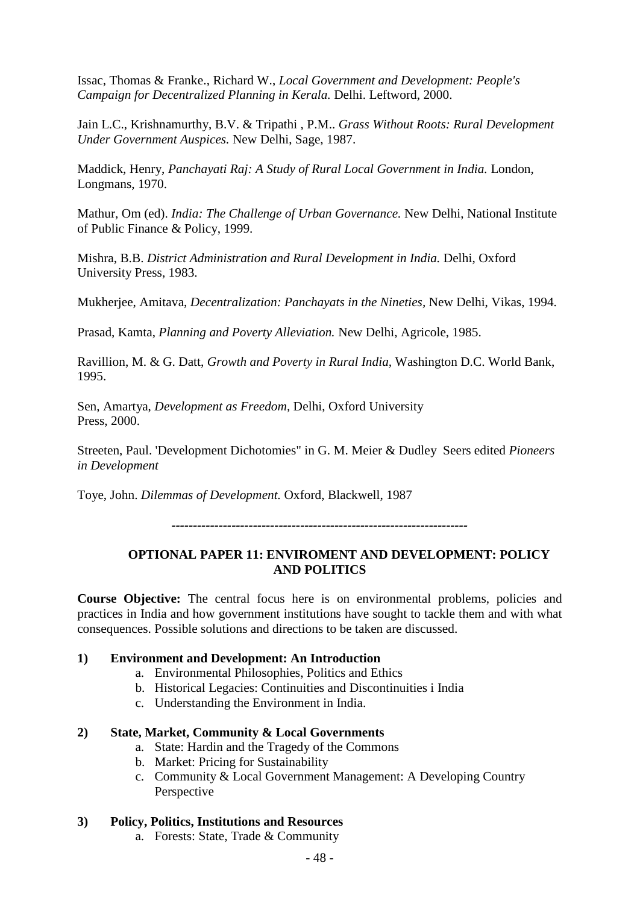Issac, Thomas & Franke., Richard W., *Local Government and Development: People's Campaign for Decentralized Planning in Kerala.* Delhi. Leftword, 2000.

Jain L.C., Krishnamurthy, B.V. & Tripathi , P.M.. *Grass Without Roots: Rural Development Under Government Auspices.* New Delhi, Sage, 1987.

Maddick, Henry, *Panchayati Raj: A Study of Rural Local Government in India.* London, Longmans, 1970.

Mathur, Om (ed). *India: The Challenge of Urban Governance.* New Delhi, National Institute of Public Finance & Policy, 1999.

Mishra, B.B. *District Administration and Rural Development in India.* Delhi, Oxford University Press, 1983.

Mukherjee, Amitava, *Decentralization: Panchayats in the Nineties,* New Delhi, Vikas, 1994.

Prasad, Kamta, *Planning and Poverty Alleviation.* New Delhi, Agricole, 1985.

Ravillion, M. & G. Datt, *Growth and Poverty in Rural India,* Washington D.C. World Bank, 1995.

Sen, Amartya, *Development as Freedom,* Delhi, Oxford University Press, 2000.

Streeten, Paul. 'Development Dichotomies" in G. M. Meier & Dudley Seers edited *Pioneers in Development* 

Toye, John. *Dilemmas of Development.* Oxford, Blackwell, 1987

*---------------------------------------------------------------------*

# **OPTIONAL PAPER 11: ENVIROMENT AND DEVELOPMENT: POLICY AND POLITICS**

**Course Objective:** The central focus here is on environmental problems, policies and practices in India and how government institutions have sought to tackle them and with what consequences. Possible solutions and directions to be taken are discussed.

#### **1) Environment and Development: An Introduction**

- a. Environmental Philosophies, Politics and Ethics
- b. Historical Legacies: Continuities and Discontinuities i India
- c. Understanding the Environment in India.

# **2) State, Market, Community & Local Governments**

- a. State: Hardin and the Tragedy of the Commons
- b. Market: Pricing for Sustainability
- c. Community & Local Government Management: A Developing Country Perspective

# **3) Policy, Politics, Institutions and Resources**

a. Forests: State, Trade & Community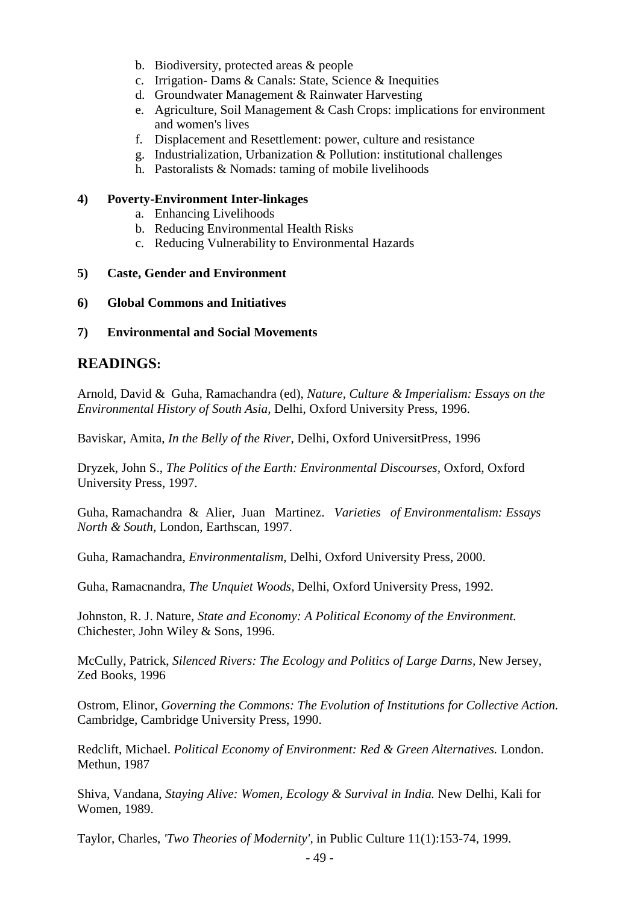- b. Biodiversity, protected areas & people
- c. Irrigation- Dams & Canals: State, Science & Inequities
- d. Groundwater Management & Rainwater Harvesting
- e. Agriculture, Soil Management & Cash Crops: implications for environment and women's lives
- f. Displacement and Resettlement: power, culture and resistance
- g. Industrialization, Urbanization & Pollution: institutional challenges
- h. Pastoralists & Nomads: taming of mobile livelihoods

### **4) Poverty-Environment Inter-linkages**

- a. Enhancing Livelihoods
- b. Reducing Environmental Health Risks
- c. Reducing Vulnerability to Environmental Hazards

### **5) Caste, Gender and Environment**

#### **6) Global Commons and Initiatives**

### **7) Environmental and Social Movements**

# **READINGS:**

Arnold, David & Guha, Ramachandra (ed), *Nature, Culture & Imperialism: Essays on the Environmental History of South Asia,* Delhi, Oxford University Press, 1996.

Baviskar, Amita, *In the Belly of the River,* Delhi, Oxford UniversitPress, 1996

Dryzek, John S., *The Politics of the Earth: Environmental Discourses,* Oxford, Oxford University Press, 1997.

Guha, Ramachandra & Alier, Juan Martinez. *Varieties of Environmentalism: Essays North & South,* London, Earthscan, 1997.

Guha, Ramachandra, *Environmentalism,* Delhi, Oxford University Press, 2000.

Guha, Ramacnandra, *The Unquiet Woods,* Delhi, Oxford University Press, 1992.

Johnston, R. J. Nature, *State and Economy: A Political Economy of the Environment.* Chichester, John Wiley & Sons, 1996.

McCully, Patrick, *Silenced Rivers: The Ecology and Politics of Large Darns,* New Jersey, Zed Books, 1996

Ostrom, Elinor, *Governing the Commons: The Evolution of Institutions for Collective Action.* Cambridge, Cambridge University Press, 1990.

Redclift, Michael. *Political Economy of Environment: Red & Green Alternatives.* London. Methun, 1987

Shiva, Vandana, *Staying Alive: Women, Ecology & Survival in India.* New Delhi, Kali for Women, 1989.

Taylor, Charles, *'Two Theories of Modernity',* in Public Culture 11(1):153-74, 1999.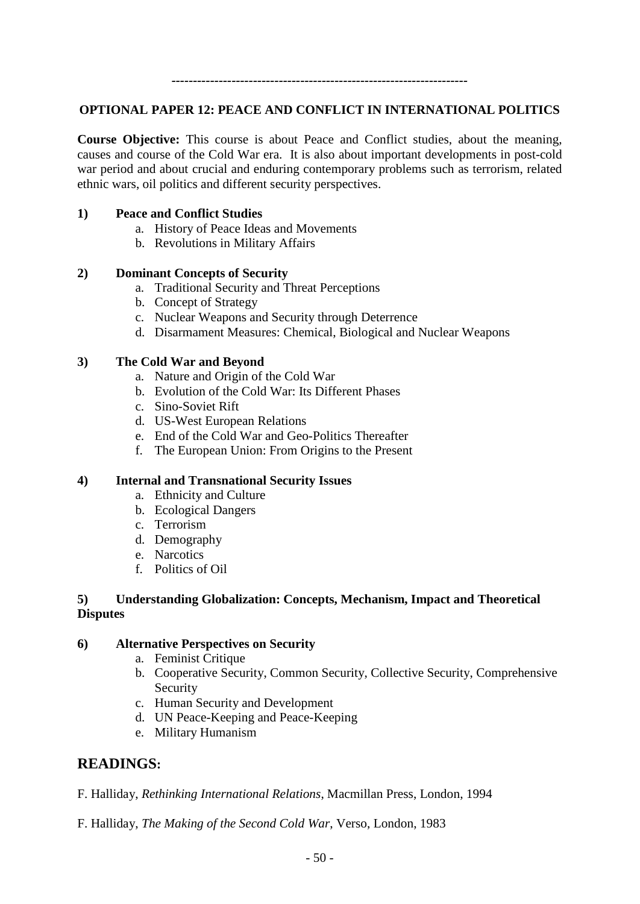*---------------------------------------------------------------------*

#### **OPTIONAL PAPER 12: PEACE AND CONFLICT IN INTERNATIONAL POLITICS**

**Course Objective:** This course is about Peace and Conflict studies, about the meaning, causes and course of the Cold War era. It is also about important developments in post-cold war period and about crucial and enduring contemporary problems such as terrorism, related ethnic wars, oil politics and different security perspectives.

#### **1) Peace and Conflict Studies**

- a. History of Peace Ideas and Movements
- b. Revolutions in Military Affairs

### **2) Dominant Concepts of Security**

- a. Traditional Security and Threat Perceptions
- b. Concept of Strategy
- c. Nuclear Weapons and Security through Deterrence
- d. Disarmament Measures: Chemical, Biological and Nuclear Weapons

### **3) The Cold War and Beyond**

- a. Nature and Origin of the Cold War
- b. Evolution of the Cold War: Its Different Phases
- c. Sino-Soviet Rift
- d. US-West European Relations
- e. End of the Cold War and Geo-Politics Thereafter
- f. The European Union: From Origins to the Present

#### **4) Internal and Transnational Security Issues**

- a. Ethnicity and Culture
- b. Ecological Dangers
- c. Terrorism
- d. Demography
- e. Narcotics
- f. Politics of Oil

# **5) Understanding Globalization: Concepts, Mechanism, Impact and Theoretical Disputes**

#### **6) Alternative Perspectives on Security**

- a. Feminist Critique
- b. Cooperative Security, Common Security, Collective Security, Comprehensive Security
- c. Human Security and Development
- d. UN Peace-Keeping and Peace-Keeping
- e. Military Humanism

# **READINGS:**

- F. Halliday, *Rethinking International Relations*, Macmillan Press, London, 1994
- F. Halliday, *The Making of the Second Cold War*, Verso, London, 1983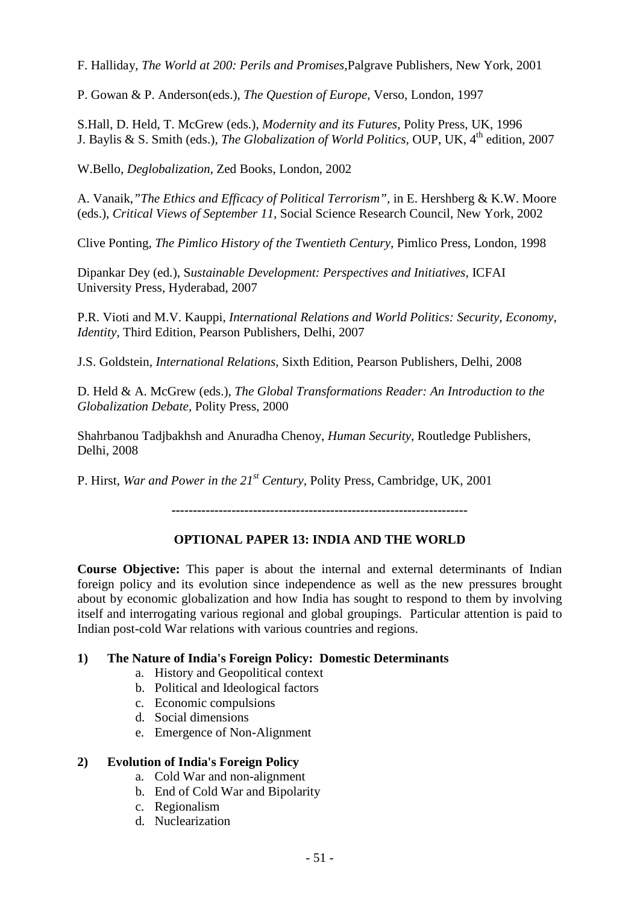F. Halliday, *The World at 200: Perils and Promises,*Palgrave Publishers, New York, 2001

P. Gowan & P. Anderson(eds.), *The Question of Europe*, Verso, London, 1997

S.Hall, D. Held, T. McGrew (eds.), *Modernity and its Futures*, Polity Press, UK, 1996 J. Baylis & S. Smith (eds.), *The Globalization of World Politics*, OUP, UK, 4<sup>th</sup> edition, 2007

W.Bello, *Deglobalization*, Zed Books, London, 2002

A. Vanaik,*"The Ethics and Efficacy of Political Terrorism",* in E. Hershberg & K.W. Moore (eds.), *Critical Views of September 11,* Social Science Research Council, New York, 2002

Clive Ponting, *The Pimlico History of the Twentieth Century,* Pimlico Press, London, 1998

Dipankar Dey (ed.), S*ustainable Development: Perspectives and Initiatives,* ICFAI University Press, Hyderabad, 2007

P.R. Vioti and M.V. Kauppi, *International Relations and World Politics: Security, Economy, Identity,* Third Edition, Pearson Publishers, Delhi, 2007

J.S. Goldstein, *International Relations,* Sixth Edition, Pearson Publishers, Delhi, 2008

D. Held & A. McGrew (eds.), *The Global Transformations Reader: An Introduction to the Globalization Debate,* Polity Press, 2000

Shahrbanou Tadjbakhsh and Anuradha Chenoy, *Human Security,* Routledge Publishers, Delhi, 2008

P. Hirst, *War and Power in the 21st Century,* Polity Press, Cambridge, UK, 2001

*---------------------------------------------------------------------*

# **OPTIONAL PAPER 13: INDIA AND THE WORLD**

**Course Objective:** This paper is about the internal and external determinants of Indian foreign policy and its evolution since independence as well as the new pressures brought about by economic globalization and how India has sought to respond to them by involving itself and interrogating various regional and global groupings. Particular attention is paid to Indian post-cold War relations with various countries and regions.

#### **1) The Nature of India's Foreign Policy: Domestic Determinants**

- a. History and Geopolitical context
- b. Political and Ideological factors
- c. Economic compulsions
- d. Social dimensions
- e. Emergence of Non-Alignment

#### **2) Evolution of India's Foreign Policy**

- a. Cold War and non-alignment
- b. End of Cold War and Bipolarity
- c. Regionalism
- d. Nuclearization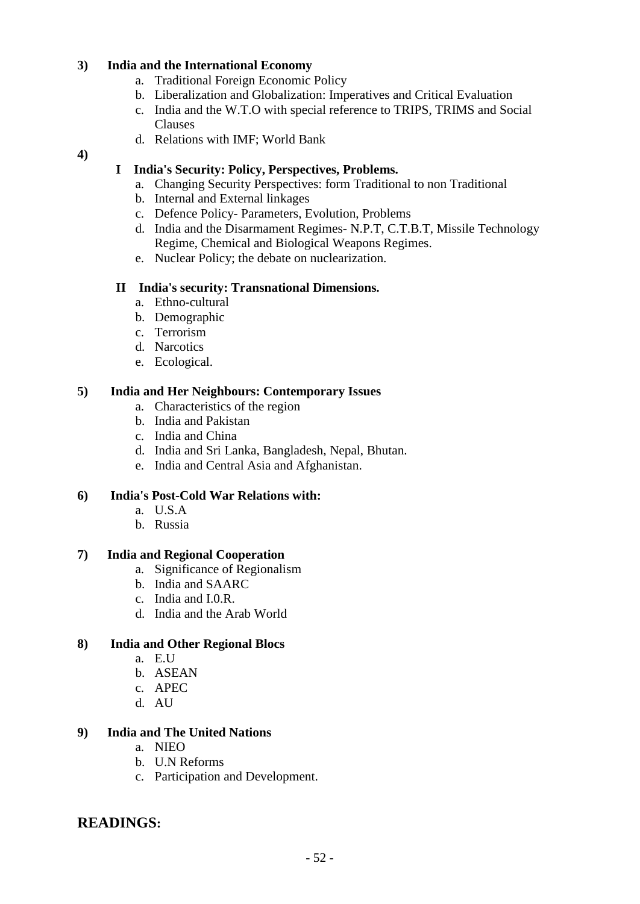### **3) India and the International Economy**

- a. Traditional Foreign Economic Policy
- b. Liberalization and Globalization: Imperatives and Critical Evaluation
- c. India and the W.T.O with special reference to TRIPS, TRIMS and Social Clauses
- d. Relations with IMF; World Bank

#### **4)**

# **I India's Security: Policy, Perspectives, Problems.**

- a. Changing Security Perspectives: form Traditional to non Traditional
- b. Internal and External linkages
- c. Defence Policy- Parameters, Evolution, Problems
- d. India and the Disarmament Regimes- N.P.T, C.T.B.T, Missile Technology Regime, Chemical and Biological Weapons Regimes.
- e. Nuclear Policy; the debate on nuclearization.

#### **II India's security: Transnational Dimensions.**

- a. Ethno-cultural
- b. Demographic
- c. Terrorism
- d. Narcotics
- e. Ecological.

### **5) India and Her Neighbours: Contemporary Issues**

- a. Characteristics of the region
- b. India and Pakistan
- c. India and China
- d. India and Sri Lanka, Bangladesh, Nepal, Bhutan.
- e. India and Central Asia and Afghanistan.

### **6) India's Post-Cold War Relations with:**

- a. U.S.A
- b. Russia

#### **7) India and Regional Cooperation**

- a. Significance of Regionalism
- b. India and SAARC
- c. India and I.0.R.
- d. India and the Arab World

# **8) India and Other Regional Blocs**

- a. E.U
- b. ASEAN
- c. APEC
- d. AU

# **9) India and The United Nations**

- a. NIEO
- b. U.N Reforms
- c. Participation and Development.

# **READINGS:**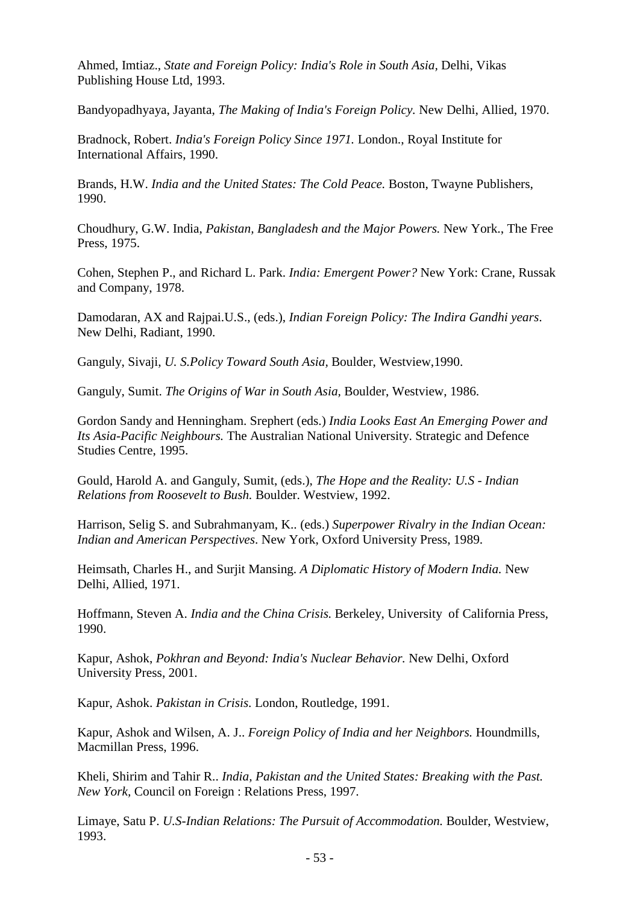Ahmed, Imtiaz., *State and Foreign Policy: India's Role in South Asia,* Delhi, Vikas Publishing House Ltd, 1993.

Bandyopadhyaya, Jayanta, *The Making of India's Foreign Policy.* New Delhi, Allied, 1970.

Bradnock, Robert. *India's Foreign Policy Since 1971.* London., Royal Institute for International Affairs, 1990.

Brands, H.W. *India and the United States: The Cold Peace.* Boston, Twayne Publishers, 1990.

Choudhury, G.W. India, *Pakistan, Bangladesh and the Major Powers.* New York., The Free Press, 1975.

Cohen, Stephen P., and Richard L. Park. *India: Emergent Power?* New York: Crane, Russak and Company, 1978.

Damodaran, AX and Rajpai.U.S., (eds.), *Indian Foreign Policy: The Indira Gandhi years*. New Delhi, Radiant, 1990.

Ganguly, Sivaji, *U. S.Policy Toward South Asia,* Boulder, Westview,1990.

Ganguly, Sumit. *The Origins of War in South Asia,* Boulder, Westview, 1986.

Gordon Sandy and Henningham. Srephert (eds.) *India Looks East An Emerging Power and Its Asia-Pacific Neighbours.* The Australian National University. Strategic and Defence Studies Centre, 1995.

Gould, Harold A. and Ganguly, Sumit, (eds.), *The Hope and the Reality: U.S - Indian Relations from Roosevelt to Bush.* Boulder. Westview, 1992.

Harrison, Selig S. and Subrahmanyam, K.. (eds.) *Superpower Rivalry in the Indian Ocean: Indian and American Perspectives*. New York, Oxford University Press, 1989.

Heimsath, Charles H., and Surjit Mansing. *A Diplomatic History of Modern India.* New Delhi, Allied, 1971.

Hoffmann, Steven A. *India and the China Crisis.* Berkeley, University of California Press, 1990.

Kapur, Ashok, *Pokhran and Beyond: India's Nuclear Behavior.* New Delhi, Oxford University Press, 2001.

Kapur, Ashok. *Pakistan in Crisis.* London, Routledge, 1991.

Kapur, Ashok and Wilsen, A. J.. *Foreign Policy of India and her Neighbors.* Houndmills, Macmillan Press, 1996.

Kheli, Shirim and Tahir R.. *India, Pakistan and the United States: Breaking with the Past. New York,* Council on Foreign : Relations Press, 1997.

Limaye, Satu P. *U.S-Indian Relations: The Pursuit of Accommodation.* Boulder, Westview, 1993.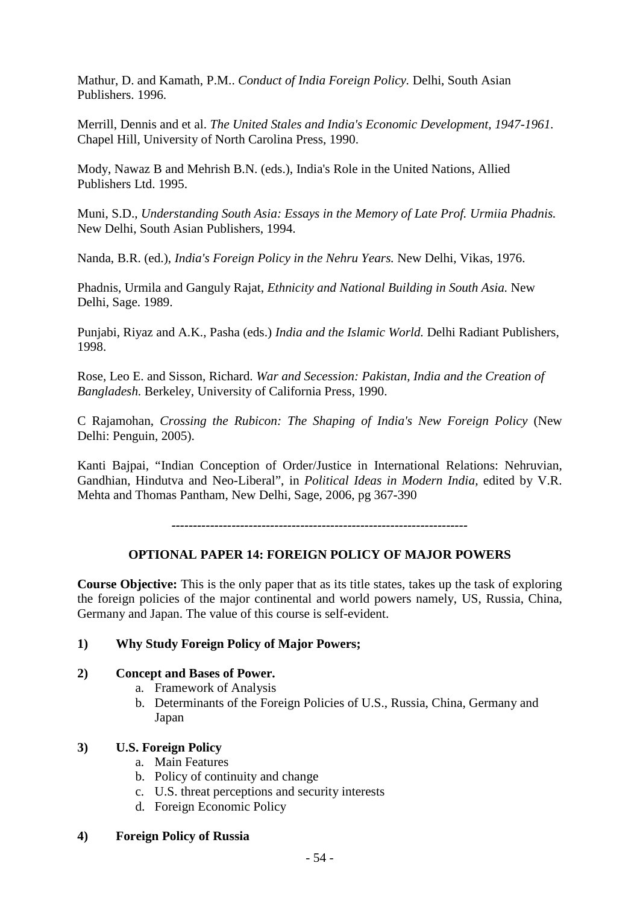Mathur, D. and Kamath, P.M.. *Conduct of India Foreign Policy.* Delhi, South Asian Publishers. 1996.

Merrill, Dennis and et al. *The United Stales and India's Economic Development, 1947-1961.* Chapel Hill, University of North Carolina Press, 1990.

Mody, Nawaz B and Mehrish B.N. (eds.), India's Role in the United Nations, Allied Publishers Ltd. 1995.

Muni, S.D., *Understanding South Asia: Essays in the Memory of Late Prof. Urmiia Phadnis.* New Delhi, South Asian Publishers, 1994.

Nanda, B.R. (ed.), *India's Foreign Policy in the Nehru Years.* New Delhi, Vikas, 1976.

Phadnis, Urmila and Ganguly Rajat, *Ethnicity and National Building in South Asia.* New Delhi, Sage. 1989.

Punjabi, Riyaz and A.K., Pasha (eds.) *India and the Islamic World.* Delhi Radiant Publishers, 1998.

Rose, Leo E. and Sisson, Richard. *War and Secession: Pakistan, India and the Creation of Bangladesh.* Berkeley, University of California Press, 1990.

C Rajamohan, *Crossing the Rubicon: The Shaping of India's New Foreign Policy* (New Delhi: Penguin, 2005).

Kanti Bajpai, "Indian Conception of Order/Justice in International Relations: Nehruvian, Gandhian, Hindutva and Neo-Liberal", in *Political Ideas in Modern India,* edited by V.R. Mehta and Thomas Pantham, New Delhi, Sage, 2006, pg 367-390

*---------------------------------------------------------------------*

# **OPTIONAL PAPER 14: FOREIGN POLICY OF MAJOR POWERS**

**Course Objective:** This is the only paper that as its title states, takes up the task of exploring the foreign policies of the major continental and world powers namely, US, Russia, China, Germany and Japan. The value of this course is self-evident.

#### **1) Why Study Foreign Policy of Major Powers;**

# **2) Concept and Bases of Power.**

- a. Framework of Analysis
- b. Determinants of the Foreign Policies of U.S., Russia, China, Germany and Japan

# **3) U.S. Foreign Policy**

- a. Main Features
- b. Policy of continuity and change
- c. U.S. threat perceptions and security interests
- d. Foreign Economic Policy
- **4) Foreign Policy of Russia**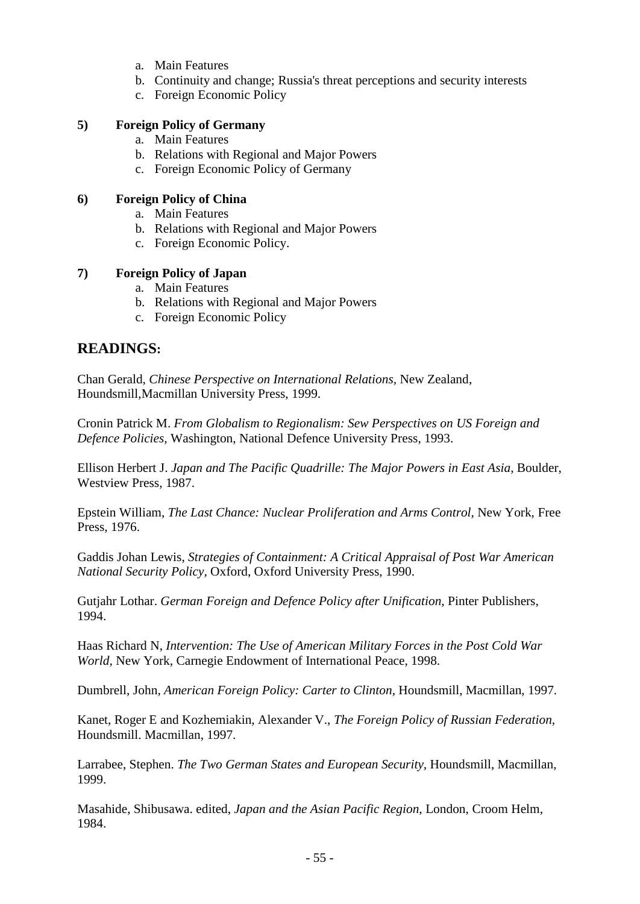- a. Main Features
- b. Continuity and change; Russia's threat perceptions and security interests
- c. Foreign Economic Policy

### **5) Foreign Policy of Germany**

- a. Main Features
- b. Relations with Regional and Major Powers
- c. Foreign Economic Policy of Germany

### **6) Foreign Policy of China**

- a. Main Features
- b. Relations with Regional and Major Powers
- c. Foreign Economic Policy.

### **7) Foreign Policy of Japan**

- a. Main Features
- b. Relations with Regional and Major Powers
- c. Foreign Economic Policy

# **READINGS:**

Chan Gerald, *Chinese Perspective on International Relations,* New Zealand, Houndsmill,Macmillan University Press, 1999.

Cronin Patrick M. *From Globalism to Regionalism: Sew Perspectives on US Foreign and Defence Policies,* Washington, National Defence University Press, 1993.

Ellison Herbert J. *Japan and The Pacific Quadrille: The Major Powers in East Asia,* Boulder, Westview Press, 1987.

Epstein William, *The Last Chance: Nuclear Proliferation and Arms Control,* New York, Free Press, 1976.

Gaddis Johan Lewis, *Strategies of Containment: A Critical Appraisal of Post War American National Security Policy,* Oxford, Oxford University Press, 1990.

Gutjahr Lothar. *German Foreign and Defence Policy after Unification,* Pinter Publishers, 1994.

Haas Richard N, *Intervention: The Use of American Military Forces in the Post Cold War World,* New York, Carnegie Endowment of International Peace, 1998.

Dumbrell, John, *American Foreign Policy: Carter to Clinton,* Houndsmill, Macmillan, 1997.

Kanet, Roger E and Kozhemiakin, Alexander V., *The Foreign Policy of Russian Federation,* Houndsmill. Macmillan, 1997.

Larrabee, Stephen. *The Two German States and European Security,* Houndsmill, Macmillan, 1999.

Masahide, Shibusawa. edited, *Japan and the Asian Pacific Region,* London, Croom Helm, 1984.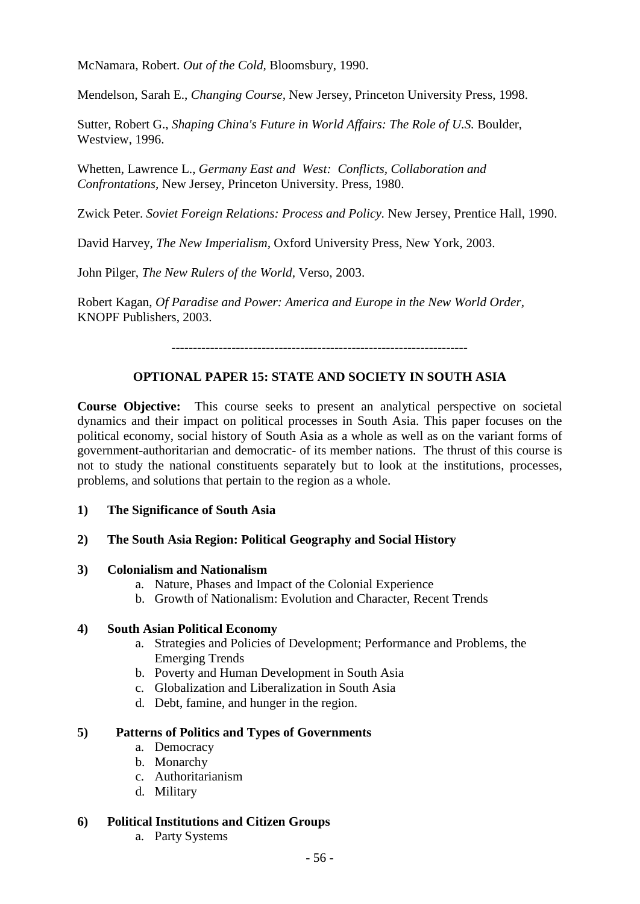McNamara, Robert. *Out of the Cold,* Bloomsbury, 1990.

Mendelson, Sarah E., *Changing Course,* New Jersey, Princeton University Press, 1998.

Sutter, Robert G., *Shaping China's Future in World Affairs: The Role of U.S.* Boulder, Westview, 1996.

Whetten, Lawrence L., *Germany East and West: Conflicts, Collaboration and Confrontations,* New Jersey, Princeton University. Press, 1980.

Zwick Peter. *Soviet Foreign Relations: Process and Policy.* New Jersey, Prentice Hall, 1990.

David Harvey, *The New Imperialism,* Oxford University Press, New York, 2003.

John Pilger, *The New Rulers of the World,* Verso, 2003.

Robert Kagan, *Of Paradise and Power: America and Europe in the New World Order,*  KNOPF Publishers, 2003.

*---------------------------------------------------------------------*

### **OPTIONAL PAPER 15: STATE AND SOCIETY IN SOUTH ASIA**

**Course Objective:** This course seeks to present an analytical perspective on societal dynamics and their impact on political processes in South Asia. This paper focuses on the political economy, social history of South Asia as a whole as well as on the variant forms of government-authoritarian and democratic- of its member nations. The thrust of this course is not to study the national constituents separately but to look at the institutions, processes, problems, and solutions that pertain to the region as a whole.

#### **1) The Significance of South Asia**

#### **2) The South Asia Region: Political Geography and Social History**

#### **3) Colonialism and Nationalism**

- a. Nature, Phases and Impact of the Colonial Experience
- b. Growth of Nationalism: Evolution and Character, Recent Trends

#### **4) South Asian Political Economy**

- a. Strategies and Policies of Development; Performance and Problems, the Emerging Trends
- b. Poverty and Human Development in South Asia
- c. Globalization and Liberalization in South Asia
- d. Debt, famine, and hunger in the region.

#### **5) Patterns of Politics and Types of Governments**

- a. Democracy
- b. Monarchy
- c. Authoritarianism
- d. Military

#### **6) Political Institutions and Citizen Groups**

a. Party Systems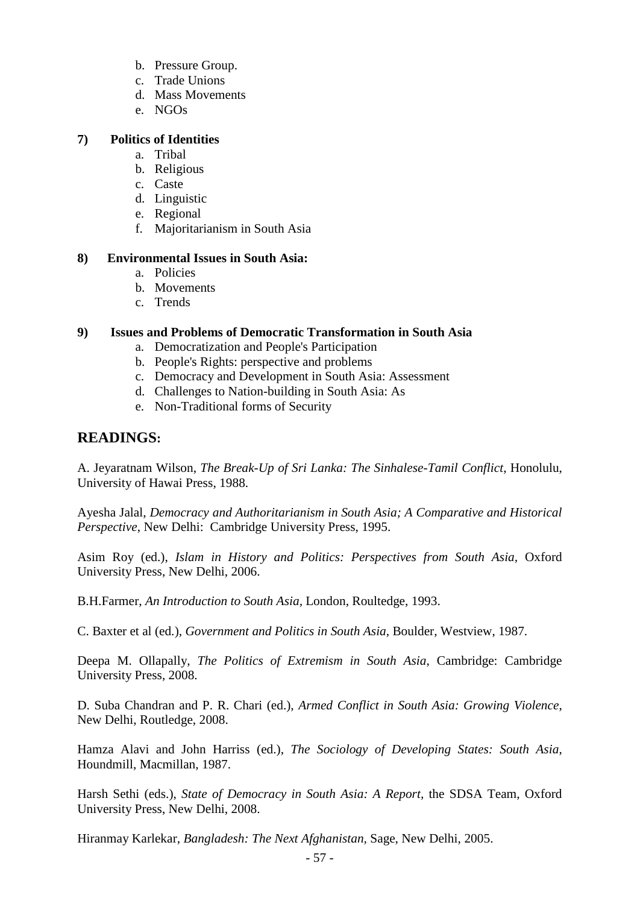- b. Pressure Group.
- c. Trade Unions
- d. Mass Movements
- e. NGOs

### **7) Politics of Identities**

- a. Tribal
- b. Religious
- c. Caste
- d. Linguistic
- e. Regional
- f. Majoritarianism in South Asia

### **8) Environmental Issues in South Asia:**

- a. Policies
- b. Movements
- c. Trends

# **9) Issues and Problems of Democratic Transformation in South Asia**

- a. Democratization and People's Participation
- b. People's Rights: perspective and problems
- c. Democracy and Development in South Asia: Assessment
- d. Challenges to Nation-building in South Asia: As
- e. Non-Traditional forms of Security

# **READINGS:**

A. Jeyaratnam Wilson, *The Break-Up of Sri Lanka: The Sinhalese-Tamil Conflict*, Honolulu, University of Hawai Press, 1988.

Ayesha Jalal, *Democracy and Authoritarianism in South Asia; A Comparative and Historical Perspective*, New Delhi: Cambridge University Press, 1995.

Asim Roy (ed.), *Islam in History and Politics: Perspectives from South Asia,* Oxford University Press, New Delhi, 2006.

B.H.Farmer, *An Introduction to South Asia,* London, Roultedge, 1993.

C. Baxter et al (ed.), *Government and Politics in South Asia,* Boulder, Westview, 1987.

Deepa M. Ollapally, *The Politics of Extremism in South Asia*, Cambridge: Cambridge University Press, 2008.

D. Suba Chandran and P. R. Chari (ed.), *Armed Conflict in South Asia: Growing Violence*, New Delhi, Routledge, 2008.

Hamza Alavi and John Harriss (ed.), *The Sociology of Developing States: South Asia*, Houndmill, Macmillan, 1987.

Harsh Sethi (eds.), *State of Democracy in South Asia: A Report,* the SDSA Team, Oxford University Press, New Delhi, 2008.

Hiranmay Karlekar, *Bangladesh: The Next Afghanistan,* Sage, New Delhi, 2005.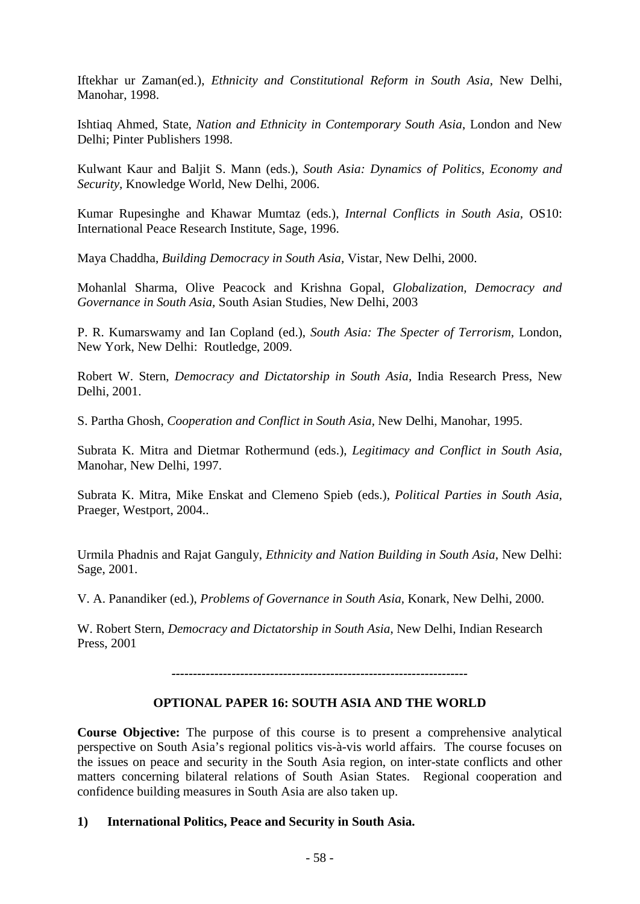Iftekhar ur Zaman(ed.), *Ethnicity and Constitutional Reform in South Asia*, New Delhi, Manohar, 1998.

Ishtiaq Ahmed, State, *Nation and Ethnicity in Contemporary South Asia*, London and New Delhi; Pinter Publishers 1998.

Kulwant Kaur and Baljit S. Mann (eds.), *South Asia: Dynamics of Politics, Economy and Security,* Knowledge World, New Delhi, 2006.

Kumar Rupesinghe and Khawar Mumtaz (eds.), *Internal Conflicts in South Asia,* OS10: International Peace Research Institute, Sage, 1996.

Maya Chaddha, *Building Democracy in South Asia,* Vistar, New Delhi, 2000.

Mohanlal Sharma, Olive Peacock and Krishna Gopal, *Globalization, Democracy and Governance in South Asia,* South Asian Studies, New Delhi, 2003

P. R. Kumarswamy and Ian Copland (ed.), *South Asia: The Specter of Terrorism,* London, New York, New Delhi: Routledge, 2009.

Robert W. Stern, *Democracy and Dictatorship in South Asia,* India Research Press, New Delhi, 2001.

S. Partha Ghosh, *Cooperation and Conflict in South Asia,* New Delhi, Manohar, 1995.

Subrata K. Mitra and Dietmar Rothermund (eds.), *Legitimacy and Conflict in South Asia,*  Manohar, New Delhi, 1997.

Subrata K. Mitra, Mike Enskat and Clemeno Spieb (eds.), *Political Parties in South Asia,*  Praeger, Westport, 2004..

Urmila Phadnis and Rajat Ganguly, *Ethnicity and Nation Building in South Asia*, New Delhi: Sage, 2001.

V. A. Panandiker (ed.), *Problems of Governance in South Asia,* Konark, New Delhi, 2000.

W. Robert Stern, *Democracy and Dictatorship in South Asia*, New Delhi, Indian Research Press, 2001

*---------------------------------------------------------------------*

# **OPTIONAL PAPER 16: SOUTH ASIA AND THE WORLD**

**Course Objective:** The purpose of this course is to present a comprehensive analytical perspective on South Asia's regional politics vis-à-vis world affairs. The course focuses on the issues on peace and security in the South Asia region, on inter-state conflicts and other matters concerning bilateral relations of South Asian States. Regional cooperation and confidence building measures in South Asia are also taken up.

#### **1) International Politics, Peace and Security in South Asia.**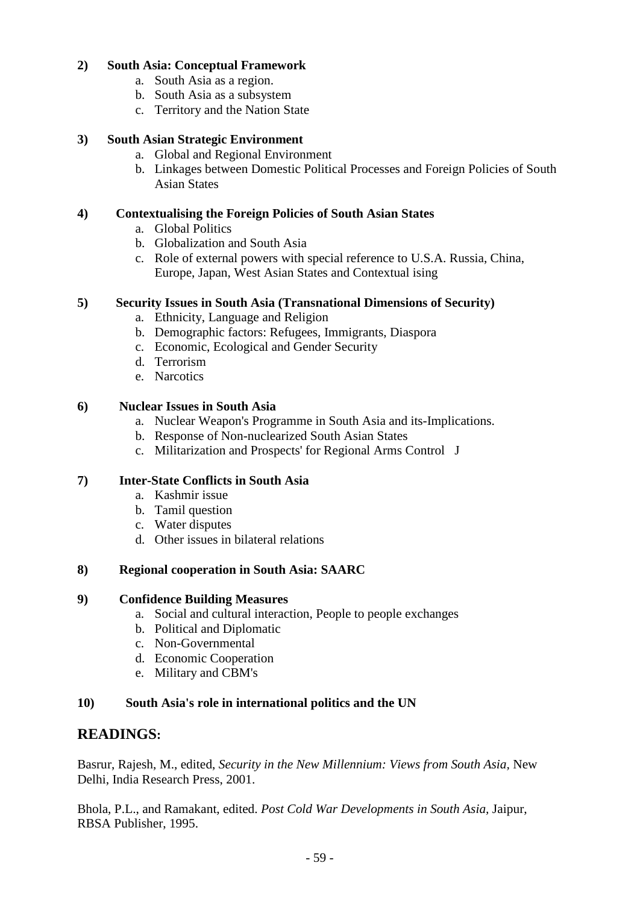# **2) South Asia: Conceptual Framework**

- a. South Asia as a region.
- b. South Asia as a subsystem
- c. Territory and the Nation State

# **3) South Asian Strategic Environment**

- a. Global and Regional Environment
- b. Linkages between Domestic Political Processes and Foreign Policies of South Asian States

# **4) Contextualising the Foreign Policies of South Asian States**

- a. Global Politics
- b. Globalization and South Asia
- c. Role of external powers with special reference to U.S.A. Russia, China, Europe, Japan, West Asian States and Contextual ising

# **5) Security Issues in South Asia (Transnational Dimensions of Security)**

- a. Ethnicity, Language and Religion
- b. Demographic factors: Refugees, Immigrants, Diaspora
- c. Economic, Ecological and Gender Security
- d. Terrorism
- e. Narcotics

# **6) Nuclear Issues in South Asia**

- a. Nuclear Weapon's Programme in South Asia and its-Implications.
- b. Response of Non-nuclearized South Asian States
- c. Militarization and Prospects' for Regional Arms Control J

# **7) Inter-State Conflicts in South Asia**

- a. Kashmir issue
- b. Tamil question
- c. Water disputes
- d. Other issues in bilateral relations

# **8) Regional cooperation in South Asia: SAARC**

# **9) Confidence Building Measures**

- a. Social and cultural interaction, People to people exchanges
- b. Political and Diplomatic
- c. Non-Governmental
- d. Economic Cooperation
- e. Military and CBM's

# **10) South Asia's role in international politics and the UN**

# **READINGS:**

Basrur, Rajesh, M., edited, *Security in the New Millennium: Views from South Asia,* New Delhi, India Research Press, 2001.

Bhola, P.L., and Ramakant, edited. *Post Cold War Developments in South Asia,* Jaipur, RBSA Publisher, 1995.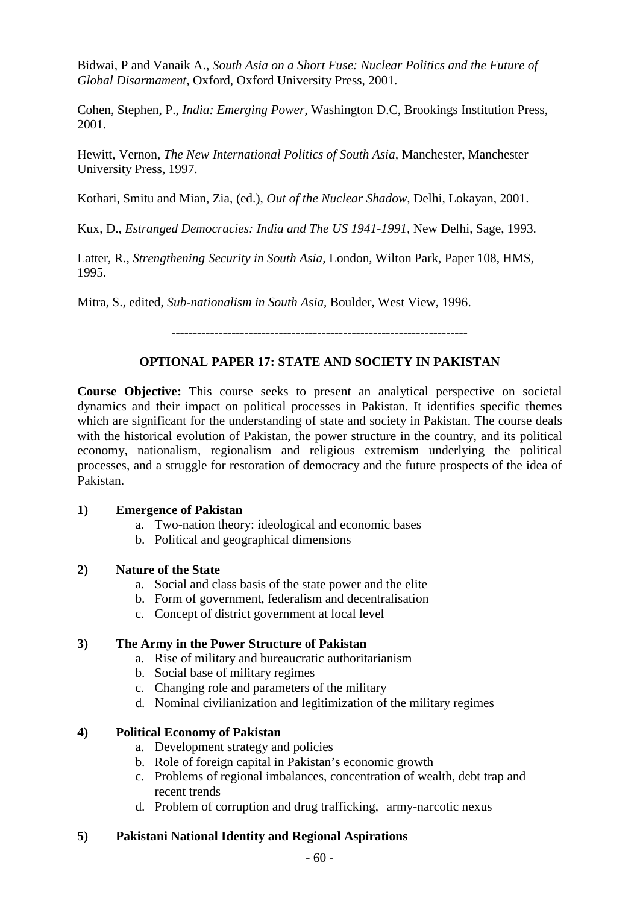Bidwai, P and Vanaik A., *South Asia on a Short Fuse: Nuclear Politics and the Future of Global Disarmament,* Oxford, Oxford University Press, 2001.

Cohen, Stephen, P., *India: Emerging Power,* Washington D.C, Brookings Institution Press, 2001.

Hewitt, Vernon, *The New International Politics of South Asia,* Manchester, Manchester University Press, 1997.

Kothari, Smitu and Mian, Zia, (ed.), *Out of the Nuclear Shadow,* Delhi, Lokayan, 2001.

Kux, D., *Estranged Democracies: India and The US 1941-1991,* New Delhi, Sage, 1993.

Latter, R., *Strengthening Security in South Asia,* London, Wilton Park, Paper 108, HMS, 1995.

Mitra, S., edited, *Sub-nationalism in South Asia,* Boulder, West View, 1996.

*---------------------------------------------------------------------*

#### **OPTIONAL PAPER 17: STATE AND SOCIETY IN PAKISTAN**

**Course Objective:** This course seeks to present an analytical perspective on societal dynamics and their impact on political processes in Pakistan. It identifies specific themes which are significant for the understanding of state and society in Pakistan. The course deals with the historical evolution of Pakistan, the power structure in the country, and its political economy, nationalism, regionalism and religious extremism underlying the political processes, and a struggle for restoration of democracy and the future prospects of the idea of Pakistan.

#### **1) Emergence of Pakistan**

- a. Two-nation theory: ideological and economic bases
- b. Political and geographical dimensions

### **2) Nature of the State**

- a. Social and class basis of the state power and the elite
- b. Form of government, federalism and decentralisation
- c. Concept of district government at local level

#### **3) The Army in the Power Structure of Pakistan**

- a. Rise of military and bureaucratic authoritarianism
- b. Social base of military regimes
- c. Changing role and parameters of the military
- d. Nominal civilianization and legitimization of the military regimes

#### **4) Political Economy of Pakistan**

- a. Development strategy and policies
- b. Role of foreign capital in Pakistan's economic growth
- c. Problems of regional imbalances, concentration of wealth, debt trap and recent trends
- d. Problem of corruption and drug trafficking, army-narcotic nexus

#### **5) Pakistani National Identity and Regional Aspirations**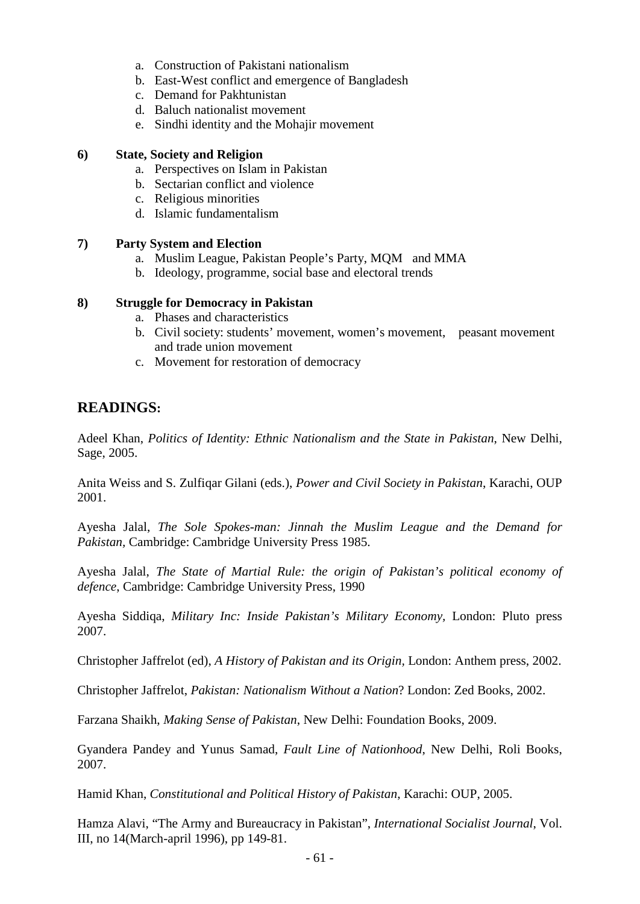- a. Construction of Pakistani nationalism
- b. East-West conflict and emergence of Bangladesh
- c. Demand for Pakhtunistan
- d. Baluch nationalist movement
- e. Sindhi identity and the Mohajir movement

### **6) State, Society and Religion**

- a. Perspectives on Islam in Pakistan
- b. Sectarian conflict and violence
- c. Religious minorities
- d. Islamic fundamentalism

### **7) Party System and Election**

- a. Muslim League, Pakistan People's Party, MQM and MMA
- b. Ideology, programme, social base and electoral trends

# **8) Struggle for Democracy in Pakistan**

- a. Phases and characteristics
- b. Civil society: students' movement, women's movement, peasant movement and trade union movement
- c. Movement for restoration of democracy

# **READINGS:**

Adeel Khan, *Politics of Identity: Ethnic Nationalism and the State in Pakistan*, New Delhi, Sage, 2005.

Anita Weiss and S. Zulfiqar Gilani (eds.), *Power and Civil Society in Pakistan*, Karachi, OUP 2001.

Ayesha Jalal, *The Sole Spokes-man: Jinnah the Muslim League and the Demand for Pakistan,* Cambridge: Cambridge University Press 1985.

Ayesha Jalal, *The State of Martial Rule: the origin of Pakistan's political economy of defence*, Cambridge: Cambridge University Press, 1990

Ayesha Siddiqa, *Military Inc: Inside Pakistan's Military Economy,* London: Pluto press 2007.

Christopher Jaffrelot (ed), *A History of Pakistan and its Origin,* London: Anthem press, 2002.

Christopher Jaffrelot, *Pakistan: Nationalism Without a Nation*? London: Zed Books, 2002.

Farzana Shaikh, *Making Sense of Pakistan*, New Delhi: Foundation Books, 2009.

Gyandera Pandey and Yunus Samad, *Fault Line of Nationhood*, New Delhi, Roli Books, 2007.

Hamid Khan, *Constitutional and Political History of Pakistan*, Karachi: OUP, 2005.

Hamza Alavi, "The Army and Bureaucracy in Pakistan", *International Socialist Journal*, Vol. III, no 14(March-april 1996), pp 149-81.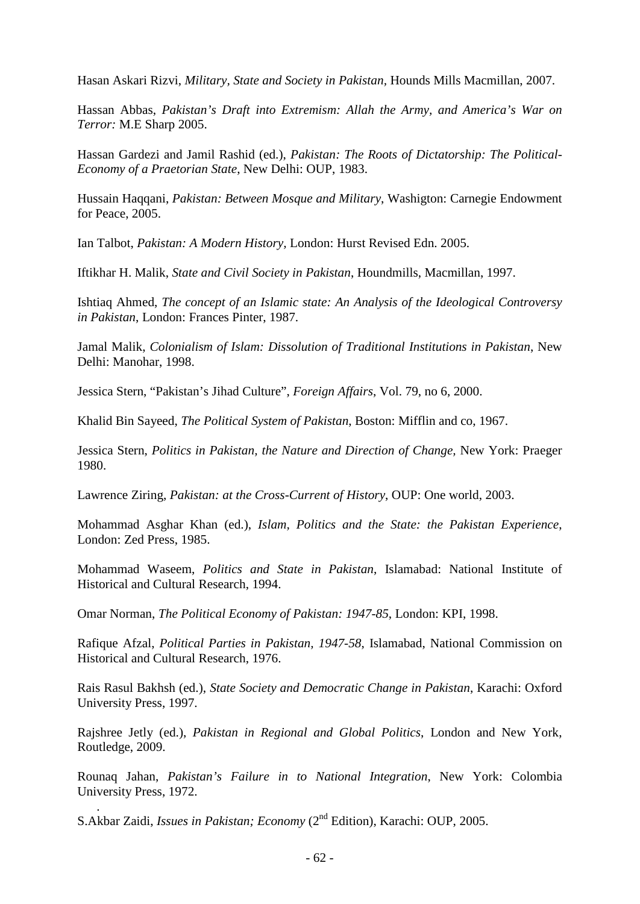Hasan Askari Rizvi, *Military, State and Society in Pakistan,* Hounds Mills Macmillan, 2007.

Hassan Abbas, *Pakistan's Draft into Extremism: Allah the Army, and America's War on Terror:* M.E Sharp 2005.

Hassan Gardezi and Jamil Rashid (ed.), *Pakistan: The Roots of Dictatorship: The Political-Economy of a Praetorian State*, New Delhi: OUP, 1983.

Hussain Haqqani, *Pakistan: Between Mosque and Military*, Washigton: Carnegie Endowment for Peace, 2005.

Ian Talbot, *Pakistan: A Modern History,* London: Hurst Revised Edn. 2005.

Iftikhar H. Malik, *State and Civil Society in Pakistan*, Houndmills, Macmillan, 1997.

Ishtiaq Ahmed, *The concept of an Islamic state: An Analysis of the Ideological Controversy in Pakistan*, London: Frances Pinter, 1987.

Jamal Malik, *Colonialism of Islam: Dissolution of Traditional Institutions in Pakistan*, New Delhi: Manohar, 1998.

Jessica Stern, "Pakistan's Jihad Culture", *Foreign Affairs*, Vol. 79, no 6, 2000.

Khalid Bin Sayeed, *The Political System of Pakistan*, Boston: Mifflin and co, 1967.

Jessica Stern, *Politics in Pakistan, the Nature and Direction of Change,* New York: Praeger 1980.

Lawrence Ziring, *Pakistan: at the Cross-Current of History*, OUP: One world, 2003.

Mohammad Asghar Khan (ed.), *Islam, Politics and the State: the Pakistan Experience*, London: Zed Press, 1985.

Mohammad Waseem, *Politics and State in Pakistan*, Islamabad: National Institute of Historical and Cultural Research, 1994.

Omar Norman, *The Political Economy of Pakistan: 1947-85*, London: KPI, 1998.

Rafique Afzal, *Political Parties in Pakistan, 1947-58*, Islamabad, National Commission on Historical and Cultural Research, 1976.

Rais Rasul Bakhsh (ed.), *State Society and Democratic Change in Pakistan*, Karachi: Oxford University Press, 1997.

Rajshree Jetly (ed.), *Pakistan in Regional and Global Politics*, London and New York, Routledge, 2009.

Rounaq Jahan, *Pakistan's Failure in to National Integration*, New York: Colombia University Press, 1972.

. S.Akbar Zaidi, *Issues in Pakistan; Economy* (2<sup>nd</sup> Edition), Karachi: OUP, 2005.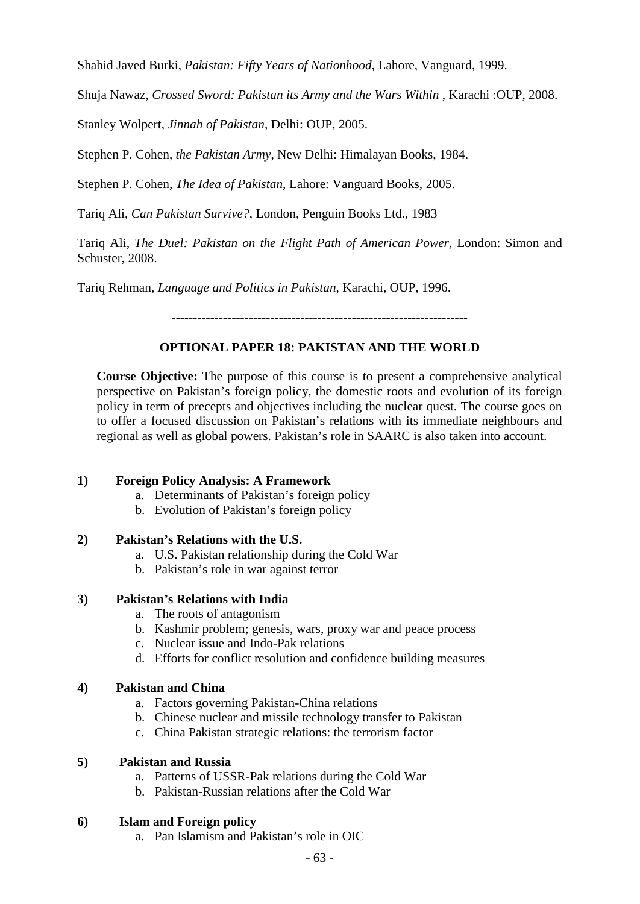Shahid Javed Burki, *Pakistan: Fifty Years of Nationhood*, Lahore, Vanguard, 1999.

Shuja Nawaz, *Crossed Sword: Pakistan its Army and the Wars Within* , Karachi :OUP, 2008.

Stanley Wolpert, *Jinnah of Pakistan*, Delhi: OUP, 2005.

Stephen P. Cohen, *the Pakistan Army*, New Delhi: Himalayan Books, 1984.

Stephen P. Cohen, *The Idea of Pakistan*, Lahore: Vanguard Books, 2005.

Tariq Ali, *Can Pakistan Survive?*, London, Penguin Books Ltd., 1983

Tariq Ali, *The Duel: Pakistan on the Flight Path of American Power,* London: Simon and Schuster, 2008.

Tariq Rehman, *Language and Politics in Pakistan*, Karachi, OUP, 1996.

*---------------------------------------------------------------------*

# **OPTIONAL PAPER 18: PAKISTAN AND THE WORLD**

**Course Objective:** The purpose of this course is to present a comprehensive analytical perspective on Pakistan's foreign policy, the domestic roots and evolution of its foreign policy in term of precepts and objectives including the nuclear quest. The course goes on to offer a focused discussion on Pakistan's relations with its immediate neighbours and regional as well as global powers. Pakistan's role in SAARC is also taken into account.

# **1) Foreign Policy Analysis: A Framework**

- a. Determinants of Pakistan's foreign policy
- b. Evolution of Pakistan's foreign policy

#### **2) Pakistan's Relations with the U.S.**

- a. U.S. Pakistan relationship during the Cold War
- b. Pakistan's role in war against terror

#### **3) Pakistan's Relations with India**

- a. The roots of antagonism
- b. Kashmir problem; genesis, wars, proxy war and peace process
- c. Nuclear issue and Indo-Pak relations
- d. Efforts for conflict resolution and confidence building measures

#### **4) Pakistan and China**

- a. Factors governing Pakistan-China relations
- b. Chinese nuclear and missile technology transfer to Pakistan
- c. China Pakistan strategic relations: the terrorism factor

#### **5) Pakistan and Russia**

- a. Patterns of USSR-Pak relations during the Cold War
- b. Pakistan-Russian relations after the Cold War

#### **6) Islam and Foreign policy**

a. Pan Islamism and Pakistan's role in OIC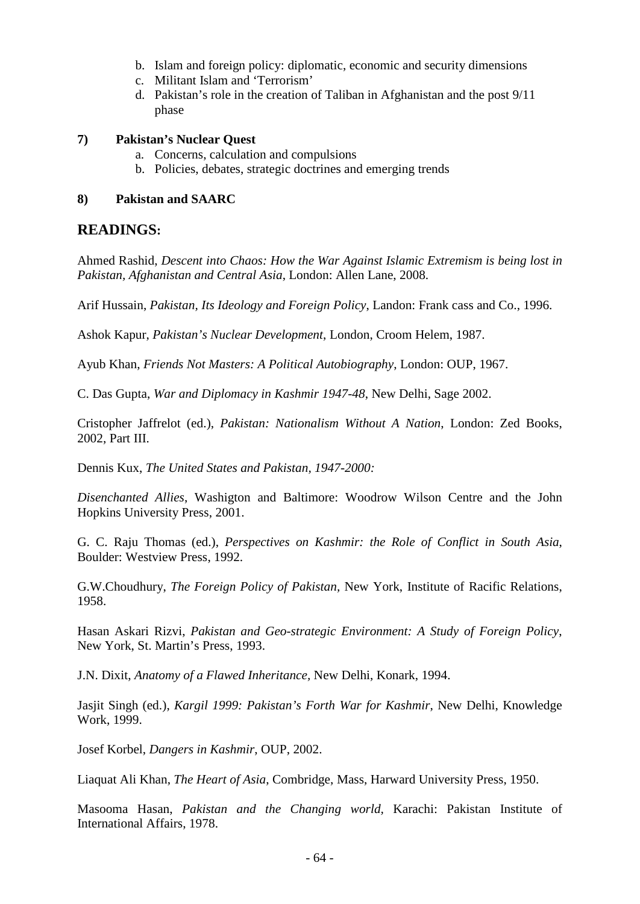- b. Islam and foreign policy: diplomatic, economic and security dimensions
- c. Militant Islam and 'Terrorism'
- d. Pakistan's role in the creation of Taliban in Afghanistan and the post 9/11 phase

#### **7) Pakistan's Nuclear Quest**

- a. Concerns, calculation and compulsions
- b. Policies, debates, strategic doctrines and emerging trends

#### **8) Pakistan and SAARC**

### **READINGS:**

Ahmed Rashid, *Descent into Chaos: How the War Against Islamic Extremism is being lost in Pakistan, Afghanistan and Central Asia*, London: Allen Lane, 2008.

Arif Hussain, *Pakistan, Its Ideology and Foreign Policy*, Landon: Frank cass and Co., 1996.

Ashok Kapur, *Pakistan's Nuclear Development*, London, Croom Helem, 1987.

Ayub Khan, *Friends Not Masters: A Political Autobiography*, London: OUP, 1967.

C. Das Gupta, *War and Diplomacy in Kashmir 1947-48*, New Delhi, Sage 2002.

Cristopher Jaffrelot (ed.), *Pakistan: Nationalism Without A Nation*, London: Zed Books, 2002, Part III.

Dennis Kux, *The United States and Pakistan, 1947-2000:*

*Disenchanted Allies*, Washigton and Baltimore: Woodrow Wilson Centre and the John Hopkins University Press, 2001.

G. C. Raju Thomas (ed.), *Perspectives on Kashmir: the Role of Conflict in South Asia*, Boulder: Westview Press, 1992.

G.W.Choudhury, *The Foreign Policy of Pakistan,* New York, Institute of Racific Relations, 1958.

Hasan Askari Rizvi, *Pakistan and Geo-strategic Environment: A Study of Foreign Policy*, New York, St. Martin's Press, 1993.

J.N. Dixit, *Anatomy of a Flawed Inheritance,* New Delhi, Konark, 1994.

Jasjit Singh (ed.), *Kargil 1999: Pakistan's Forth War for Kashmir*, New Delhi, Knowledge Work, 1999.

Josef Korbel, *Dangers in Kashmir*, OUP, 2002.

Liaquat Ali Khan, *The Heart of Asia*, Combridge, Mass, Harward University Press, 1950.

Masooma Hasan, *Pakistan and the Changing world,* Karachi: Pakistan Institute of International Affairs, 1978.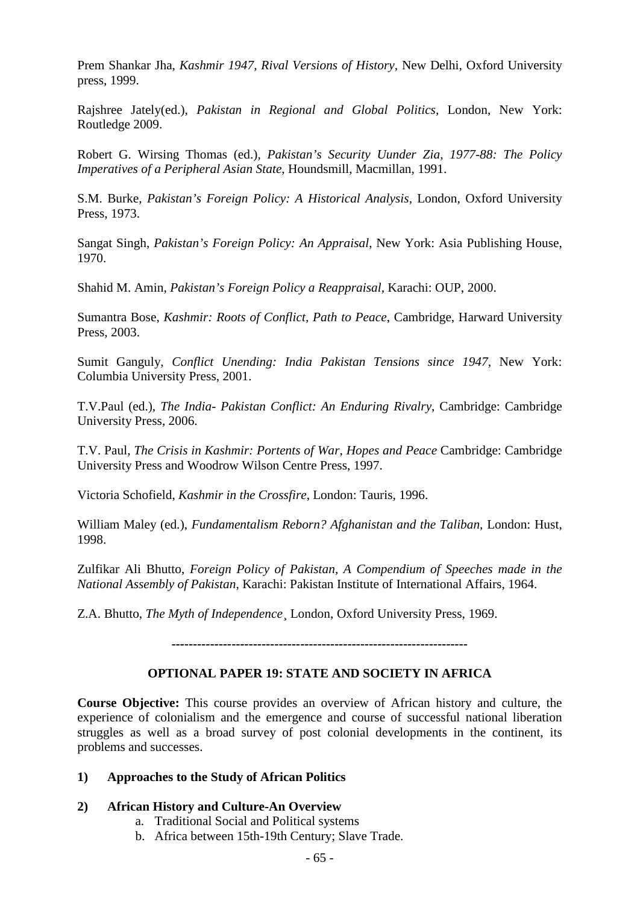Prem Shankar Jha, *Kashmir 1947, Rival Versions of History,* New Delhi, Oxford University press, 1999.

Rajshree Jately(ed.), *Pakistan in Regional and Global Politics,* London, New York: Routledge 2009.

Robert G. Wirsing Thomas (ed.), *Pakistan's Security Uunder Zia, 1977-88: The Policy Imperatives of a Peripheral Asian State*, Houndsmill, Macmillan, 1991.

S.M. Burke, *Pakistan's Foreign Policy: A Historical Analysis,* London, Oxford University Press, 1973.

Sangat Singh, *Pakistan's Foreign Policy: An Appraisal*, New York: Asia Publishing House, 1970.

Shahid M. Amin, *Pakistan's Foreign Policy a Reappraisal,* Karachi: OUP, 2000.

Sumantra Bose, *Kashmir: Roots of Conflict, Path to Peace*, Cambridge, Harward University Press, 2003.

Sumit Ganguly, *Conflict Unending: India Pakistan Tensions since 1947*, New York: Columbia University Press, 2001.

T.V.Paul (ed.), *The India- Pakistan Conflict: An Enduring Rivalry*, Cambridge: Cambridge University Press, 2006.

T.V. Paul, *The Crisis in Kashmir: Portents of War, Hopes and Peace* Cambridge: Cambridge University Press and Woodrow Wilson Centre Press, 1997.

Victoria Schofield, *Kashmir in the Crossfire*, London: Tauris, 1996.

William Maley (ed.), *Fundamentalism Reborn? Afghanistan and the Taliban*, London: Hust, 1998.

Zulfikar Ali Bhutto, *Foreign Policy of Pakistan, A Compendium of Speeches made in the National Assembly of Pakistan*, Karachi: Pakistan Institute of International Affairs, 1964.

Z.A. Bhutto, *The Myth of Independence*¸ London, Oxford University Press, 1969.

*---------------------------------------------------------------------*

# **OPTIONAL PAPER 19: STATE AND SOCIETY IN AFRICA**

**Course Objective:** This course provides an overview of African history and culture, the experience of colonialism and the emergence and course of successful national liberation struggles as well as a broad survey of post colonial developments in the continent, its problems and successes.

#### **1) Approaches to the Study of African Politics**

# **2) African History and Culture-An Overview**

- a. Traditional Social and Political systems
- b. Africa between 15th-19th Century; Slave Trade.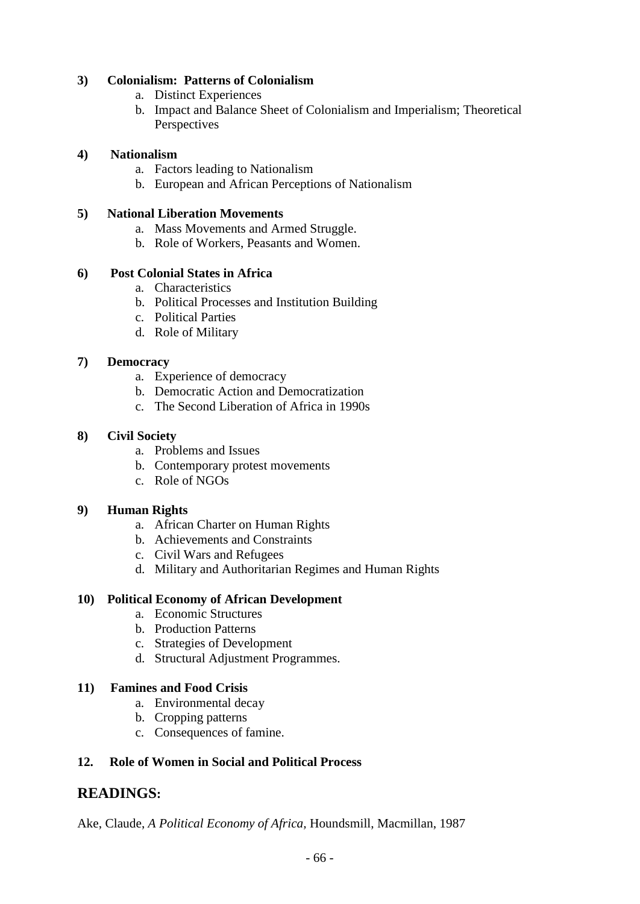# **3) Colonialism: Patterns of Colonialism**

- a. Distinct Experiences
- b. Impact and Balance Sheet of Colonialism and Imperialism; Theoretical Perspectives

# **4) Nationalism**

- a. Factors leading to Nationalism
- b. European and African Perceptions of Nationalism

### **5) National Liberation Movements**

- a. Mass Movements and Armed Struggle.
- b. Role of Workers, Peasants and Women.

# **6) Post Colonial States in Africa**

- a. Characteristics
- b. Political Processes and Institution Building
- c. Political Parties
- d. Role of Military

### **7) Democracy**

- a. Experience of democracy
- b. Democratic Action and Democratization
- c. The Second Liberation of Africa in 1990s

### **8) Civil Society**

- a. Problems and Issues
- b. Contemporary protest movements
- c. Role of NGOs

#### **9) Human Rights**

- a. African Charter on Human Rights
- b. Achievements and Constraints
- c. Civil Wars and Refugees
- d. Military and Authoritarian Regimes and Human Rights

# **10) Political Economy of African Development**

- a. Economic Structures
- b. Production Patterns
- c. Strategies of Development
- d. Structural Adjustment Programmes.

# **11) Famines and Food Crisis**

- a. Environmental decay
- b. Cropping patterns
- c. Consequences of famine.

# **12. Role of Women in Social and Political Process**

# **READINGS:**

Ake, Claude, *A Political Economy of Africa,* Houndsmill, Macmillan, 1987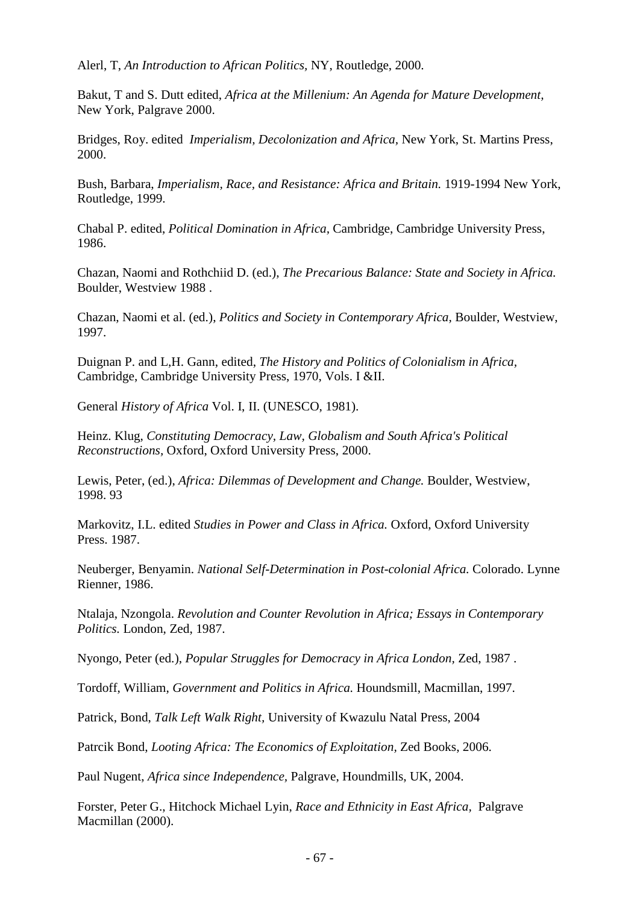Alerl, T, *An Introduction to African Politics,* NY, Routledge, 2000.

Bakut, T and S. Dutt edited, *Africa at the Millenium: An Agenda for Mature Development,* New York, Palgrave 2000.

Bridges, Roy. edited *Imperialism, Decolonization and Africa,* New York, St. Martins Press, 2000.

Bush, Barbara, *Imperialism, Race, and Resistance: Africa and Britain.* 1919-1994 New York, Routledge, 1999.

Chabal P. edited, *Political Domination in Africa,* Cambridge, Cambridge University Press, 1986.

Chazan, Naomi and Rothchiid D. (ed.), *The Precarious Balance: State and Society in Africa.* Boulder, Westview 1988 .

Chazan, Naomi et al. (ed.), *Politics and Society in Contemporary Africa,* Boulder, Westview, 1997.

Duignan P. and L,H. Gann, edited, *The History and Politics of Colonialism in Africa,* Cambridge, Cambridge University Press, 1970, Vols. I &II.

General *History of Africa* Vol. I, II. (UNESCO, 1981).

Heinz. Klug, *Constituting Democracy, Law, Globalism and South Africa's Political Reconstructions,* Oxford, Oxford University Press, 2000.

Lewis, Peter, (ed.), *Africa: Dilemmas of Development and Change.* Boulder, Westview, 1998. 93

Markovitz, I.L. edited *Studies in Power and Class in Africa.* Oxford, Oxford University Press. 1987.

Neuberger, Benyamin. *National Self-Determination in Post-colonial Africa.* Colorado. Lynne Rienner, 1986.

Ntalaja, Nzongola. *Revolution and Counter Revolution in Africa; Essays in Contemporary Politics.* London, Zed, 1987.

Nyongo, Peter (ed.), *Popular Struggles for Democracy in Africa London,* Zed, 1987 .

Tordoff, William, *Government and Politics in Africa.* Houndsmill, Macmillan, 1997.

Patrick, Bond, *Talk Left Walk Right,* University of Kwazulu Natal Press, 2004

Patrcik Bond, *Looting Africa: The Economics of Exploitation,* Zed Books, 2006.

Paul Nugent, *Africa since Independence,* Palgrave, Houndmills, UK, 2004.

Forster, Peter G., Hitchock Michael Lyin, *Race and Ethnicity in East Africa,* Palgrave Macmillan (2000).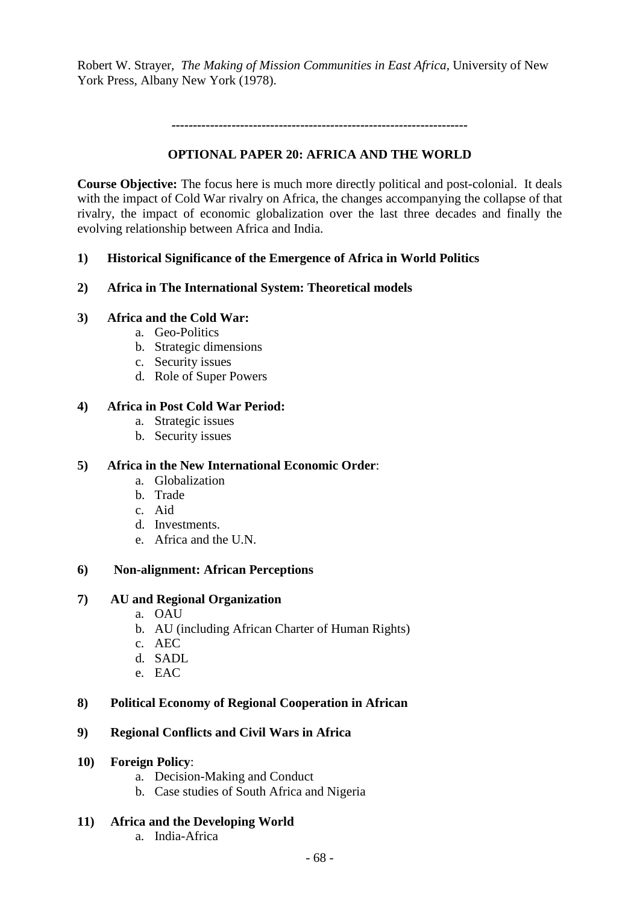Robert W. Strayer*, The Making of Mission Communities in East Africa,* University of New York Press, Albany New York (1978).

*---------------------------------------------------------------------*

# **OPTIONAL PAPER 20: AFRICA AND THE WORLD**

**Course Objective:** The focus here is much more directly political and post-colonial. It deals with the impact of Cold War rivalry on Africa, the changes accompanying the collapse of that rivalry, the impact of economic globalization over the last three decades and finally the evolving relationship between Africa and India.

# **1) Historical Significance of the Emergence of Africa in World Politics**

# **2) Africa in The International System: Theoretical models**

### **3) Africa and the Cold War:**

- a. Geo-Politics
- b. Strategic dimensions
- c. Security issues
- d. Role of Super Powers

### **4) Africa in Post Cold War Period:**

- a. Strategic issues
- b. Security issues

#### **5) Africa in the New International Economic Order**:

- a. Globalization
- b. Trade
- c. Aid
- d. Investments.
- e. Africa and the U.N.

# **6) Non-alignment: African Perceptions**

#### **7) AU and Regional Organization**

- a. OAU
- b. AU (including African Charter of Human Rights)
- c. AEC
- d. SADL
- e. EAC

# **8) Political Economy of Regional Cooperation in African**

# **9) Regional Conflicts and Civil Wars in Africa**

- **10) Foreign Policy**:
	- a. Decision-Making and Conduct
	- b. Case studies of South Africa and Nigeria

#### **11) Africa and the Developing World**

a. India-Africa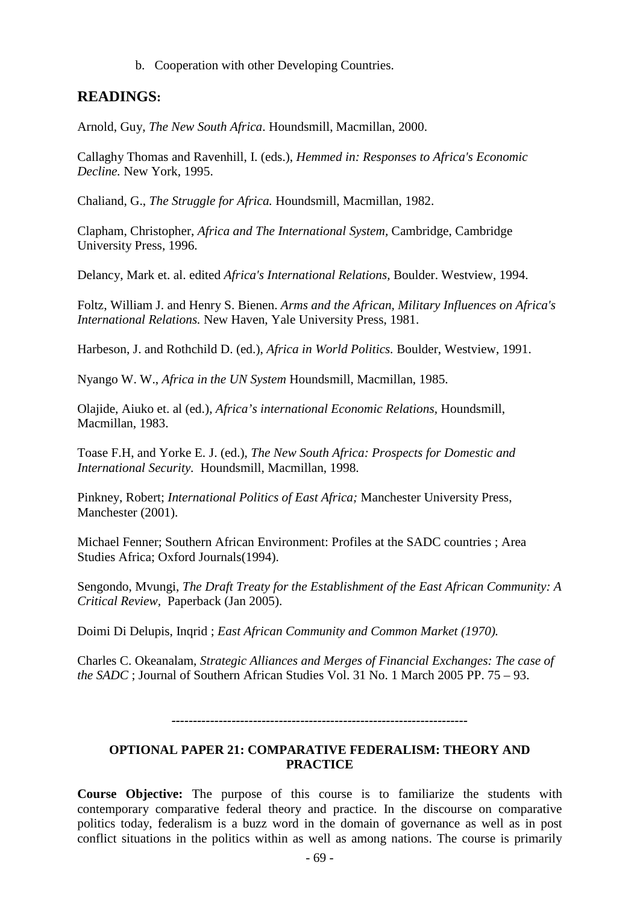b. Cooperation with other Developing Countries.

# **READINGS:**

Arnold, Guy, *The New South Africa*. Houndsmill, Macmillan, 2000.

Callaghy Thomas and Ravenhill, I. (eds.), *Hemmed in: Responses to Africa's Economic Decline.* New York, 1995.

Chaliand, G., *The Struggle for Africa.* Houndsmill, Macmillan, 1982.

Clapham, Christopher, *Africa and The International System,* Cambridge, Cambridge University Press, 1996.

Delancy, Mark et. al. edited *Africa's International Relations,* Boulder. Westview, 1994.

Foltz, William J. and Henry S. Bienen. *Arms and the African, Military Influences on Africa's International Relations.* New Haven, Yale University Press, 1981.

Harbeson, J. and Rothchild D. (ed.), *Africa in World Politics.* Boulder, Westview, 1991.

Nyango W. W., *Africa in the UN System* Houndsmill, Macmillan, 1985.

Olajide, Aiuko et. al (ed.), *Africa's international Economic Relations,* Houndsmill, Macmillan, 1983.

Toase F.H, and Yorke E. J. (ed.), *The New South Africa: Prospects for Domestic and International Security.* Houndsmill, Macmillan, 1998.

Pinkney, Robert; *International Politics of East Africa;* Manchester University Press, Manchester (2001).

Michael Fenner; Southern African Environment: Profiles at the SADC countries ; Area Studies Africa; Oxford Journals(1994).

Sengondo, Mvungi, *The Draft Treaty for the Establishment of the East African Community: A Critical Review,* Paperback (Jan 2005).

Doimi Di Delupis, Inqrid ; *East African Community and Common Market (1970).*

Charles C. Okeanalam, *Strategic Alliances and Merges of Financial Exchanges: The case of the SADC* ; Journal of Southern African Studies Vol. 31 No. 1 March 2005 PP. 75 – 93.

*---------------------------------------------------------------------*

### **OPTIONAL PAPER 21: COMPARATIVE FEDERALISM: THEORY AND PRACTICE**

**Course Objective:** The purpose of this course is to familiarize the students with contemporary comparative federal theory and practice. In the discourse on comparative politics today, federalism is a buzz word in the domain of governance as well as in post conflict situations in the politics within as well as among nations. The course is primarily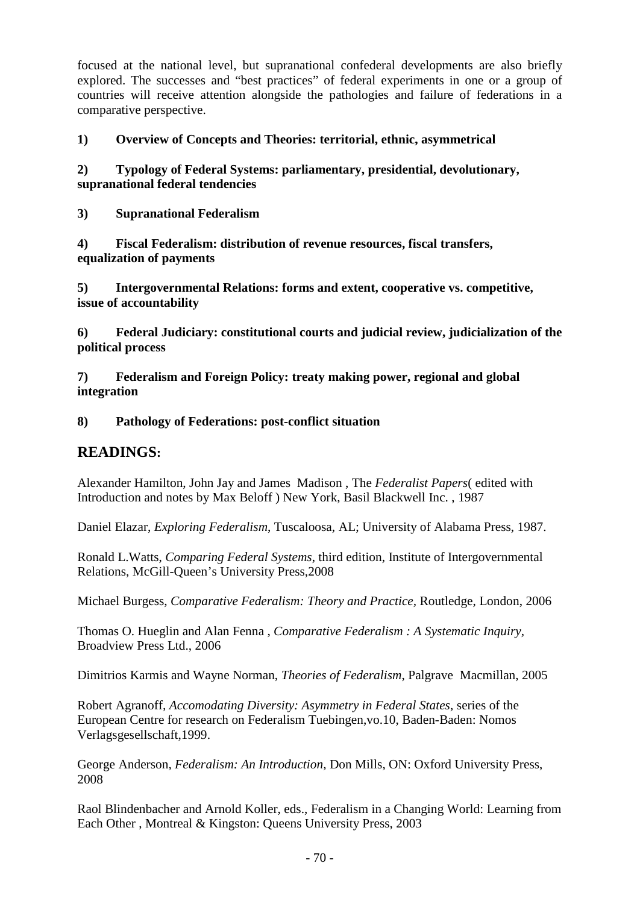focused at the national level, but supranational confederal developments are also briefly explored. The successes and "best practices" of federal experiments in one or a group of countries will receive attention alongside the pathologies and failure of federations in a comparative perspective.

# **1) Overview of Concepts and Theories: territorial, ethnic, asymmetrical**

# **2) Typology of Federal Systems: parliamentary, presidential, devolutionary, supranational federal tendencies**

**3) Supranational Federalism**

**4) Fiscal Federalism: distribution of revenue resources, fiscal transfers, equalization of payments**

**5) Intergovernmental Relations: forms and extent, cooperative vs. competitive, issue of accountability** 

**6) Federal Judiciary: constitutional courts and judicial review, judicialization of the political process**

**7) Federalism and Foreign Policy: treaty making power, regional and global integration**

# **8) Pathology of Federations: post-conflict situation**

# **READINGS:**

Alexander Hamilton, John Jay and James Madison , The *Federalist Papers*( edited with Introduction and notes by Max Beloff ) New York, Basil Blackwell Inc. , 1987

Daniel Elazar, *Exploring Federalism*, Tuscaloosa, AL; University of Alabama Press, 1987.

Ronald L.Watts, *Comparing Federal Systems*, third edition, Institute of Intergovernmental Relations, McGill-Queen's University Press,2008

Michael Burgess, *Comparative Federalism: Theory and Practice,* Routledge, London, 2006

Thomas O. Hueglin and Alan Fenna , *Comparative Federalism : A Systematic Inquiry,*  Broadview Press Ltd., 2006

Dimitrios Karmis and Wayne Norman, *Theories of Federalism*, Palgrave Macmillan, 2005

Robert Agranoff*, Accomodating Diversity: Asymmetry in Federal States*, series of the European Centre for research on Federalism Tuebingen,vo.10, Baden-Baden: Nomos Verlagsgesellschaft,1999.

George Anderson*, Federalism: An Introduction,* Don Mills, ON: Oxford University Press, 2008

Raol Blindenbacher and Arnold Koller, eds., Federalism in a Changing World: Learning from Each Other , Montreal & Kingston: Queens University Press, 2003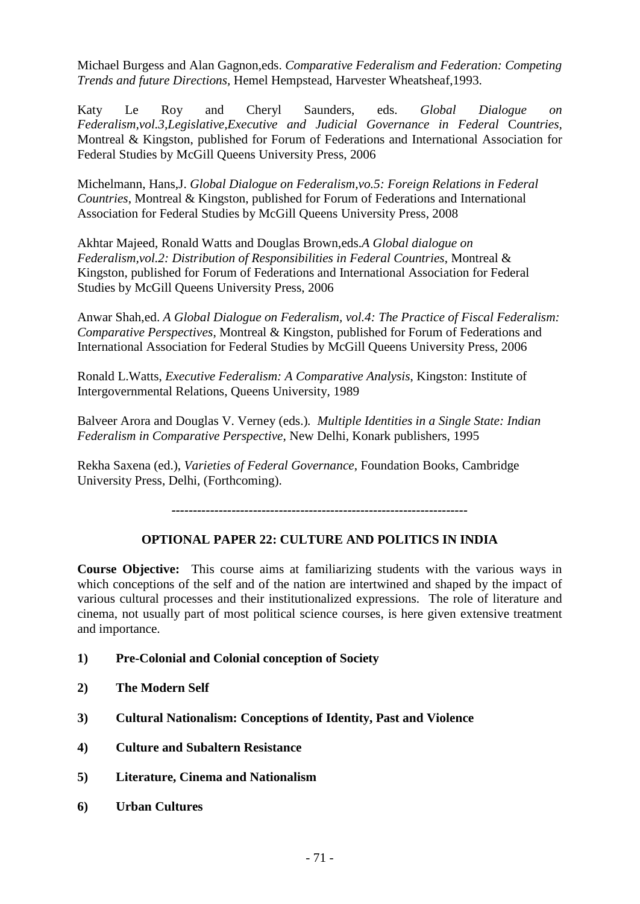Michael Burgess and Alan Gagnon,eds. *Comparative Federalism and Federation: Competing Trends and future Directions,* Hemel Hempstead, Harvester Wheatsheaf,1993.

Katy Le Roy and Cheryl Saunders, eds. *Global Dialogue on Federalism,vol.3,Legislative,Executive and Judicial Governance in Federal* C*ountries,* Montreal & Kingston, published for Forum of Federations and International Association for Federal Studies by McGill Queens University Press, 2006

Michelmann, Hans,J. *Global Dialogue on Federalism,vo.5: Foreign Relations in Federal Countries*, Montreal & Kingston, published for Forum of Federations and International Association for Federal Studies by McGill Queens University Press, 2008

Akhtar Majeed, Ronald Watts and Douglas Brown,eds.*A Global dialogue on Federalism,vol.2: Distribution of Responsibilities in Federal Countries*, Montreal & Kingston, published for Forum of Federations and International Association for Federal Studies by McGill Queens University Press, 2006

Anwar Shah,ed. *A Global Dialogue on Federalism, vol.4: The Practice of Fiscal Federalism: Comparative Perspectives*, Montreal & Kingston, published for Forum of Federations and International Association for Federal Studies by McGill Queens University Press, 2006

Ronald L.Watts, *Executive Federalism: A Comparative Analysis*, Kingston: Institute of Intergovernmental Relations, Queens University, 1989

Balveer Arora and Douglas V. Verney (eds.)*. Multiple Identities in a Single State: Indian Federalism in Comparative Perspective*, New Delhi, Konark publishers, 1995

Rekha Saxena (ed.), *Varieties of Federal Governance*, Foundation Books, Cambridge University Press, Delhi, (Forthcoming).

*---------------------------------------------------------------------*

# **OPTIONAL PAPER 22: CULTURE AND POLITICS IN INDIA**

**Course Objective:** This course aims at familiarizing students with the various ways in which conceptions of the self and of the nation are intertwined and shaped by the impact of various cultural processes and their institutionalized expressions. The role of literature and cinema, not usually part of most political science courses, is here given extensive treatment and importance.

- **1) Pre-Colonial and Colonial conception of Society**
- **2) The Modern Self**
- **3) Cultural Nationalism: Conceptions of Identity, Past and Violence**
- **4) Culture and Subaltern Resistance**
- **5) Literature, Cinema and Nationalism**
- **6) Urban Cultures**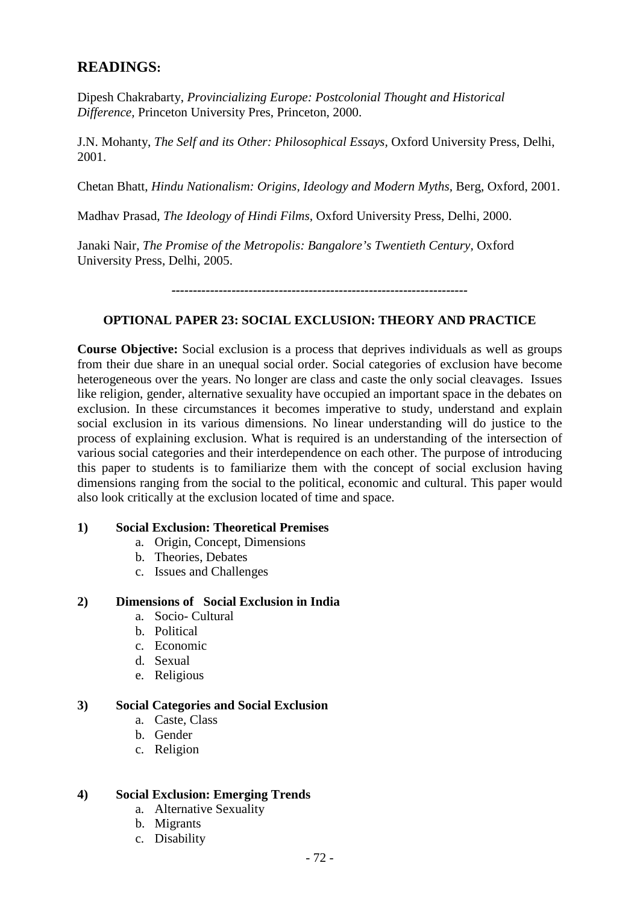# **READINGS:**

Dipesh Chakrabarty, *Provincializing Europe: Postcolonial Thought and Historical Difference,* Princeton University Pres, Princeton, 2000.

J.N. Mohanty, *The Self and its Other: Philosophical Essays,* Oxford University Press, Delhi, 2001.

Chetan Bhatt, *Hindu Nationalism: Origins, Ideology and Modern Myths,* Berg, Oxford, 2001.

Madhav Prasad, *The Ideology of Hindi Films,* Oxford University Press, Delhi, 2000.

Janaki Nair, *The Promise of the Metropolis: Bangalore's Twentieth Century,* Oxford University Press, Delhi, 2005.

*---------------------------------------------------------------------*

# **OPTIONAL PAPER 23: SOCIAL EXCLUSION: THEORY AND PRACTICE**

**Course Objective:** Social exclusion is a process that deprives individuals as well as groups from their due share in an unequal social order. Social categories of exclusion have become heterogeneous over the years. No longer are class and caste the only social cleavages. Issues like religion, gender, alternative sexuality have occupied an important space in the debates on exclusion. In these circumstances it becomes imperative to study, understand and explain social exclusion in its various dimensions. No linear understanding will do justice to the process of explaining exclusion. What is required is an understanding of the intersection of various social categories and their interdependence on each other. The purpose of introducing this paper to students is to familiarize them with the concept of social exclusion having dimensions ranging from the social to the political, economic and cultural. This paper would also look critically at the exclusion located of time and space.

### **1) Social Exclusion: Theoretical Premises**

- a. Origin, Concept, Dimensions
- b. Theories, Debates
- c. Issues and Challenges

## **2) Dimensions of Social Exclusion in India**

- a. Socio- Cultural
- b. Political
- c. Economic
- d. Sexual
- e. Religious

### **3) Social Categories and Social Exclusion**

- a. Caste, Class
- b. Gender
- c. Religion

# **4) Social Exclusion: Emerging Trends**

- a. Alternative Sexuality
- b. Migrants
- c. Disability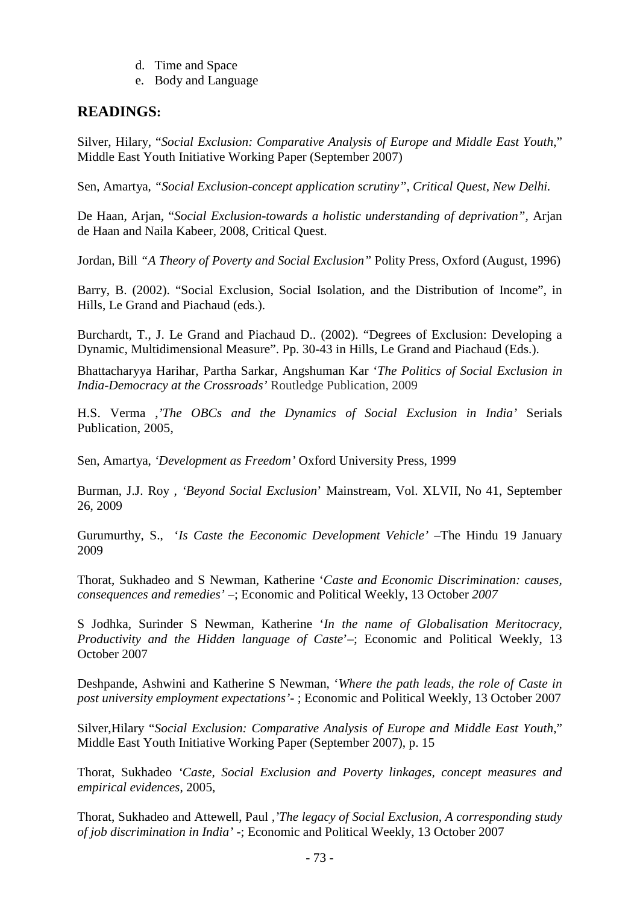- d. Time and Space
- e. Body and Language

# **READINGS:**

Silver, Hilary, "*[Social Exclusion: Comparative Analysis of Europe and Middle East Youth](http://www.shababinclusion.org/content/document/detail/558/1)*," [Middle East Youth Initiative Working Paper \(September 2007\)](http://www.shababinclusion.org/content/document/detail/558/1) 

Sen, Amartya, *"Social Exclusion-concept application scrutiny", Critical Quest, New Delhi.*

De Haan, Arjan, "*Social Exclusion-towards a holistic understanding of deprivation",* Arjan de Haan and Naila Kabeer, 2008, Critical Quest.

Jordan, Bill *"A Theory of Poverty and Social Exclusion"* Polity Press, Oxford (August, 1996)

Barry, B. (2002). "Social Exclusion, Social Isolation, and the Distribution of Income", in Hills, Le Grand and Piachaud (eds.).

Burchardt, T., J. Le Grand and Piachaud D.. (2002). "Degrees of Exclusion: Developing a Dynamic, Multidimensional Measure". Pp. 30-43 in Hills, Le Grand and Piachaud (Eds.).

Bhattacharyya Harihar, Partha Sarkar, Angshuman Kar '*The Politics of Social Exclusion in India-Democracy at the Crossroads'* Routledge Publication, 2009

H.S. Verma ,*'The OBCs and the Dynamics of Social Exclusion in India'* Serials Publication, 2005,

Sen, Amartya, *'Development as Freedom'* Oxford University Press, 1999

Burman, J.J. Roy *, 'Beyond Social Exclusion*' Mainstream, Vol. XLVII, No 41, September 26, 2009

Gurumurthy, S., '*Is Caste the Eeconomic Development Vehicle'* –The Hindu 19 January 2009

Thorat, Sukhadeo and S Newman, Katherine '*Caste and Economic Discrimination: causes, consequences and remedies'* –; Economic and Political Weekly, 13 October *2007*

S Jodhka, Surinder S Newman, Katherine '*In the name of Globalisation Meritocracy, Productivity and the Hidden language of Caste*'–; Economic and Political Weekly, 13 October 2007

Deshpande, Ashwini and Katherine S Newman, '*Where the path leads, the role of Caste in post university employment expectations'*- ; Economic and Political Weekly, 13 October 2007

Silver,Hilary "*Social [Exclusion: Comparative Analysis of Europe and Middle East Youth](http://www.shababinclusion.org/content/document/detail/558/1)*," [Middle East Youth Initiative Working Paper \(September 2007\), p. 15](http://www.shababinclusion.org/content/document/detail/558/1)

Thorat, Sukhadeo *'Caste, Social Exclusion and Poverty linkages, concept measures and empirical evidences*, 2005,

Thorat, Sukhadeo and Attewell, Paul *,'The legacy of Social Exclusion, A corresponding study of job discrimination in India'* -; Economic and Political Weekly, 13 October 2007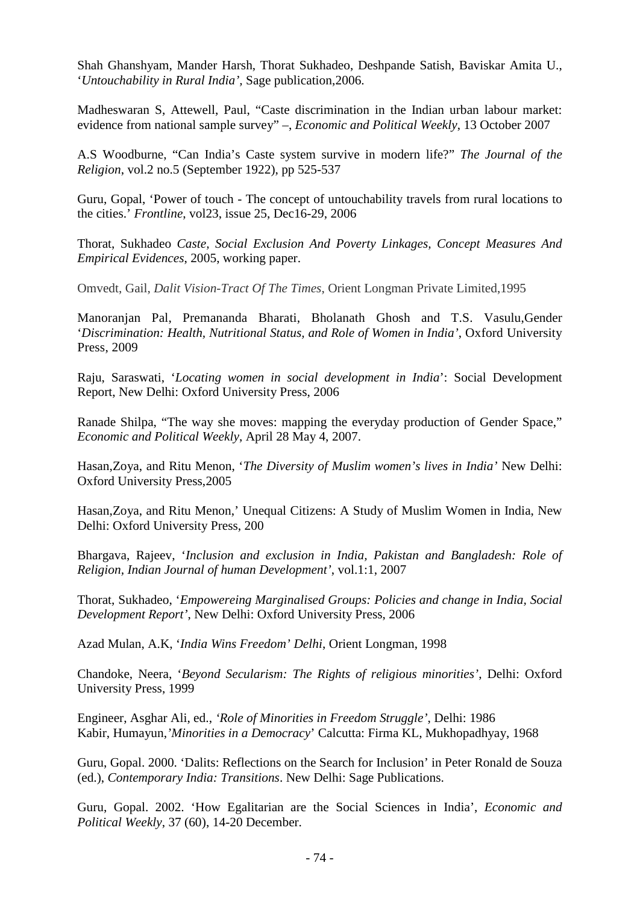Shah Ghanshyam, Mander Harsh, Thorat Sukhadeo, Deshpande Satish, Baviskar Amita U., '*Untouchability in Rural India',* Sage publication,2006.

Madheswaran S, Attewell, Paul, "Caste discrimination in the Indian urban labour market: evidence from national sample survey" –, *Economic and Political Weekly*, 13 October 2007

A.S Woodburne, "Can India's Caste system survive in modern life?" *The Journal of the Religion*, vol.2 no.5 (September 1922), pp 525-537

Guru, Gopal, 'Power of touch - The concept of untouchability travels from rural locations to the cities.' *Frontline*, vol23, issue 25, Dec16-29, 2006

Thorat, Sukhadeo *Caste, Social Exclusion And Poverty Linkages, Concept Measures And Empirical Evidences*, 2005, working paper.

Omvedt, Gail, *Dalit Vision-Tract Of The Times*, Orient Longman Private Limited,1995

Manoranjan Pal, Premananda Bharati, Bholanath Ghosh and T.S. Vasulu,Gender '*Discrimination: Health, Nutritional Status, and Role of Women in India'*, Oxford University Press, 2009

Raju, Saraswati, '*Locating women in social development in India*': Social Development Report, New Delhi: Oxford University Press, 2006

Ranade Shilpa, "The way she moves: mapping the everyday production of Gender Space," *Economic and Political Weekly*, April 28 May 4, 2007.

Hasan,Zoya, and Ritu Menon, '*The Diversity of Muslim women's lives in India'* New Delhi: Oxford University Press,2005

Hasan,Zoya, and Ritu Menon,' Unequal Citizens: A Study of Muslim Women in India, New Delhi: Oxford University Press, 200

Bhargava, Rajeev, '*Inclusion and exclusion in India, Pakistan and Bangladesh: Role of Religion, Indian Journal of human Development'*, vol.1:1, 2007

Thorat, Sukhadeo, '*Empowereing Marginalised Groups: Policies and change in India, Social Development Report'*, New Delhi: Oxford University Press, 2006

Azad Mulan, A.K, '*India Wins Freedom' Delhi*, Orient Longman, 1998

Chandoke, Neera, '*Beyond Secularism: The Rights of religious minorities'*, Delhi: Oxford University Press, 1999

Engineer, Asghar Ali, ed., *'Role of Minorities in Freedom Struggle'*, Delhi: 1986 Kabir, Humayun,*'Minorities in a Democracy*' Calcutta: Firma KL, Mukhopadhyay, 1968

Guru, Gopal. 2000. 'Dalits: Reflections on the Search for Inclusion' in Peter Ronald de Souza (ed.), *Contemporary India: Transitions*. New Delhi: Sage Publications.

Guru, Gopal. 2002. 'How Egalitarian are the Social Sciences in India', *Economic and Political Weekly*, 37 (60), 14-20 December.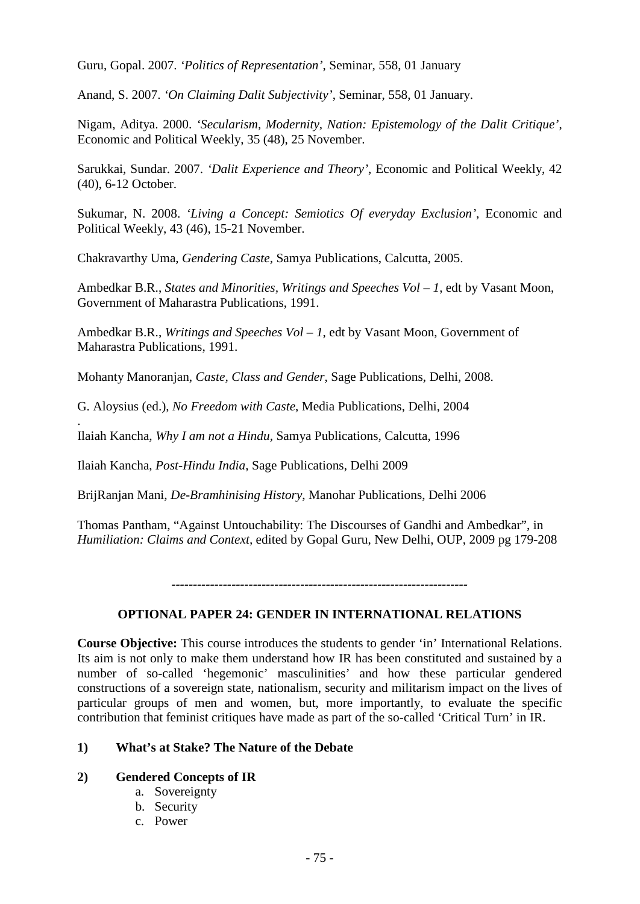Guru, Gopal. 2007. *'Politics of Representation'*, Seminar, 558, 01 January

Anand, S. 2007. *'On Claiming Dalit Subjectivity'*, Seminar, 558, 01 January.

Nigam, Aditya. 2000. *'Secularism, Modernity, Nation: Epistemology of the Dalit Critique'*, Economic and Political Weekly, 35 (48), 25 November.

Sarukkai, Sundar. 2007. *'Dalit Experience and Theory'*, Economic and Political Weekly, 42 (40), 6-12 October.

Sukumar, N. 2008. *'Living a Concept: Semiotics Of everyday Exclusion'*, Economic and Political Weekly, 43 (46), 15-21 November.

Chakravarthy Uma, *Gendering Caste,* Samya Publications, Calcutta, 2005.

Ambedkar B.R., *States and Minorities, Writings and Speeches Vol – 1*, edt by Vasant Moon, Government of Maharastra Publications, 1991.

Ambedkar B.R., *Writings and Speeches Vol – 1*, edt by Vasant Moon, Government of Maharastra Publications, 1991.

Mohanty Manoranjan, *Caste, Class and Gender*, Sage Publications, Delhi, 2008.

G. Aloysius (ed.), *No Freedom with Caste*, Media Publications, Delhi, 2004

. Ilaiah Kancha, *Why I am not a Hindu,* Samya Publications, Calcutta, 1996

Ilaiah Kancha, *Post-Hindu India*, Sage Publications, Delhi 2009

BrijRanjan Mani, *De-Bramhinising History*, Manohar Publications, Delhi 2006

Thomas Pantham, "Against Untouchability: The Discourses of Gandhi and Ambedkar", in *Humiliation: Claims and Context,* edited by Gopal Guru, New Delhi, OUP, 2009 pg 179-208

*---------------------------------------------------------------------*

# **OPTIONAL PAPER 24: GENDER IN INTERNATIONAL RELATIONS**

**Course Objective:** This course introduces the students to gender 'in' International Relations. Its aim is not only to make them understand how IR has been constituted and sustained by a number of so-called 'hegemonic' masculinities' and how these particular gendered constructions of a sovereign state, nationalism, security and militarism impact on the lives of particular groups of men and women, but, more importantly, to evaluate the specific contribution that feminist critiques have made as part of the so-called 'Critical Turn' in IR.

# **1) What's at Stake? The Nature of the Debate**

### **2) Gendered Concepts of IR**

- a. Sovereignty
- b. Security
- c. Power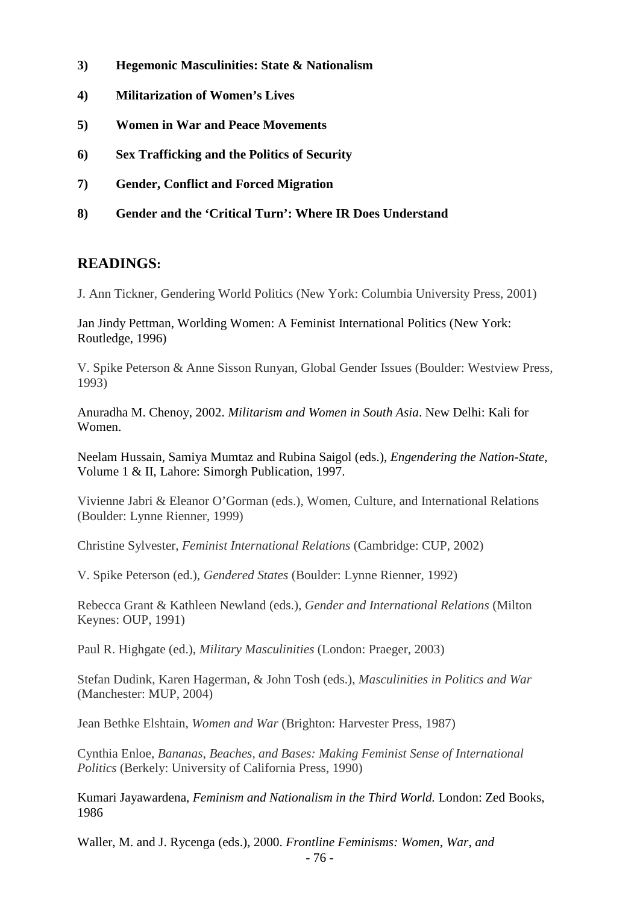- **3) Hegemonic Masculinities: State & Nationalism**
- **4) Militarization of Women's Lives**
- **5) Women in War and Peace Movements**
- **6) Sex Trafficking and the Politics of Security**
- **7) Gender, Conflict and Forced Migration**
- **8) Gender and the 'Critical Turn': Where IR Does Understand**

# **READINGS:**

J. Ann Tickner, Gendering World Politics (New York: Columbia University Press, 2001)

Jan Jindy Pettman, Worlding Women: A Feminist International Politics (New York: Routledge, 1996)

V. Spike Peterson & Anne Sisson Runyan, Global Gender Issues (Boulder: Westview Press, 1993)

Anuradha M. Chenoy, 2002. *Militarism and Women in South Asia*. New Delhi: Kali for Women.

Neelam Hussain, Samiya Mumtaz and Rubina Saigol (eds.), *Engendering the Nation-State*, Volume 1 & II, Lahore: Simorgh Publication, 1997.

Vivienne Jabri & Eleanor O'Gorman (eds.), Women, Culture, and International Relations (Boulder: Lynne Rienner, 1999)

Christine Sylvester, *Feminist International Relations* (Cambridge: CUP, 2002)

V. Spike Peterson (ed.), *Gendered States* (Boulder: Lynne Rienner, 1992)

Rebecca Grant & Kathleen Newland (eds.), *Gender and International Relations* (Milton Keynes: OUP, 1991)

Paul R. Highgate (ed.), *Military Masculinities* (London: Praeger, 2003)

Stefan Dudink, Karen Hagerman, & John Tosh (eds.), *Masculinities in Politics and War*  (Manchester: MUP, 2004)

Jean Bethke Elshtain, *Women and War* (Brighton: Harvester Press, 1987)

Cynthia Enloe, *Bananas, Beaches, and Bases: Making Feminist Sense of International Politics* (Berkely: University of California Press, 1990)

Kumari Jayawardena, *Feminism and Nationalism in the Third World.* London: Zed Books, 1986

Waller, M. and J. Rycenga (eds.), 2000. *Frontline Feminisms: Women, War, and*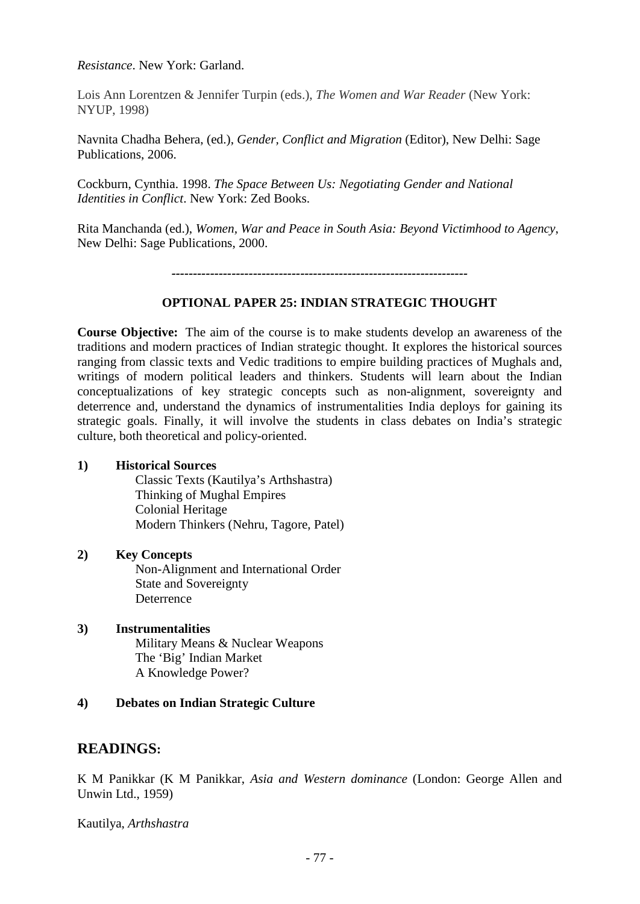*Resistance*. New York: Garland.

Lois Ann Lorentzen & Jennifer Turpin (eds.), *The Women and War Reader* (New York: NYUP, 1998)

Navnita Chadha Behera, (ed.), *Gender, Conflict and Migration* (Editor), New Delhi: Sage Publications, 2006.

Cockburn, Cynthia. 1998. *The Space Between Us: Negotiating Gender and National Identities in Conflict*. New York: Zed Books.

Rita Manchanda (ed.), *Women, War and Peace in South Asia: Beyond Victimhood to Agency*, New Delhi: Sage Publications, 2000.

*---------------------------------------------------------------------*

## **OPTIONAL PAPER 25: INDIAN STRATEGIC THOUGHT**

**Course Objective:** The aim of the course is to make students develop an awareness of the traditions and modern practices of Indian strategic thought. It explores the historical sources ranging from classic texts and Vedic traditions to empire building practices of Mughals and, writings of modern political leaders and thinkers. Students will learn about the Indian conceptualizations of key strategic concepts such as non-alignment, sovereignty and deterrence and, understand the dynamics of instrumentalities India deploys for gaining its strategic goals. Finally, it will involve the students in class debates on India's strategic culture, both theoretical and policy-oriented.

### **1) Historical Sources**

Classic Texts (Kautilya's Arthshastra) Thinking of Mughal Empires Colonial Heritage Modern Thinkers (Nehru, Tagore, Patel)

### **2) Key Concepts**

Non-Alignment and International Order State and Sovereignty Deterrence

### **3) Instrumentalities** Military Means & Nuclear Weapons The 'Big' Indian Market

A Knowledge Power?

### **4) Debates on Indian Strategic Culture**

# **READINGS:**

K M Panikkar (K M Panikkar, *Asia and Western dominance* (London: George Allen and Unwin Ltd., 1959)

Kautilya, *Arthshastra*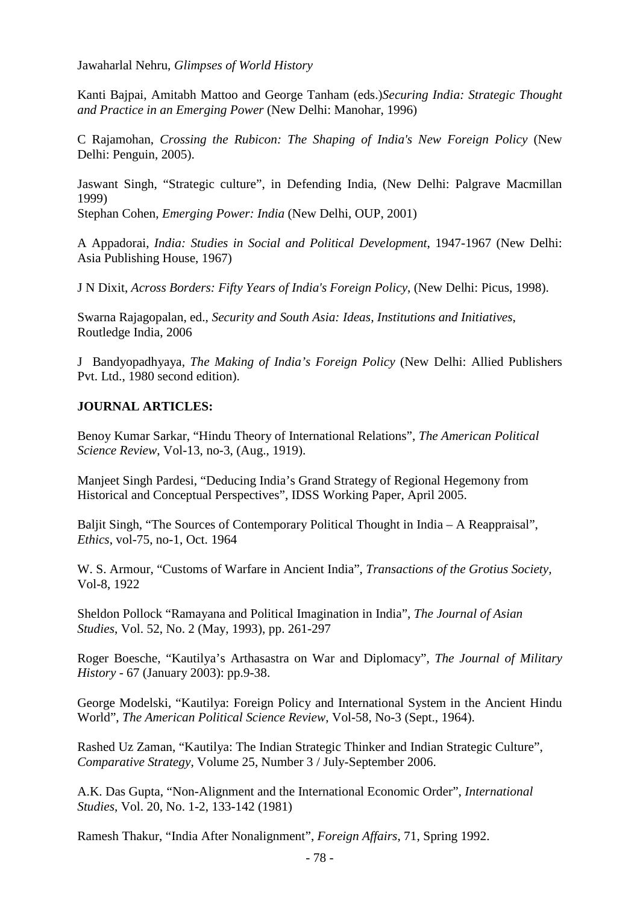Jawaharlal Nehru, *Glimpses of World History*

Kanti Bajpai, Amitabh Mattoo and George Tanham (eds.)*Securing India: Strategic Thought and Practice in an Emerging Power* (New Delhi: Manohar, 1996)

C Rajamohan, *Crossing the Rubicon: The Shaping of India's New Foreign Policy* (New Delhi: Penguin, 2005).

Jaswant Singh, "Strategic culture", in Defending India, (New Delhi: Palgrave Macmillan 1999)

Stephan Cohen, *Emerging Power: India* (New Delhi, OUP, 2001)

A Appadorai, *India: Studies in Social and Political Development*, 1947-1967 (New Delhi: Asia Publishing House, 1967)

J N Dixit, *Across Borders: Fifty Years of India's Foreign Policy*, (New Delhi: Picus, 1998).

Swarna Rajagopalan, ed., *Security and South Asia: Ideas, Institutions and Initiatives*, Routledge India, 2006

J Bandyopadhyaya, *The Making of India's Foreign Policy* (New Delhi: Allied Publishers Pvt. Ltd., 1980 second edition).

# **JOURNAL ARTICLES:**

Benoy Kumar Sarkar, "Hindu Theory of International Relations", *The American Political Science Review*, Vol-13, no-3, (Aug., 1919).

Manjeet Singh Pardesi, "Deducing India's Grand Strategy of Regional Hegemony from Historical and Conceptual Perspectives", IDSS Working Paper, April 2005.

Baljit Singh, "The Sources of Contemporary Political Thought in India – A Reappraisal", *Ethics*, vol-75, no-1, Oct. 1964

W. S. Armour, "Customs of Warfare in Ancient India", *Transactions of the Grotius Society,*  Vol-8, 1922

Sheldon Pollock "Ramayana and Political Imagination in India", *The Journal of Asian Studies*, Vol. 52, No. 2 (May, 1993), pp. 261-297

Roger Boesche, "Kautilya's Arthasastra on War and Diplomacy", *The Journal of Military History* - 67 (January 2003): pp.9-38.

George Modelski, "Kautilya: Foreign Policy and International System in the Ancient Hindu World", *The American Political Science Review*, Vol-58, No-3 (Sept., 1964).

Rashed Uz Zaman, "Kautilya: The Indian Strategic Thinker and Indian Strategic Culture", *Comparative Strategy*, Volume 25, Number 3 / July-September 2006.

A.K. Das Gupta, "Non-Alignment and the International Economic Order", *International Studies*, Vol. 20, No. 1-2, 133-142 (1981)

Ramesh Thakur, "India After Nonalignment", *Foreign Affairs*, 71, Spring 1992.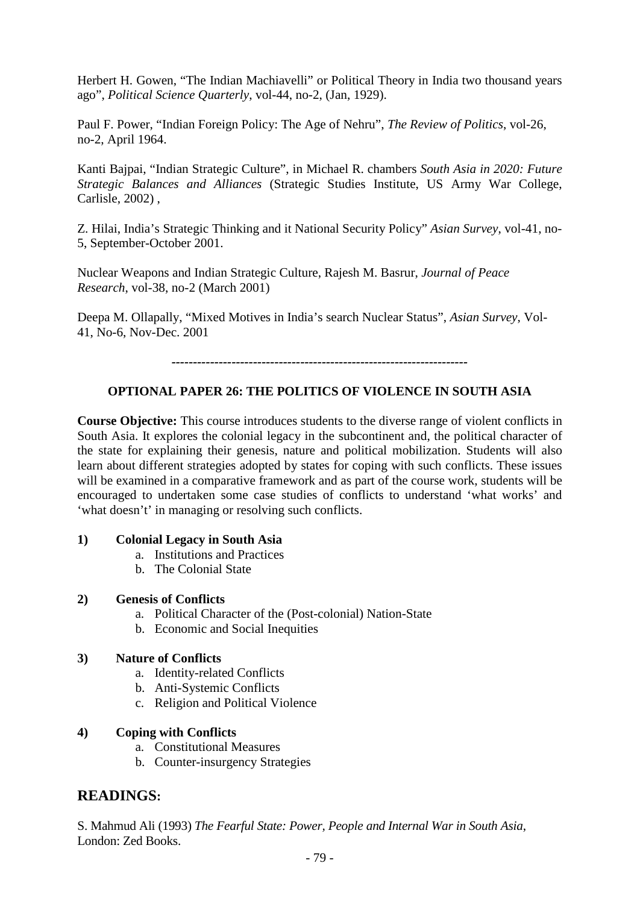Herbert H. Gowen, "The Indian Machiavelli" or Political Theory in India two thousand years ago", *Political Science Quarterly*, vol-44, no-2, (Jan, 1929).

Paul F. Power, "Indian Foreign Policy: The Age of Nehru", *The Review of Politics*, vol-26, no-2, April 1964.

Kanti Bajpai, "Indian Strategic Culture", in Michael R. chambers *South Asia in 2020: Future Strategic Balances and Alliances* (Strategic Studies Institute, US Army War College, Carlisle, 2002) ,

Z. Hilai, India's Strategic Thinking and it National Security Policy" *Asian Survey*, vol-41, no-5, September-October 2001.

Nuclear Weapons and Indian Strategic Culture, Rajesh M. Basrur, *Journal of Peace Research*, vol-38, no-2 (March 2001)

Deepa M. Ollapally, "Mixed Motives in India's search Nuclear Status", *Asian Survey*, Vol-41, No-6, Nov-Dec. 2001

*---------------------------------------------------------------------*

# **OPTIONAL PAPER 26: THE POLITICS OF VIOLENCE IN SOUTH ASIA**

**Course Objective:** This course introduces students to the diverse range of violent conflicts in South Asia. It explores the colonial legacy in the subcontinent and, the political character of the state for explaining their genesis, nature and political mobilization. Students will also learn about different strategies adopted by states for coping with such conflicts. These issues will be examined in a comparative framework and as part of the course work, students will be encouraged to undertaken some case studies of conflicts to understand 'what works' and 'what doesn't' in managing or resolving such conflicts.

### **1) Colonial Legacy in South Asia**

- a. Institutions and Practices
- b. The Colonial State

### **2) Genesis of Conflicts**

- a. Political Character of the (Post-colonial) Nation-State
- b. Economic and Social Inequities

### **3) Nature of Conflicts**

- a. Identity-related Conflicts
- b. Anti-Systemic Conflicts
- c. Religion and Political Violence

### **4) Coping with Conflicts**

- a. Constitutional Measures
- b. Counter-insurgency Strategies

# **READINGS:**

S. Mahmud Ali (1993) *The Fearful State: Power, People and Internal War in South Asia*, London: Zed Books.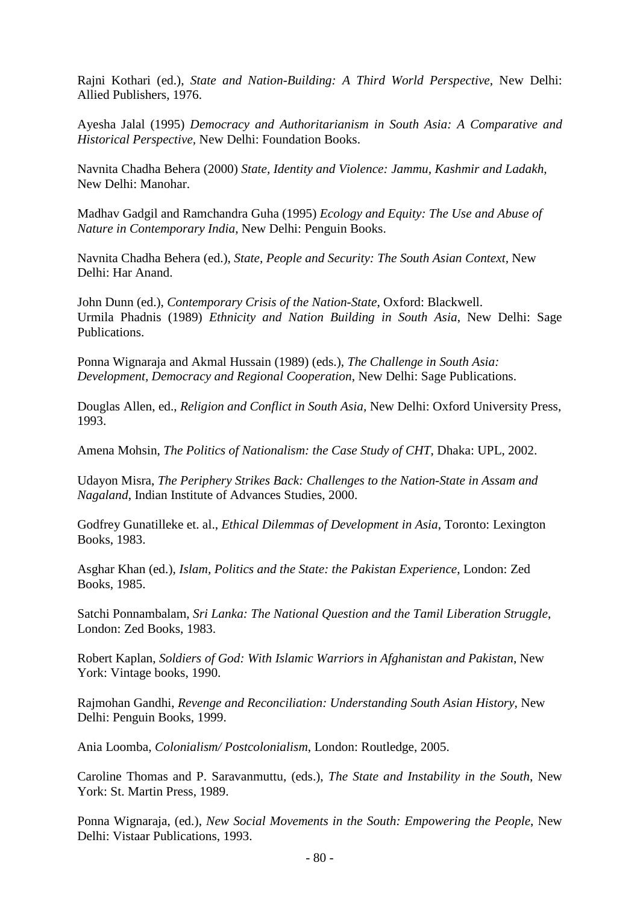Rajni Kothari (ed.), *State and Nation-Building: A Third World Perspective*, New Delhi: Allied Publishers, 1976.

Ayesha Jalal (1995) *Democracy and Authoritarianism in South Asia: A Comparative and Historical Perspective,* New Delhi: Foundation Books.

Navnita Chadha Behera (2000) *State, Identity and Violence: Jammu, Kashmir and Ladakh*, New Delhi: Manohar.

Madhav Gadgil and Ramchandra Guha (1995) *Ecology and Equity: The Use and Abuse of Nature in Contemporary India*, New Delhi: Penguin Books.

Navnita Chadha Behera (ed.), *State, People and Security: The South Asian Context,* New Delhi: Har Anand.

John Dunn (ed.), *Contemporary Crisis of the Nation-State*, Oxford: Blackwell. Urmila Phadnis (1989) *Ethnicity and Nation Building in South Asia*, New Delhi: Sage Publications.

Ponna Wignaraja and Akmal Hussain (1989) (eds.), *The Challenge in South Asia: Development, Democracy and Regional Cooperation*, New Delhi: Sage Publications.

Douglas Allen, ed., *Religion and Conflict in South Asia,* New Delhi: Oxford University Press, 1993.

Amena Mohsin, *The Politics of Nationalism: the Case Study of CHT*, Dhaka: UPL, 2002.

Udayon Misra, *The Periphery Strikes Back: Challenges to the Nation-State in Assam and Nagaland*, Indian Institute of Advances Studies, 2000.

Godfrey Gunatilleke et. al., *Ethical Dilemmas of Development in Asia*, Toronto: Lexington Books, 1983.

Asghar Khan (ed.), *Islam, Politics and the State: the Pakistan Experience*, London: Zed Books, 1985.

Satchi Ponnambalam, *Sri Lanka: The National Question and the Tamil Liberation Struggle*, London: Zed Books, 1983.

Robert Kaplan, *Soldiers of God: With Islamic Warriors in Afghanistan and Pakistan*, New York: Vintage books, 1990.

Rajmohan Gandhi, *Revenge and Reconciliation: Understanding South Asian History*, New Delhi: Penguin Books, 1999.

Ania Loomba, *Colonialism/ Postcolonialism*, London: Routledge, 2005.

Caroline Thomas and P. Saravanmuttu, (eds.), *The State and Instability in the South*, New York: St. Martin Press, 1989.

Ponna Wignaraja, (ed.), *New Social Movements in the South: Empowering the People*, New Delhi: Vistaar Publications, 1993.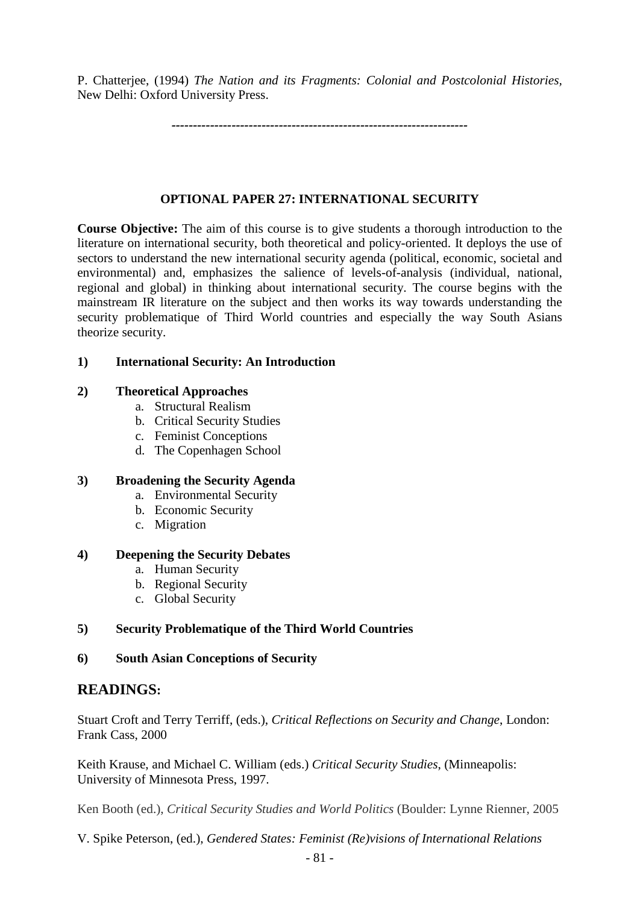P. Chatterjee, (1994) *The Nation and its Fragments: Colonial and Postcolonial Histories,* New Delhi: Oxford University Press.

*---------------------------------------------------------------------*

## **OPTIONAL PAPER 27: INTERNATIONAL SECURITY**

**Course Objective:** The aim of this course is to give students a thorough introduction to the literature on international security, both theoretical and policy-oriented. It deploys the use of sectors to understand the new international security agenda (political, economic, societal and environmental) and, emphasizes the salience of levels-of-analysis (individual, national, regional and global) in thinking about international security. The course begins with the mainstream IR literature on the subject and then works its way towards understanding the security problematique of Third World countries and especially the way South Asians theorize security.

## **1) International Security: An Introduction**

### **2) Theoretical Approaches**

- a. Structural Realism
- b. Critical Security Studies
- c. Feminist Conceptions
- d. The Copenhagen School

# **3) Broadening the Security Agenda**

- a. Environmental Security
- b. Economic Security
- c. Migration

### **4) Deepening the Security Debates**

- a. Human Security
- b. Regional Security
- c. Global Security

# **5) Security Problematique of the Third World Countries**

### **6) South Asian Conceptions of Security**

# **READINGS:**

Stuart Croft and Terry Terriff, (eds.), *Critical Reflections on Security and Change*, London: Frank Cass, 2000

Keith Krause, and Michael C. William (eds.) *Critical Security Studies*, (Minneapolis: University of Minnesota Press, 1997.

Ken Booth (ed.), *Critical Security Studies and World Politics* (Boulder: Lynne Rienner, 2005

V. Spike Peterson, (ed.), *Gendered States: Feminist (Re)visions of International Relations*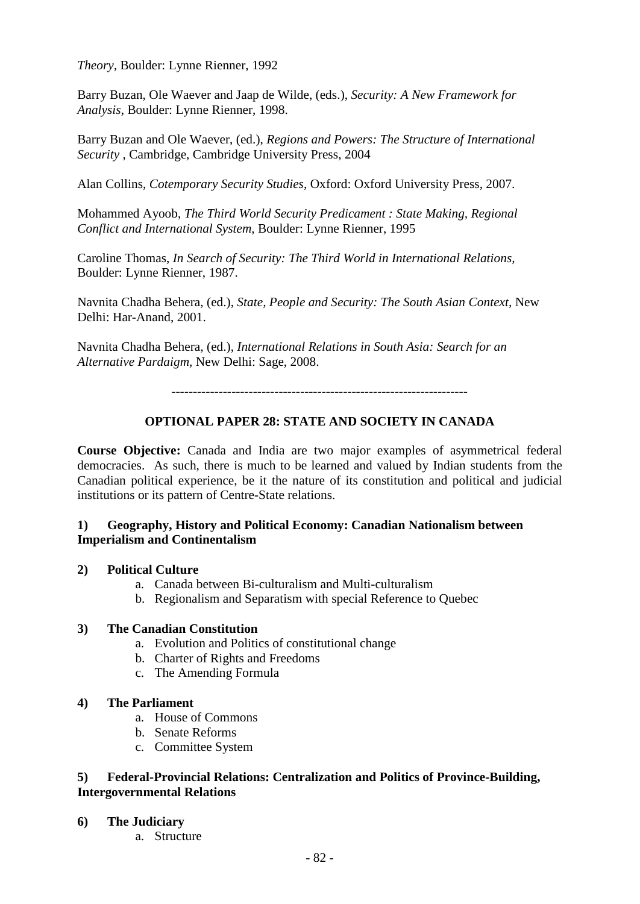*Theory,* Boulder: Lynne Rienner, 1992

Barry Buzan, Ole Waever and Jaap de Wilde, (eds.), *Security: A New Framework for Analysis*, Boulder: Lynne Rienner, 1998.

Barry Buzan and Ole Waever, (ed.), *Regions and Powers: The Structure of International Security* , Cambridge, Cambridge University Press, 2004

Alan Collins, *Cotemporary Security Studies*, Oxford: Oxford University Press, 2007.

Mohammed Ayoob, *The Third World Security Predicament : State Making, Regional Conflict and International System*, Boulder: Lynne Rienner, 1995

Caroline Thomas, *In Search of Security: The Third World in International Relations,*  Boulder: Lynne Rienner, 1987.

Navnita Chadha Behera, (ed.), *State, People and Security: The South Asian Context,* New Delhi: Har-Anand, 2001.

Navnita Chadha Behera, (ed.), *International Relations in South Asia: Search for an Alternative Pardaigm,* New Delhi: Sage, 2008.

*---------------------------------------------------------------------*

# **OPTIONAL PAPER 28: STATE AND SOCIETY IN CANADA**

**Course Objective:** Canada and India are two major examples of asymmetrical federal democracies. As such, there is much to be learned and valued by Indian students from the Canadian political experience, be it the nature of its constitution and political and judicial institutions or its pattern of Centre-State relations.

## **1) Geography, History and Political Economy: Canadian Nationalism between Imperialism and Continentalism**

### **2) Political Culture**

- a. Canada between Bi-culturalism and Multi-culturalism
- b. Regionalism and Separatism with special Reference to Quebec

## **3) The Canadian Constitution**

- a. Evolution and Politics of constitutional change
- b. Charter of Rights and Freedoms
- c. The Amending Formula

### **4) The Parliament**

- a. House of Commons
- b. Senate Reforms
- c. Committee System

## **5) Federal-Provincial Relations: Centralization and Politics of Province-Building, Intergovernmental Relations**

- **6) The Judiciary**
	- a. Structure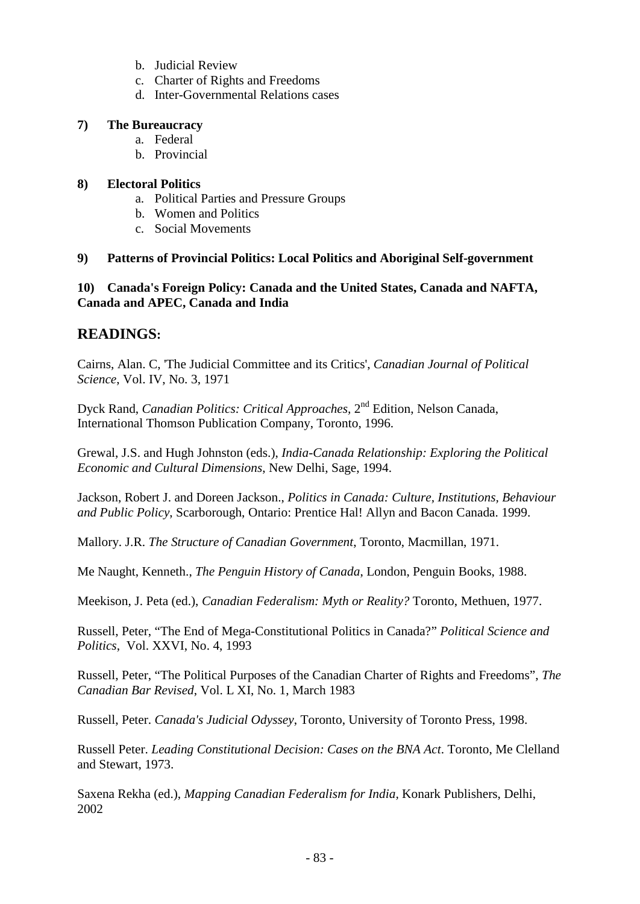- b. Judicial Review
- c. Charter of Rights and Freedoms
- d. Inter-Governmental Relations cases

# **7) The Bureaucracy**

- a. Federal
- b. Provincial

# **8) Electoral Politics**

- a. Political Parties and Pressure Groups
- b. Women and Politics
- c. Social Movements

# **9) Patterns of Provincial Politics: Local Politics and Aboriginal Self-government**

# **10) Canada's Foreign Policy: Canada and the United States, Canada and NAFTA, Canada and APEC, Canada and India**

# **READINGS:**

Cairns, Alan. C, 'The Judicial Committee and its Critics', *Canadian Journal of Political Science*, Vol. IV, No. 3, 1971

Dyck Rand, *Canadian Politics: Critical Approaches,* 2nd Edition, Nelson Canada, International Thomson Publication Company, Toronto, 1996.

Grewal, J.S. and Hugh Johnston (eds.), *India-Canada Relationship: Exploring the Political Economic and Cultural Dimensions*, New Delhi, Sage, 1994.

Jackson, Robert J. and Doreen Jackson., *Politics in Canada: Culture, Institutions, Behaviour and Public Policy*, Scarborough, Ontario: Prentice Hal! Allyn and Bacon Canada. 1999.

Mallory. J.R. *The Structure of Canadian Government*, Toronto, Macmillan, 1971.

Me Naught, Kenneth., *The Penguin History of Canada*, London, Penguin Books, 1988.

Meekison, J. Peta (ed.), *Canadian Federalism: Myth or Reality?* Toronto, Methuen, 1977.

Russell, Peter, "The End of Mega-Constitutional Politics in Canada?" *Political Science and Politics*, Vol. XXVI, No. 4, 1993

Russell, Peter, "The Political Purposes of the Canadian Charter of Rights and Freedoms", *The Canadian Bar Revised*, Vol. L XI, No. 1, March 1983

Russell, Peter. *Canada's Judicial Odyssey*, Toronto, University of Toronto Press, 1998.

Russell Peter. *Leading Constitutional Decision: Cases on the BNA Act*. Toronto, Me Clelland and Stewart, 1973.

Saxena Rekha (ed.), *Mapping Canadian Federalism for India,* Konark Publishers, Delhi, 2002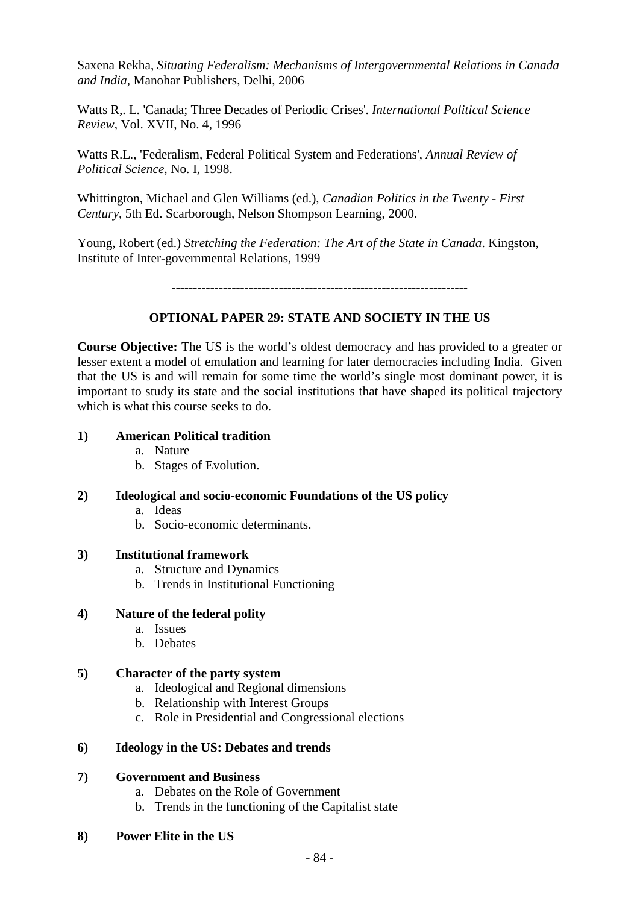Saxena Rekha, *Situating Federalism: Mechanisms of Intergovernmental Relations in Canada and India*, Manohar Publishers, Delhi, 2006

Watts R,. L. 'Canada; Three Decades of Periodic Crises'. *International Political Science Review*, Vol. XVII, No. 4, 1996

Watts R.L., 'Federalism, Federal Political System and Federations', *Annual Review of Political Science*, No. I, 1998.

Whittington, Michael and Glen Williams (ed.), *Canadian Politics in the Twenty - First Century*, 5th Ed. Scarborough, Nelson Shompson Learning, 2000.

Young, Robert (ed.) *Stretching the Federation: The Art of the State in Canada*. Kingston, Institute of Inter-governmental Relations, 1999

*---------------------------------------------------------------------*

# **OPTIONAL PAPER 29: STATE AND SOCIETY IN THE US**

**Course Objective:** The US is the world's oldest democracy and has provided to a greater or lesser extent a model of emulation and learning for later democracies including India. Given that the US is and will remain for some time the world's single most dominant power, it is important to study its state and the social institutions that have shaped its political trajectory which is what this course seeks to do.

# **1) American Political tradition**

- a. Nature
- b. Stages of Evolution.

### **2) Ideological and socio-economic Foundations of the US policy**

- a. Ideas
- b. Socio-economic determinants.

### **3) Institutional framework**

- a. Structure and Dynamics
- b. Trends in Institutional Functioning

### **4) Nature of the federal polity**

- a. Issues
- b. Debates

# **5) Character of the party system**

- a. Ideological and Regional dimensions
- b. Relationship with Interest Groups
- c. Role in Presidential and Congressional elections

### **6) Ideology in the US: Debates and trends**

### **7) Government and Business**

- a. Debates on the Role of Government
- b. Trends in the functioning of the Capitalist state
- **8) Power Elite in the US**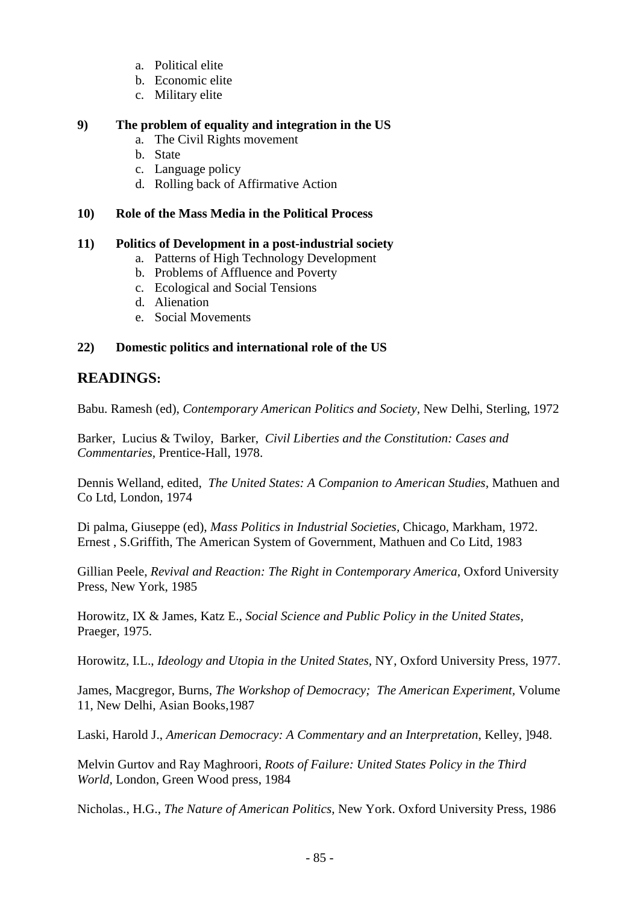- a. Political elite
- b. Economic elite
- c. Military elite

## **9) The problem of equality and integration in the US**

- a. The Civil Rights movement
- b. State
- c. Language policy
- d. Rolling back of Affirmative Action

## **10) Role of the Mass Media in the Political Process**

## **11) Politics of Development in a post-industrial society**

- a. Patterns of High Technology Development
- b. Problems of Affluence and Poverty
- c. Ecological and Social Tensions
- d. Alienation
- e. Social Movements

# **22) Domestic politics and international role of the US**

# **READINGS:**

Babu. Ramesh (ed), *Contemporary American Politics and Society,* New Delhi, Sterling, 1972

Barker, Lucius & Twiloy, Barker, *Civil Liberties and the Constitution: Cases and Commentaries,* Prentice-Hall, 1978.

Dennis Welland, edited, *The United States: A Companion to American Studies,* Mathuen and Co Ltd, London, 1974

Di palma, Giuseppe (ed), *Mass Politics in Industrial Societies,* Chicago, Markham, 1972. Ernest , S.Griffith, The American System of Government, Mathuen and Co Litd, 1983

Gillian Peele, *Revival and Reaction: The Right in Contemporary America,* Oxford University Press, New York, 1985

Horowitz, IX & James, Katz E., *Social Science and Public Policy in the United States,* Praeger, 1975.

Horowitz, I.L., *Ideology and Utopia in the United States,* NY, Oxford University Press, 1977.

James, Macgregor, Burns, *The Workshop of Democracy; The American Experiment,* Volume 11, New Delhi, Asian Books,1987

Laski, Harold J., *American Democracy: A Commentary and an Interpretation*, Kelley, ]948.

Melvin Gurtov and Ray Maghroori, *Roots of Failure: United States Policy in the Third World,* London, Green Wood press, 1984

Nicholas., H.G., *The Nature of American Politics,* New York. Oxford University Press, 1986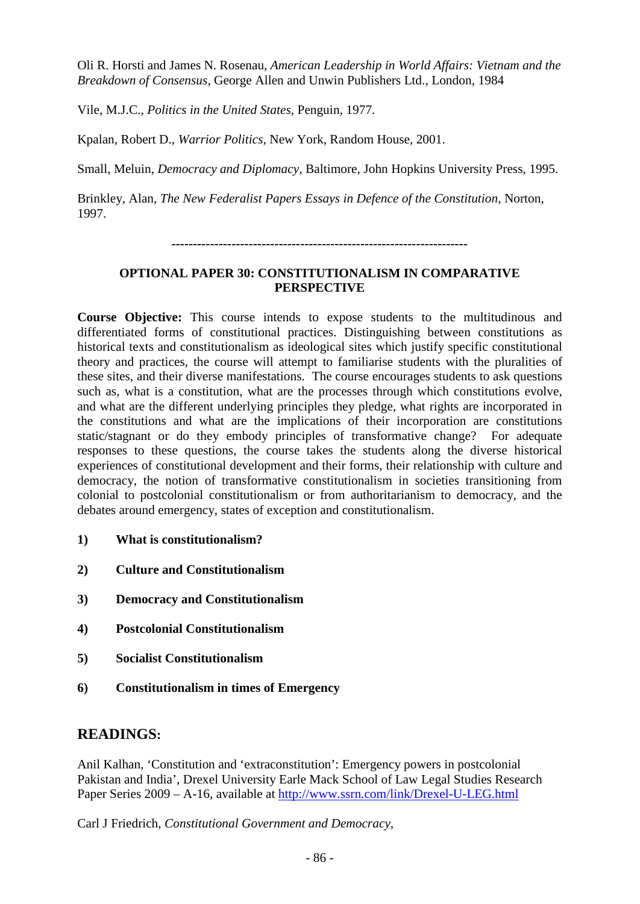Oli R. Horsti and James N. Rosenau, *American Leadership in World Affairs: Vietnam and the Breakdown of Consensus,* George Allen and Unwin Publishers Ltd., London, 1984

Vile, M.J.C., *Politics in the United States*, Penguin, 1977.

Kpalan, Robert D., *Warrior Politics,* New York, Random House, 2001.

Small, Meluin, *Democracy and Diplomacy,* Baltimore, John Hopkins University Press, 1995.

Brinkley, Alan, *The New Federalist Papers Essays in Defence of the Constitution,* Norton, 1997.

*---------------------------------------------------------------------*

## **OPTIONAL PAPER 30: CONSTITUTIONALISM IN COMPARATIVE PERSPECTIVE**

**Course Objective:** This course intends to expose students to the multitudinous and differentiated forms of constitutional practices. Distinguishing between constitutions as historical texts and constitutionalism as ideological sites which justify specific constitutional theory and practices, the course will attempt to familiarise students with the pluralities of these sites, and their diverse manifestations. The course encourages students to ask questions such as, what is a constitution, what are the processes through which constitutions evolve, and what are the different underlying principles they pledge, what rights are incorporated in the constitutions and what are the implications of their incorporation are constitutions static/stagnant or do they embody principles of transformative change? For adequate responses to these questions, the course takes the students along the diverse historical experiences of constitutional development and their forms, their relationship with culture and democracy, the notion of transformative constitutionalism in societies transitioning from colonial to postcolonial constitutionalism or from authoritarianism to democracy, and the debates around emergency, states of exception and constitutionalism.

- **1) What is constitutionalism?**
- **2) Culture and Constitutionalism**
- **3) Democracy and Constitutionalism**
- **4) Postcolonial Constitutionalism**
- **5) Socialist Constitutionalism**
- **6) Constitutionalism in times of Emergency**

# **READINGS:**

Anil Kalhan, 'Constitution and 'extraconstitution': Emergency powers in postcolonial Pakistan and India', Drexel University Earle Mack School of Law Legal Studies Research Paper Series 2009 – A-16, available at<http://www.ssrn.com/link/Drexel-U-LEG.html>

Carl J Friedrich, *Constitutional Government and Democracy*,